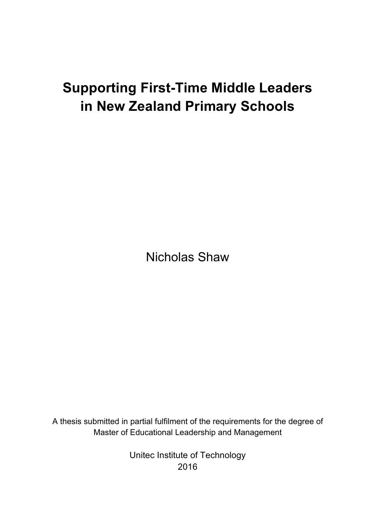# **Supporting First-Time Middle Leaders in New Zealand Primary Schools**

Nicholas Shaw

A thesis submitted in partial fulfilment of the requirements for the degree of Master of Educational Leadership and Management

> Unitec Institute of Technology 2016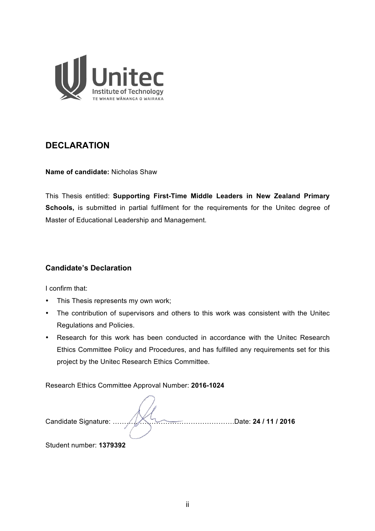

# **DECLARATION**

**Name of candidate:** Nicholas Shaw

This Thesis entitled: **Supporting First-Time Middle Leaders in New Zealand Primary**  Schools, is submitted in partial fulfilment for the requirements for the Unitec degree of Master of Educational Leadership and Management.

# **Candidate's Declaration**

I confirm that:

- This Thesis represents my own work;
- The contribution of supervisors and others to this work was consistent with the Unitec Regulations and Policies.
- Research for this work has been conducted in accordance with the Unitec Research Ethics Committee Policy and Procedures, and has fulfilled any requirements set for this project by the Unitec Research Ethics Committee.

Research Ethics Committee Approval Number: **2016-1024**

Candidate Signature: ……….…………………………………….Date: **24 / 11 / 2016**

Student number: **1379392**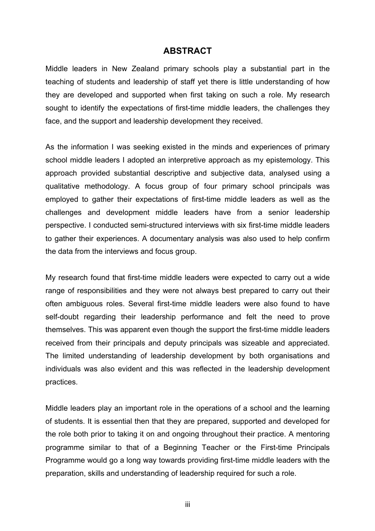# **ABSTRACT**

Middle leaders in New Zealand primary schools play a substantial part in the teaching of students and leadership of staff yet there is little understanding of how they are developed and supported when first taking on such a role. My research sought to identify the expectations of first-time middle leaders, the challenges they face, and the support and leadership development they received.

As the information I was seeking existed in the minds and experiences of primary school middle leaders I adopted an interpretive approach as my epistemology. This approach provided substantial descriptive and subjective data, analysed using a qualitative methodology. A focus group of four primary school principals was employed to gather their expectations of first-time middle leaders as well as the challenges and development middle leaders have from a senior leadership perspective. I conducted semi-structured interviews with six first-time middle leaders to gather their experiences. A documentary analysis was also used to help confirm the data from the interviews and focus group.

My research found that first-time middle leaders were expected to carry out a wide range of responsibilities and they were not always best prepared to carry out their often ambiguous roles. Several first-time middle leaders were also found to have self-doubt regarding their leadership performance and felt the need to prove themselves. This was apparent even though the support the first-time middle leaders received from their principals and deputy principals was sizeable and appreciated. The limited understanding of leadership development by both organisations and individuals was also evident and this was reflected in the leadership development practices.

Middle leaders play an important role in the operations of a school and the learning of students. It is essential then that they are prepared, supported and developed for the role both prior to taking it on and ongoing throughout their practice. A mentoring programme similar to that of a Beginning Teacher or the First-time Principals Programme would go a long way towards providing first-time middle leaders with the preparation, skills and understanding of leadership required for such a role.

iii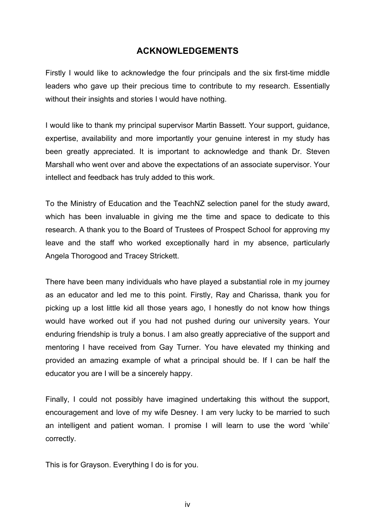# **ACKNOWLEDGEMENTS**

Firstly I would like to acknowledge the four principals and the six first-time middle leaders who gave up their precious time to contribute to my research. Essentially without their insights and stories I would have nothing.

I would like to thank my principal supervisor Martin Bassett. Your support, guidance, expertise, availability and more importantly your genuine interest in my study has been greatly appreciated. It is important to acknowledge and thank Dr. Steven Marshall who went over and above the expectations of an associate supervisor. Your intellect and feedback has truly added to this work.

To the Ministry of Education and the TeachNZ selection panel for the study award, which has been invaluable in giving me the time and space to dedicate to this research. A thank you to the Board of Trustees of Prospect School for approving my leave and the staff who worked exceptionally hard in my absence, particularly Angela Thorogood and Tracey Strickett.

There have been many individuals who have played a substantial role in my journey as an educator and led me to this point. Firstly, Ray and Charissa, thank you for picking up a lost little kid all those years ago, I honestly do not know how things would have worked out if you had not pushed during our university years. Your enduring friendship is truly a bonus. I am also greatly appreciative of the support and mentoring I have received from Gay Turner. You have elevated my thinking and provided an amazing example of what a principal should be. If I can be half the educator you are I will be a sincerely happy.

Finally, I could not possibly have imagined undertaking this without the support, encouragement and love of my wife Desney. I am very lucky to be married to such an intelligent and patient woman. I promise I will learn to use the word 'while' correctly.

This is for Grayson. Everything I do is for you.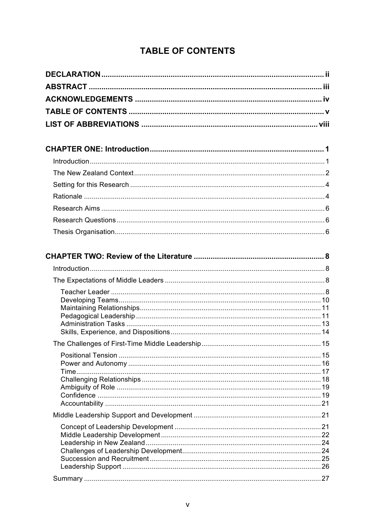# **TABLE OF CONTENTS**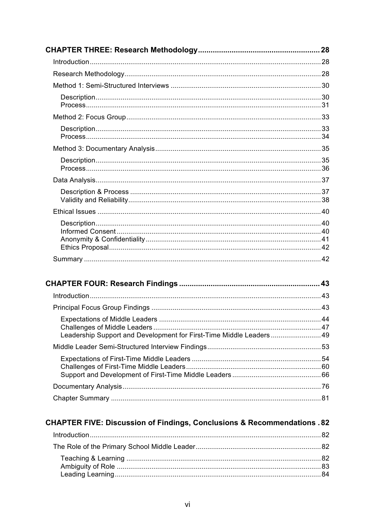| Leadership Support and Development for First-Time Middle Leaders  49 |  |
|----------------------------------------------------------------------|--|
|                                                                      |  |
|                                                                      |  |
|                                                                      |  |
|                                                                      |  |

# **CHAPTER FIVE: Discussion of Findings, Conclusions & Recommendations . 82**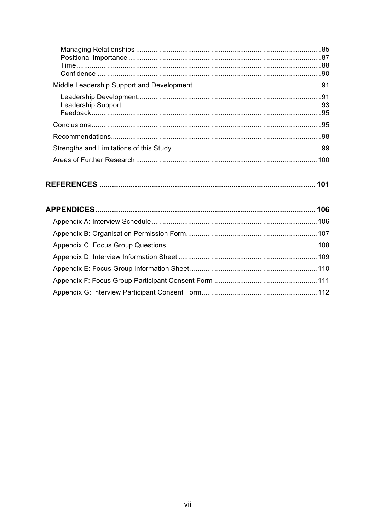| 100 |
|-----|

|--|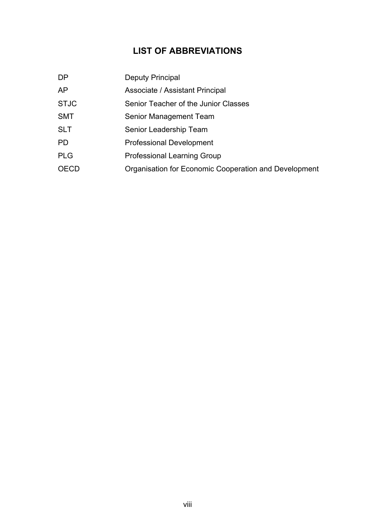# **LIST OF ABBREVIATIONS**

| Deputy Principal                                      |
|-------------------------------------------------------|
| Associate / Assistant Principal                       |
| Senior Teacher of the Junior Classes                  |
| Senior Management Team                                |
| Senior Leadership Team                                |
| <b>Professional Development</b>                       |
| <b>Professional Learning Group</b>                    |
| Organisation for Economic Cooperation and Development |
|                                                       |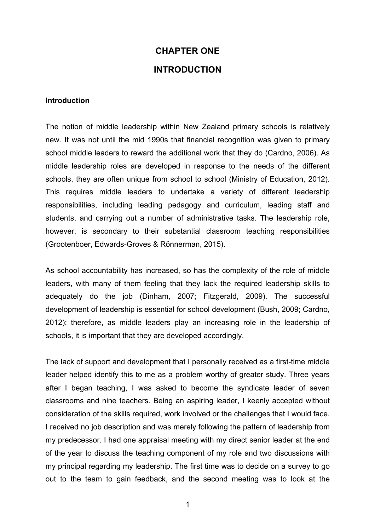# **CHAPTER ONE INTRODUCTION**

#### **Introduction**

The notion of middle leadership within New Zealand primary schools is relatively new. It was not until the mid 1990s that financial recognition was given to primary school middle leaders to reward the additional work that they do (Cardno, 2006). As middle leadership roles are developed in response to the needs of the different schools, they are often unique from school to school (Ministry of Education, 2012). This requires middle leaders to undertake a variety of different leadership responsibilities, including leading pedagogy and curriculum, leading staff and students, and carrying out a number of administrative tasks. The leadership role, however, is secondary to their substantial classroom teaching responsibilities (Grootenboer, Edwards-Groves & Rönnerman, 2015).

As school accountability has increased, so has the complexity of the role of middle leaders, with many of them feeling that they lack the required leadership skills to adequately do the job (Dinham, 2007; Fitzgerald, 2009). The successful development of leadership is essential for school development (Bush, 2009; Cardno, 2012); therefore, as middle leaders play an increasing role in the leadership of schools, it is important that they are developed accordingly.

The lack of support and development that I personally received as a first-time middle leader helped identify this to me as a problem worthy of greater study. Three years after I began teaching, I was asked to become the syndicate leader of seven classrooms and nine teachers. Being an aspiring leader, I keenly accepted without consideration of the skills required, work involved or the challenges that I would face. I received no job description and was merely following the pattern of leadership from my predecessor. I had one appraisal meeting with my direct senior leader at the end of the year to discuss the teaching component of my role and two discussions with my principal regarding my leadership. The first time was to decide on a survey to go out to the team to gain feedback, and the second meeting was to look at the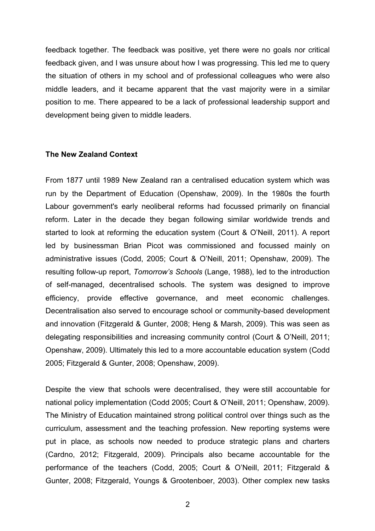feedback together. The feedback was positive, yet there were no goals nor critical feedback given, and I was unsure about how I was progressing. This led me to query the situation of others in my school and of professional colleagues who were also middle leaders, and it became apparent that the vast majority were in a similar position to me. There appeared to be a lack of professional leadership support and development being given to middle leaders.

#### **The New Zealand Context**

From 1877 until 1989 New Zealand ran a centralised education system which was run by the Department of Education (Openshaw, 2009). In the 1980s the fourth Labour government's early neoliberal reforms had focussed primarily on financial reform. Later in the decade they began following similar worldwide trends and started to look at reforming the education system (Court & O'Neill, 2011). A report led by businessman Brian Picot was commissioned and focussed mainly on administrative issues (Codd, 2005; Court & O'Neill, 2011; Openshaw, 2009). The resulting follow-up report, *Tomorrow's Schools* (Lange, 1988), led to the introduction of self-managed, decentralised schools. The system was designed to improve efficiency, provide effective governance, and meet economic challenges. Decentralisation also served to encourage school or community-based development and innovation (Fitzgerald & Gunter, 2008; Heng & Marsh, 2009). This was seen as delegating responsibilities and increasing community control (Court & O'Neill, 2011; Openshaw, 2009). Ultimately this led to a more accountable education system (Codd 2005; Fitzgerald & Gunter, 2008; Openshaw, 2009).

Despite the view that schools were decentralised, they were still accountable for national policy implementation (Codd 2005; Court & O'Neill, 2011; Openshaw, 2009). The Ministry of Education maintained strong political control over things such as the curriculum, assessment and the teaching profession. New reporting systems were put in place, as schools now needed to produce strategic plans and charters (Cardno, 2012; Fitzgerald, 2009). Principals also became accountable for the performance of the teachers (Codd, 2005; Court & O'Neill, 2011; Fitzgerald & Gunter, 2008; Fitzgerald, Youngs & Grootenboer, 2003). Other complex new tasks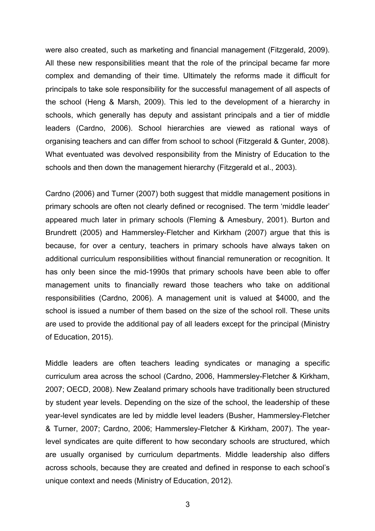were also created, such as marketing and financial management (Fitzgerald, 2009). All these new responsibilities meant that the role of the principal became far more complex and demanding of their time. Ultimately the reforms made it difficult for principals to take sole responsibility for the successful management of all aspects of the school (Heng & Marsh, 2009). This led to the development of a hierarchy in schools, which generally has deputy and assistant principals and a tier of middle leaders (Cardno, 2006). School hierarchies are viewed as rational ways of organising teachers and can differ from school to school (Fitzgerald & Gunter, 2008). What eventuated was devolved responsibility from the Ministry of Education to the schools and then down the management hierarchy (Fitzgerald et al., 2003).

Cardno (2006) and Turner (2007) both suggest that middle management positions in primary schools are often not clearly defined or recognised. The term 'middle leader' appeared much later in primary schools (Fleming & Amesbury, 2001). Burton and Brundrett (2005) and Hammersley-Fletcher and Kirkham (2007) argue that this is because, for over a century, teachers in primary schools have always taken on additional curriculum responsibilities without financial remuneration or recognition. It has only been since the mid-1990s that primary schools have been able to offer management units to financially reward those teachers who take on additional responsibilities (Cardno, 2006). A management unit is valued at \$4000, and the school is issued a number of them based on the size of the school roll. These units are used to provide the additional pay of all leaders except for the principal (Ministry of Education, 2015).

Middle leaders are often teachers leading syndicates or managing a specific curriculum area across the school (Cardno, 2006, Hammersley-Fletcher & Kirkham, 2007; OECD, 2008). New Zealand primary schools have traditionally been structured by student year levels. Depending on the size of the school, the leadership of these year-level syndicates are led by middle level leaders (Busher, Hammersley-Fletcher & Turner, 2007; Cardno, 2006; Hammersley-Fletcher & Kirkham, 2007). The yearlevel syndicates are quite different to how secondary schools are structured, which are usually organised by curriculum departments. Middle leadership also differs across schools, because they are created and defined in response to each school's unique context and needs (Ministry of Education, 2012).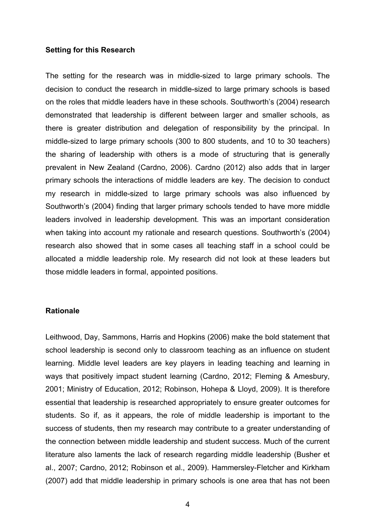#### **Setting for this Research**

The setting for the research was in middle-sized to large primary schools. The decision to conduct the research in middle-sized to large primary schools is based on the roles that middle leaders have in these schools. Southworth's (2004) research demonstrated that leadership is different between larger and smaller schools, as there is greater distribution and delegation of responsibility by the principal. In middle-sized to large primary schools (300 to 800 students, and 10 to 30 teachers) the sharing of leadership with others is a mode of structuring that is generally prevalent in New Zealand (Cardno, 2006). Cardno (2012) also adds that in larger primary schools the interactions of middle leaders are key. The decision to conduct my research in middle-sized to large primary schools was also influenced by Southworth's (2004) finding that larger primary schools tended to have more middle leaders involved in leadership development. This was an important consideration when taking into account my rationale and research questions. Southworth's (2004) research also showed that in some cases all teaching staff in a school could be allocated a middle leadership role. My research did not look at these leaders but those middle leaders in formal, appointed positions.

#### **Rationale**

Leithwood, Day, Sammons, Harris and Hopkins (2006) make the bold statement that school leadership is second only to classroom teaching as an influence on student learning. Middle level leaders are key players in leading teaching and learning in ways that positively impact student learning (Cardno, 2012; Fleming & Amesbury, 2001; Ministry of Education, 2012; Robinson, Hohepa & Lloyd, 2009). It is therefore essential that leadership is researched appropriately to ensure greater outcomes for students. So if, as it appears, the role of middle leadership is important to the success of students, then my research may contribute to a greater understanding of the connection between middle leadership and student success. Much of the current literature also laments the lack of research regarding middle leadership (Busher et al., 2007; Cardno, 2012; Robinson et al., 2009). Hammersley-Fletcher and Kirkham (2007) add that middle leadership in primary schools is one area that has not been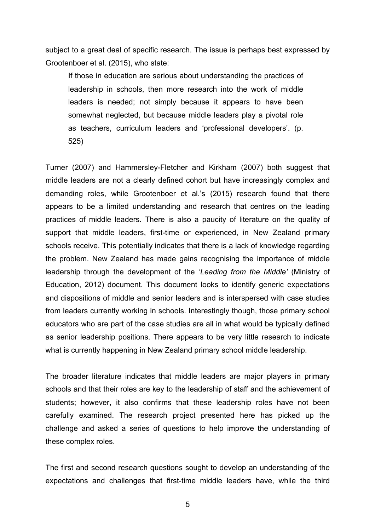subject to a great deal of specific research. The issue is perhaps best expressed by Grootenboer et al. (2015), who state:

If those in education are serious about understanding the practices of leadership in schools, then more research into the work of middle leaders is needed; not simply because it appears to have been somewhat neglected, but because middle leaders play a pivotal role as teachers, curriculum leaders and 'professional developers'. (p. 525)

Turner (2007) and Hammersley-Fletcher and Kirkham (2007) both suggest that middle leaders are not a clearly defined cohort but have increasingly complex and demanding roles, while Grootenboer et al.'s (2015) research found that there appears to be a limited understanding and research that centres on the leading practices of middle leaders. There is also a paucity of literature on the quality of support that middle leaders, first-time or experienced, in New Zealand primary schools receive. This potentially indicates that there is a lack of knowledge regarding the problem. New Zealand has made gains recognising the importance of middle leadership through the development of the '*Leading from the Middle'* (Ministry of Education, 2012) document. This document looks to identify generic expectations and dispositions of middle and senior leaders and is interspersed with case studies from leaders currently working in schools. Interestingly though, those primary school educators who are part of the case studies are all in what would be typically defined as senior leadership positions. There appears to be very little research to indicate what is currently happening in New Zealand primary school middle leadership.

The broader literature indicates that middle leaders are major players in primary schools and that their roles are key to the leadership of staff and the achievement of students; however, it also confirms that these leadership roles have not been carefully examined. The research project presented here has picked up the challenge and asked a series of questions to help improve the understanding of these complex roles.

The first and second research questions sought to develop an understanding of the expectations and challenges that first-time middle leaders have, while the third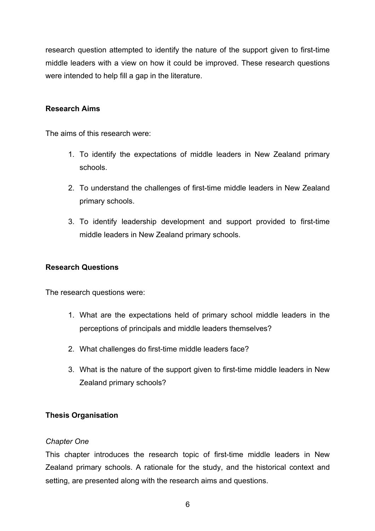research question attempted to identify the nature of the support given to first-time middle leaders with a view on how it could be improved. These research questions were intended to help fill a gap in the literature.

## **Research Aims**

The aims of this research were:

- 1. To identify the expectations of middle leaders in New Zealand primary schools.
- 2. To understand the challenges of first-time middle leaders in New Zealand primary schools.
- 3. To identify leadership development and support provided to first-time middle leaders in New Zealand primary schools.

# **Research Questions**

The research questions were:

- 1. What are the expectations held of primary school middle leaders in the perceptions of principals and middle leaders themselves?
- 2. What challenges do first-time middle leaders face?
- 3. What is the nature of the support given to first-time middle leaders in New Zealand primary schools?

# **Thesis Organisation**

### *Chapter One*

This chapter introduces the research topic of first-time middle leaders in New Zealand primary schools. A rationale for the study, and the historical context and setting, are presented along with the research aims and questions.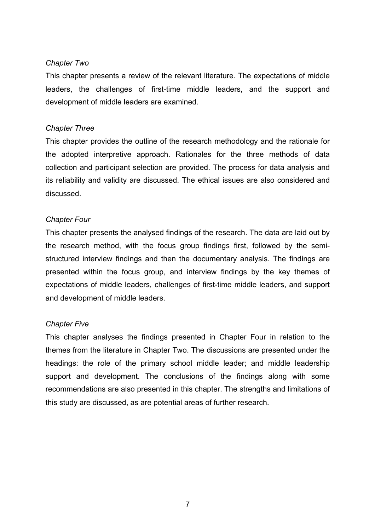### *Chapter Two*

This chapter presents a review of the relevant literature. The expectations of middle leaders, the challenges of first-time middle leaders, and the support and development of middle leaders are examined.

## *Chapter Three*

This chapter provides the outline of the research methodology and the rationale for the adopted interpretive approach. Rationales for the three methods of data collection and participant selection are provided. The process for data analysis and its reliability and validity are discussed. The ethical issues are also considered and discussed.

# *Chapter Four*

This chapter presents the analysed findings of the research. The data are laid out by the research method, with the focus group findings first, followed by the semistructured interview findings and then the documentary analysis. The findings are presented within the focus group, and interview findings by the key themes of expectations of middle leaders, challenges of first-time middle leaders, and support and development of middle leaders.

# *Chapter Five*

This chapter analyses the findings presented in Chapter Four in relation to the themes from the literature in Chapter Two. The discussions are presented under the headings: the role of the primary school middle leader; and middle leadership support and development. The conclusions of the findings along with some recommendations are also presented in this chapter. The strengths and limitations of this study are discussed, as are potential areas of further research.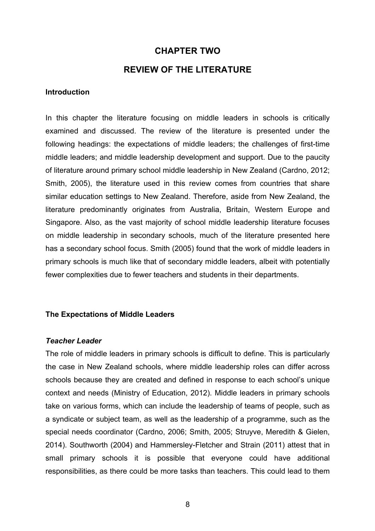## **CHAPTER TWO**

### **REVIEW OF THE LITERATURE**

#### **Introduction**

In this chapter the literature focusing on middle leaders in schools is critically examined and discussed. The review of the literature is presented under the following headings: the expectations of middle leaders; the challenges of first-time middle leaders; and middle leadership development and support. Due to the paucity of literature around primary school middle leadership in New Zealand (Cardno, 2012; Smith, 2005), the literature used in this review comes from countries that share similar education settings to New Zealand. Therefore, aside from New Zealand, the literature predominantly originates from Australia, Britain, Western Europe and Singapore. Also, as the vast majority of school middle leadership literature focuses on middle leadership in secondary schools, much of the literature presented here has a secondary school focus. Smith (2005) found that the work of middle leaders in primary schools is much like that of secondary middle leaders, albeit with potentially fewer complexities due to fewer teachers and students in their departments.

#### **The Expectations of Middle Leaders**

#### *Teacher Leader*

The role of middle leaders in primary schools is difficult to define. This is particularly the case in New Zealand schools, where middle leadership roles can differ across schools because they are created and defined in response to each school's unique context and needs (Ministry of Education, 2012). Middle leaders in primary schools take on various forms, which can include the leadership of teams of people, such as a syndicate or subject team, as well as the leadership of a programme, such as the special needs coordinator (Cardno, 2006; Smith, 2005; Struyve, Meredith & Gielen, 2014). Southworth (2004) and Hammersley-Fletcher and Strain (2011) attest that in small primary schools it is possible that everyone could have additional responsibilities, as there could be more tasks than teachers. This could lead to them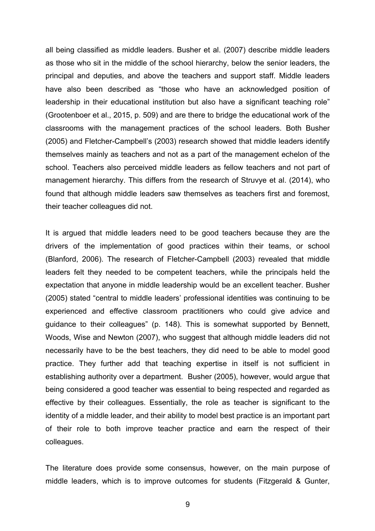all being classified as middle leaders. Busher et al. (2007) describe middle leaders as those who sit in the middle of the school hierarchy, below the senior leaders, the principal and deputies, and above the teachers and support staff. Middle leaders have also been described as "those who have an acknowledged position of leadership in their educational institution but also have a significant teaching role" (Grootenboer et al., 2015, p. 509) and are there to bridge the educational work of the classrooms with the management practices of the school leaders. Both Busher (2005) and Fletcher-Campbell's (2003) research showed that middle leaders identify themselves mainly as teachers and not as a part of the management echelon of the school. Teachers also perceived middle leaders as fellow teachers and not part of management hierarchy. This differs from the research of Struvye et al. (2014), who found that although middle leaders saw themselves as teachers first and foremost, their teacher colleagues did not.

It is argued that middle leaders need to be good teachers because they are the drivers of the implementation of good practices within their teams, or school (Blanford, 2006). The research of Fletcher-Campbell (2003) revealed that middle leaders felt they needed to be competent teachers, while the principals held the expectation that anyone in middle leadership would be an excellent teacher. Busher (2005) stated "central to middle leaders' professional identities was continuing to be experienced and effective classroom practitioners who could give advice and guidance to their colleagues" (p. 148). This is somewhat supported by Bennett, Woods, Wise and Newton (2007), who suggest that although middle leaders did not necessarily have to be the best teachers, they did need to be able to model good practice. They further add that teaching expertise in itself is not sufficient in establishing authority over a department. Busher (2005), however, would argue that being considered a good teacher was essential to being respected and regarded as effective by their colleagues. Essentially, the role as teacher is significant to the identity of a middle leader, and their ability to model best practice is an important part of their role to both improve teacher practice and earn the respect of their colleagues.

The literature does provide some consensus, however, on the main purpose of middle leaders, which is to improve outcomes for students (Fitzgerald & Gunter,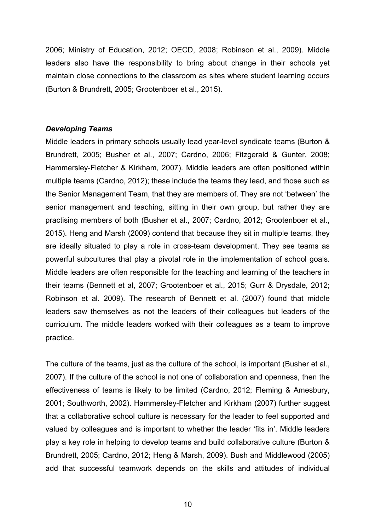2006; Ministry of Education, 2012; OECD, 2008; Robinson et al., 2009). Middle leaders also have the responsibility to bring about change in their schools yet maintain close connections to the classroom as sites where student learning occurs (Burton & Brundrett, 2005; Grootenboer et al., 2015).

#### *Developing Teams*

Middle leaders in primary schools usually lead year-level syndicate teams (Burton & Brundrett, 2005; Busher et al., 2007; Cardno, 2006; Fitzgerald & Gunter, 2008; Hammersley-Fletcher & Kirkham, 2007). Middle leaders are often positioned within multiple teams (Cardno, 2012); these include the teams they lead, and those such as the Senior Management Team, that they are members of. They are not 'between' the senior management and teaching, sitting in their own group, but rather they are practising members of both (Busher et al., 2007; Cardno, 2012; Grootenboer et al., 2015). Heng and Marsh (2009) contend that because they sit in multiple teams, they are ideally situated to play a role in cross-team development. They see teams as powerful subcultures that play a pivotal role in the implementation of school goals. Middle leaders are often responsible for the teaching and learning of the teachers in their teams (Bennett et al, 2007; Grootenboer et al., 2015; Gurr & Drysdale, 2012; Robinson et al. 2009). The research of Bennett et al. (2007) found that middle leaders saw themselves as not the leaders of their colleagues but leaders of the curriculum. The middle leaders worked with their colleagues as a team to improve practice.

The culture of the teams, just as the culture of the school, is important (Busher et al., 2007). If the culture of the school is not one of collaboration and openness, then the effectiveness of teams is likely to be limited (Cardno, 2012; Fleming & Amesbury, 2001; Southworth, 2002). Hammersley-Fletcher and Kirkham (2007) further suggest that a collaborative school culture is necessary for the leader to feel supported and valued by colleagues and is important to whether the leader 'fits in'. Middle leaders play a key role in helping to develop teams and build collaborative culture (Burton & Brundrett, 2005; Cardno, 2012; Heng & Marsh, 2009). Bush and Middlewood (2005) add that successful teamwork depends on the skills and attitudes of individual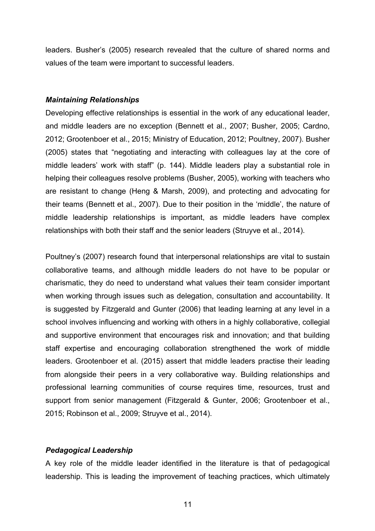leaders. Busher's (2005) research revealed that the culture of shared norms and values of the team were important to successful leaders.

#### *Maintaining Relationships*

Developing effective relationships is essential in the work of any educational leader, and middle leaders are no exception (Bennett et al., 2007; Busher, 2005; Cardno, 2012; Grootenboer et al., 2015; Ministry of Education, 2012; Poultney, 2007). Busher (2005) states that "negotiating and interacting with colleagues lay at the core of middle leaders' work with staff" (p. 144). Middle leaders play a substantial role in helping their colleagues resolve problems (Busher, 2005), working with teachers who are resistant to change (Heng & Marsh, 2009), and protecting and advocating for their teams (Bennett et al., 2007). Due to their position in the 'middle', the nature of middle leadership relationships is important, as middle leaders have complex relationships with both their staff and the senior leaders (Struyve et al., 2014).

Poultney's (2007) research found that interpersonal relationships are vital to sustain collaborative teams, and although middle leaders do not have to be popular or charismatic, they do need to understand what values their team consider important when working through issues such as delegation, consultation and accountability. It is suggested by Fitzgerald and Gunter (2006) that leading learning at any level in a school involves influencing and working with others in a highly collaborative, collegial and supportive environment that encourages risk and innovation; and that building staff expertise and encouraging collaboration strengthened the work of middle leaders. Grootenboer et al. (2015) assert that middle leaders practise their leading from alongside their peers in a very collaborative way. Building relationships and professional learning communities of course requires time, resources, trust and support from senior management (Fitzgerald & Gunter, 2006; Grootenboer et al., 2015; Robinson et al., 2009; Struyve et al., 2014).

### *Pedagogical Leadership*

A key role of the middle leader identified in the literature is that of pedagogical leadership. This is leading the improvement of teaching practices, which ultimately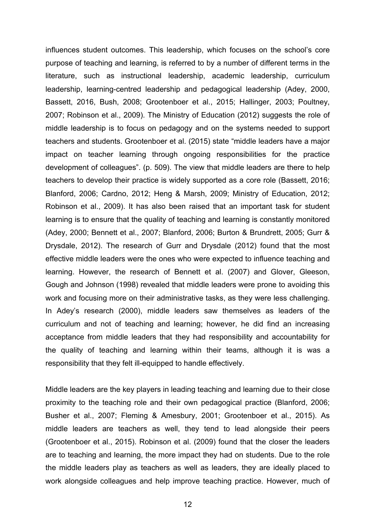influences student outcomes. This leadership, which focuses on the school's core purpose of teaching and learning, is referred to by a number of different terms in the literature, such as instructional leadership, academic leadership, curriculum leadership, learning-centred leadership and pedagogical leadership (Adey, 2000, Bassett, 2016, Bush, 2008; Grootenboer et al., 2015; Hallinger, 2003; Poultney, 2007; Robinson et al., 2009). The Ministry of Education (2012) suggests the role of middle leadership is to focus on pedagogy and on the systems needed to support teachers and students. Grootenboer et al. (2015) state "middle leaders have a major impact on teacher learning through ongoing responsibilities for the practice development of colleagues". (p. 509). The view that middle leaders are there to help teachers to develop their practice is widely supported as a core role (Bassett, 2016; Blanford, 2006; Cardno, 2012; Heng & Marsh, 2009; Ministry of Education, 2012; Robinson et al., 2009). It has also been raised that an important task for student learning is to ensure that the quality of teaching and learning is constantly monitored (Adey, 2000; Bennett et al., 2007; Blanford, 2006; Burton & Brundrett, 2005; Gurr & Drysdale, 2012). The research of Gurr and Drysdale (2012) found that the most effective middle leaders were the ones who were expected to influence teaching and learning. However, the research of Bennett et al. (2007) and Glover, Gleeson, Gough and Johnson (1998) revealed that middle leaders were prone to avoiding this work and focusing more on their administrative tasks, as they were less challenging. In Adey's research (2000), middle leaders saw themselves as leaders of the curriculum and not of teaching and learning; however, he did find an increasing acceptance from middle leaders that they had responsibility and accountability for the quality of teaching and learning within their teams, although it is was a responsibility that they felt ill-equipped to handle effectively.

Middle leaders are the key players in leading teaching and learning due to their close proximity to the teaching role and their own pedagogical practice (Blanford, 2006; Busher et al., 2007; Fleming & Amesbury, 2001; Grootenboer et al., 2015). As middle leaders are teachers as well, they tend to lead alongside their peers (Grootenboer et al., 2015). Robinson et al. (2009) found that the closer the leaders are to teaching and learning, the more impact they had on students. Due to the role the middle leaders play as teachers as well as leaders, they are ideally placed to work alongside colleagues and help improve teaching practice. However, much of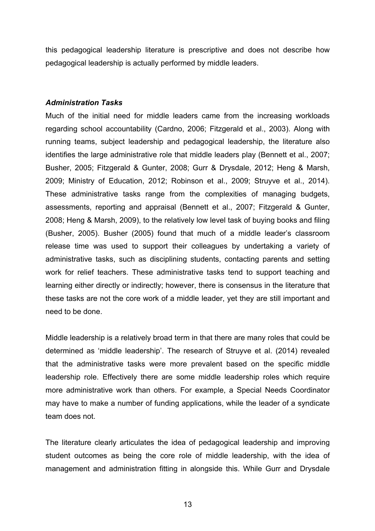this pedagogical leadership literature is prescriptive and does not describe how pedagogical leadership is actually performed by middle leaders.

#### *Administration Tasks*

Much of the initial need for middle leaders came from the increasing workloads regarding school accountability (Cardno, 2006; Fitzgerald et al., 2003). Along with running teams, subject leadership and pedagogical leadership, the literature also identifies the large administrative role that middle leaders play (Bennett et al., 2007; Busher, 2005; Fitzgerald & Gunter, 2008; Gurr & Drysdale, 2012; Heng & Marsh, 2009; Ministry of Education, 2012; Robinson et al., 2009; Struyve et al., 2014). These administrative tasks range from the complexities of managing budgets, assessments, reporting and appraisal (Bennett et al., 2007; Fitzgerald & Gunter, 2008; Heng & Marsh, 2009), to the relatively low level task of buying books and filing (Busher, 2005). Busher (2005) found that much of a middle leader's classroom release time was used to support their colleagues by undertaking a variety of administrative tasks, such as disciplining students, contacting parents and setting work for relief teachers. These administrative tasks tend to support teaching and learning either directly or indirectly; however, there is consensus in the literature that these tasks are not the core work of a middle leader, yet they are still important and need to be done.

Middle leadership is a relatively broad term in that there are many roles that could be determined as 'middle leadership'. The research of Struyve et al. (2014) revealed that the administrative tasks were more prevalent based on the specific middle leadership role. Effectively there are some middle leadership roles which require more administrative work than others. For example, a Special Needs Coordinator may have to make a number of funding applications, while the leader of a syndicate team does not.

The literature clearly articulates the idea of pedagogical leadership and improving student outcomes as being the core role of middle leadership, with the idea of management and administration fitting in alongside this. While Gurr and Drysdale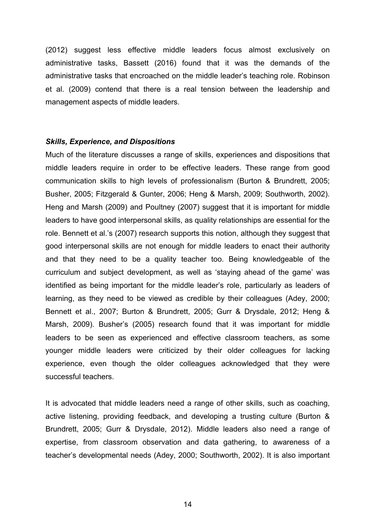(2012) suggest less effective middle leaders focus almost exclusively on administrative tasks, Bassett (2016) found that it was the demands of the administrative tasks that encroached on the middle leader's teaching role. Robinson et al. (2009) contend that there is a real tension between the leadership and management aspects of middle leaders.

#### *Skills, Experience, and Dispositions*

Much of the literature discusses a range of skills, experiences and dispositions that middle leaders require in order to be effective leaders. These range from good communication skills to high levels of professionalism (Burton & Brundrett, 2005; Busher, 2005; Fitzgerald & Gunter, 2006; Heng & Marsh, 2009; Southworth, 2002). Heng and Marsh (2009) and Poultney (2007) suggest that it is important for middle leaders to have good interpersonal skills, as quality relationships are essential for the role. Bennett et al.'s (2007) research supports this notion, although they suggest that good interpersonal skills are not enough for middle leaders to enact their authority and that they need to be a quality teacher too. Being knowledgeable of the curriculum and subject development, as well as 'staying ahead of the game' was identified as being important for the middle leader's role, particularly as leaders of learning, as they need to be viewed as credible by their colleagues (Adey, 2000; Bennett et al., 2007; Burton & Brundrett, 2005; Gurr & Drysdale, 2012; Heng & Marsh, 2009). Busher's (2005) research found that it was important for middle leaders to be seen as experienced and effective classroom teachers, as some younger middle leaders were criticized by their older colleagues for lacking experience, even though the older colleagues acknowledged that they were successful teachers.

It is advocated that middle leaders need a range of other skills, such as coaching, active listening, providing feedback, and developing a trusting culture (Burton & Brundrett, 2005; Gurr & Drysdale, 2012). Middle leaders also need a range of expertise, from classroom observation and data gathering, to awareness of a teacher's developmental needs (Adey, 2000; Southworth, 2002). It is also important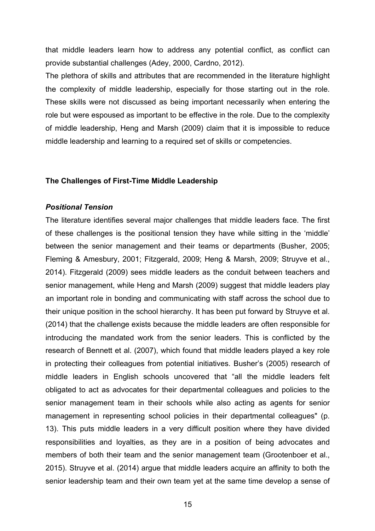that middle leaders learn how to address any potential conflict, as conflict can provide substantial challenges (Adey, 2000, Cardno, 2012).

The plethora of skills and attributes that are recommended in the literature highlight the complexity of middle leadership, especially for those starting out in the role. These skills were not discussed as being important necessarily when entering the role but were espoused as important to be effective in the role. Due to the complexity of middle leadership, Heng and Marsh (2009) claim that it is impossible to reduce middle leadership and learning to a required set of skills or competencies.

#### **The Challenges of First-Time Middle Leadership**

#### *Positional Tension*

The literature identifies several major challenges that middle leaders face. The first of these challenges is the positional tension they have while sitting in the 'middle' between the senior management and their teams or departments (Busher, 2005; Fleming & Amesbury, 2001; Fitzgerald, 2009; Heng & Marsh, 2009; Struyve et al., 2014). Fitzgerald (2009) sees middle leaders as the conduit between teachers and senior management, while Heng and Marsh (2009) suggest that middle leaders play an important role in bonding and communicating with staff across the school due to their unique position in the school hierarchy. It has been put forward by Struyve et al. (2014) that the challenge exists because the middle leaders are often responsible for introducing the mandated work from the senior leaders. This is conflicted by the research of Bennett et al. (2007), which found that middle leaders played a key role in protecting their colleagues from potential initiatives. Busher's (2005) research of middle leaders in English schools uncovered that "all the middle leaders felt obligated to act as advocates for their departmental colleagues and policies to the senior management team in their schools while also acting as agents for senior management in representing school policies in their departmental colleagues" (p. 13). This puts middle leaders in a very difficult position where they have divided responsibilities and loyalties, as they are in a position of being advocates and members of both their team and the senior management team (Grootenboer et al., 2015). Struyve et al. (2014) argue that middle leaders acquire an affinity to both the senior leadership team and their own team yet at the same time develop a sense of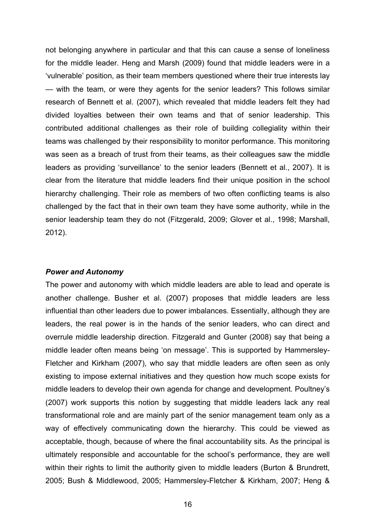not belonging anywhere in particular and that this can cause a sense of loneliness for the middle leader. Heng and Marsh (2009) found that middle leaders were in a 'vulnerable' position, as their team members questioned where their true interests lay — with the team, or were they agents for the senior leaders? This follows similar research of Bennett et al. (2007), which revealed that middle leaders felt they had divided loyalties between their own teams and that of senior leadership. This contributed additional challenges as their role of building collegiality within their teams was challenged by their responsibility to monitor performance. This monitoring was seen as a breach of trust from their teams, as their colleagues saw the middle leaders as providing 'surveillance' to the senior leaders (Bennett et al., 2007). It is clear from the literature that middle leaders find their unique position in the school hierarchy challenging. Their role as members of two often conflicting teams is also challenged by the fact that in their own team they have some authority, while in the senior leadership team they do not (Fitzgerald, 2009; Glover et al., 1998; Marshall, 2012).

#### *Power and Autonomy*

The power and autonomy with which middle leaders are able to lead and operate is another challenge. Busher et al. (2007) proposes that middle leaders are less influential than other leaders due to power imbalances. Essentially, although they are leaders, the real power is in the hands of the senior leaders, who can direct and overrule middle leadership direction. Fitzgerald and Gunter (2008) say that being a middle leader often means being 'on message'. This is supported by Hammersley-Fletcher and Kirkham (2007), who say that middle leaders are often seen as only existing to impose external initiatives and they question how much scope exists for middle leaders to develop their own agenda for change and development. Poultney's (2007) work supports this notion by suggesting that middle leaders lack any real transformational role and are mainly part of the senior management team only as a way of effectively communicating down the hierarchy. This could be viewed as acceptable, though, because of where the final accountability sits. As the principal is ultimately responsible and accountable for the school's performance, they are well within their rights to limit the authority given to middle leaders (Burton & Brundrett, 2005; Bush & Middlewood, 2005; Hammersley-Fletcher & Kirkham, 2007; Heng &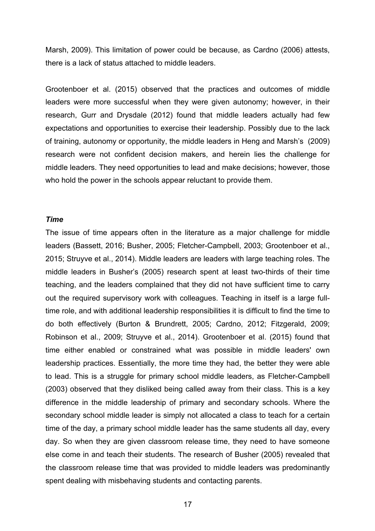Marsh, 2009). This limitation of power could be because, as Cardno (2006) attests, there is a lack of status attached to middle leaders.

Grootenboer et al. (2015) observed that the practices and outcomes of middle leaders were more successful when they were given autonomy; however, in their research, Gurr and Drysdale (2012) found that middle leaders actually had few expectations and opportunities to exercise their leadership. Possibly due to the lack of training, autonomy or opportunity, the middle leaders in Heng and Marsh's (2009) research were not confident decision makers, and herein lies the challenge for middle leaders. They need opportunities to lead and make decisions; however, those who hold the power in the schools appear reluctant to provide them.

#### *Time*

The issue of time appears often in the literature as a major challenge for middle leaders (Bassett, 2016; Busher, 2005; Fletcher-Campbell, 2003; Grootenboer et al., 2015; Struyve et al., 2014). Middle leaders are leaders with large teaching roles. The middle leaders in Busher's (2005) research spent at least two-thirds of their time teaching, and the leaders complained that they did not have sufficient time to carry out the required supervisory work with colleagues. Teaching in itself is a large fulltime role, and with additional leadership responsibilities it is difficult to find the time to do both effectively (Burton & Brundrett, 2005; Cardno, 2012; Fitzgerald, 2009; Robinson et al., 2009; Struyve et al., 2014). Grootenboer et al. (2015) found that time either enabled or constrained what was possible in middle leaders' own leadership practices. Essentially, the more time they had, the better they were able to lead. This is a struggle for primary school middle leaders, as Fletcher-Campbell (2003) observed that they disliked being called away from their class. This is a key difference in the middle leadership of primary and secondary schools. Where the secondary school middle leader is simply not allocated a class to teach for a certain time of the day, a primary school middle leader has the same students all day, every day. So when they are given classroom release time, they need to have someone else come in and teach their students. The research of Busher (2005) revealed that the classroom release time that was provided to middle leaders was predominantly spent dealing with misbehaving students and contacting parents.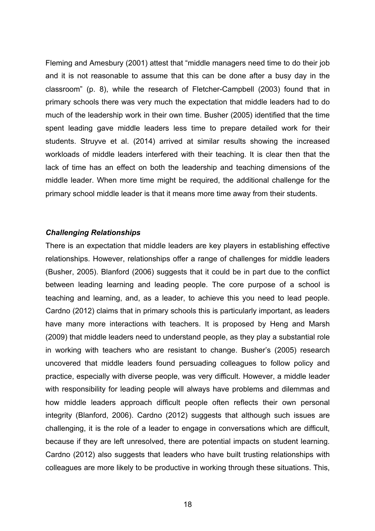Fleming and Amesbury (2001) attest that "middle managers need time to do their job and it is not reasonable to assume that this can be done after a busy day in the classroom" (p. 8), while the research of Fletcher-Campbell (2003) found that in primary schools there was very much the expectation that middle leaders had to do much of the leadership work in their own time. Busher (2005) identified that the time spent leading gave middle leaders less time to prepare detailed work for their students. Struyve et al. (2014) arrived at similar results showing the increased workloads of middle leaders interfered with their teaching. It is clear then that the lack of time has an effect on both the leadership and teaching dimensions of the middle leader. When more time might be required, the additional challenge for the primary school middle leader is that it means more time away from their students.

#### *Challenging Relationships*

There is an expectation that middle leaders are key players in establishing effective relationships. However, relationships offer a range of challenges for middle leaders (Busher, 2005). Blanford (2006) suggests that it could be in part due to the conflict between leading learning and leading people. The core purpose of a school is teaching and learning, and, as a leader, to achieve this you need to lead people. Cardno (2012) claims that in primary schools this is particularly important, as leaders have many more interactions with teachers. It is proposed by Heng and Marsh (2009) that middle leaders need to understand people, as they play a substantial role in working with teachers who are resistant to change. Busher's (2005) research uncovered that middle leaders found persuading colleagues to follow policy and practice, especially with diverse people, was very difficult. However, a middle leader with responsibility for leading people will always have problems and dilemmas and how middle leaders approach difficult people often reflects their own personal integrity (Blanford, 2006). Cardno (2012) suggests that although such issues are challenging, it is the role of a leader to engage in conversations which are difficult, because if they are left unresolved, there are potential impacts on student learning. Cardno (2012) also suggests that leaders who have built trusting relationships with colleagues are more likely to be productive in working through these situations. This,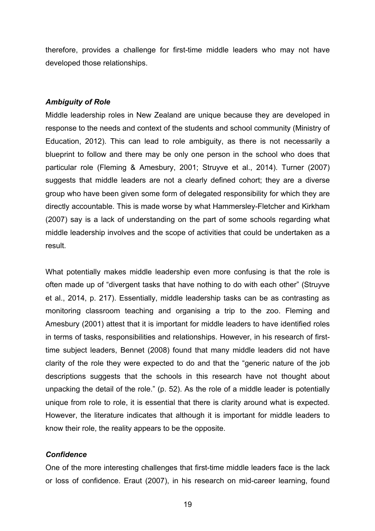therefore, provides a challenge for first-time middle leaders who may not have developed those relationships.

#### *Ambiguity of Role*

Middle leadership roles in New Zealand are unique because they are developed in response to the needs and context of the students and school community (Ministry of Education, 2012). This can lead to role ambiguity, as there is not necessarily a blueprint to follow and there may be only one person in the school who does that particular role (Fleming & Amesbury, 2001; Struyve et al., 2014). Turner (2007) suggests that middle leaders are not a clearly defined cohort; they are a diverse group who have been given some form of delegated responsibility for which they are directly accountable. This is made worse by what Hammersley-Fletcher and Kirkham (2007) say is a lack of understanding on the part of some schools regarding what middle leadership involves and the scope of activities that could be undertaken as a result.

What potentially makes middle leadership even more confusing is that the role is often made up of "divergent tasks that have nothing to do with each other" (Struyve et al., 2014, p. 217). Essentially, middle leadership tasks can be as contrasting as monitoring classroom teaching and organising a trip to the zoo. Fleming and Amesbury (2001) attest that it is important for middle leaders to have identified roles in terms of tasks, responsibilities and relationships. However, in his research of firsttime subject leaders, Bennet (2008) found that many middle leaders did not have clarity of the role they were expected to do and that the "generic nature of the job descriptions suggests that the schools in this research have not thought about unpacking the detail of the role." (p. 52). As the role of a middle leader is potentially unique from role to role, it is essential that there is clarity around what is expected. However, the literature indicates that although it is important for middle leaders to know their role, the reality appears to be the opposite.

#### *Confidence*

One of the more interesting challenges that first-time middle leaders face is the lack or loss of confidence. Eraut (2007), in his research on mid-career learning, found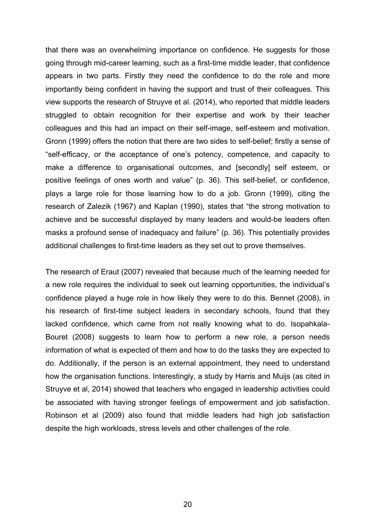that there was an overwhelming importance on confidence. He suggests for those going through mid-career learning, such as a first-time middle leader, that confidence appears in two parts. Firstly they need the confidence to do the role and more importantly being confident in having the support and trust of their colleagues. This view supports the research of Struyve et al. (2014), who reported that middle leaders struggled to obtain recognition for their expertise and work by their teacher colleagues and this had an impact on their self-image, self-esteem and motivation. Gronn (1999) offers the notion that there are two sides to self-belief; firstly a sense of "self-efficacy, or the acceptance of one's potency, competence, and capacity to make a difference to organisational outcomes, and [secondly] self esteem, or positive feelings of ones worth and value" (p. 36). This self-belief, or confidence, plays a large role for those learning how to do a job. Gronn (1999), citing the research of Zalezik (1967) and Kaplan (1990), states that "the strong motivation to achieve and be successful displayed by many leaders and would-be leaders often masks a profound sense of inadequacy and failure" (p. 36). This potentially provides additional challenges to first-time leaders as they set out to prove themselves.

The research of Eraut (2007) revealed that because much of the learning needed for a new role requires the individual to seek out learning opportunities, the individual's confidence played a huge role in how likely they were to do this. Bennet (2008), in his research of first-time subject leaders in secondary schools, found that they lacked confidence, which came from not really knowing what to do. Isopahkala-Bouret (2008) suggests to learn how to perform a new role, a person needs information of what is expected of them and how to do the tasks they are expected to do. Additionally, if the person is an external appointment, they need to understand how the organisation functions. Interestingly, a study by Harris and Muijs (as cited in Struyve et al, 2014) showed that teachers who engaged in leadership activities could be associated with having stronger feelings of empowerment and job satisfaction. Robinson et al (2009) also found that middle leaders had high job satisfaction despite the high workloads, stress levels and other challenges of the role.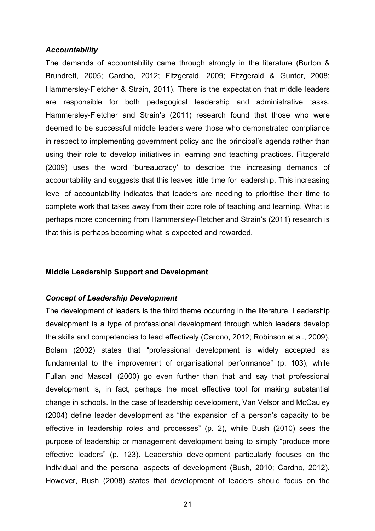#### *Accountability*

The demands of accountability came through strongly in the literature (Burton & Brundrett, 2005; Cardno, 2012; Fitzgerald, 2009; Fitzgerald & Gunter, 2008; Hammersley-Fletcher & Strain, 2011). There is the expectation that middle leaders are responsible for both pedagogical leadership and administrative tasks. Hammersley-Fletcher and Strain's (2011) research found that those who were deemed to be successful middle leaders were those who demonstrated compliance in respect to implementing government policy and the principal's agenda rather than using their role to develop initiatives in learning and teaching practices. Fitzgerald (2009) uses the word 'bureaucracy' to describe the increasing demands of accountability and suggests that this leaves little time for leadership. This increasing level of accountability indicates that leaders are needing to prioritise their time to complete work that takes away from their core role of teaching and learning. What is perhaps more concerning from Hammersley-Fletcher and Strain's (2011) research is that this is perhaps becoming what is expected and rewarded.

#### **Middle Leadership Support and Development**

#### *Concept of Leadership Development*

The development of leaders is the third theme occurring in the literature. Leadership development is a type of professional development through which leaders develop the skills and competencies to lead effectively (Cardno, 2012; Robinson et al., 2009). Bolam (2002) states that "professional development is widely accepted as fundamental to the improvement of organisational performance" (p. 103), while Fullan and Mascall (2000) go even further than that and say that professional development is, in fact, perhaps the most effective tool for making substantial change in schools. In the case of leadership development, Van Velsor and McCauley (2004) define leader development as "the expansion of a person's capacity to be effective in leadership roles and processes" (p. 2), while Bush (2010) sees the purpose of leadership or management development being to simply "produce more effective leaders" (p. 123). Leadership development particularly focuses on the individual and the personal aspects of development (Bush, 2010; Cardno, 2012). However, Bush (2008) states that development of leaders should focus on the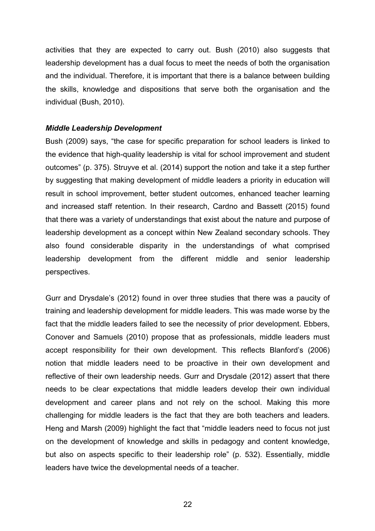activities that they are expected to carry out. Bush (2010) also suggests that leadership development has a dual focus to meet the needs of both the organisation and the individual. Therefore, it is important that there is a balance between building the skills, knowledge and dispositions that serve both the organisation and the individual (Bush, 2010).

#### *Middle Leadership Development*

Bush (2009) says, "the case for specific preparation for school leaders is linked to the evidence that high-quality leadership is vital for school improvement and student outcomes" (p. 375). Struyve et al. (2014) support the notion and take it a step further by suggesting that making development of middle leaders a priority in education will result in school improvement, better student outcomes, enhanced teacher learning and increased staff retention. In their research, Cardno and Bassett (2015) found that there was a variety of understandings that exist about the nature and purpose of leadership development as a concept within New Zealand secondary schools. They also found considerable disparity in the understandings of what comprised leadership development from the different middle and senior leadership perspectives.

Gurr and Drysdale's (2012) found in over three studies that there was a paucity of training and leadership development for middle leaders. This was made worse by the fact that the middle leaders failed to see the necessity of prior development. Ebbers, Conover and Samuels (2010) propose that as professionals, middle leaders must accept responsibility for their own development. This reflects Blanford's (2006) notion that middle leaders need to be proactive in their own development and reflective of their own leadership needs. Gurr and Drysdale (2012) assert that there needs to be clear expectations that middle leaders develop their own individual development and career plans and not rely on the school. Making this more challenging for middle leaders is the fact that they are both teachers and leaders. Heng and Marsh (2009) highlight the fact that "middle leaders need to focus not just on the development of knowledge and skills in pedagogy and content knowledge, but also on aspects specific to their leadership role" (p. 532). Essentially, middle leaders have twice the developmental needs of a teacher.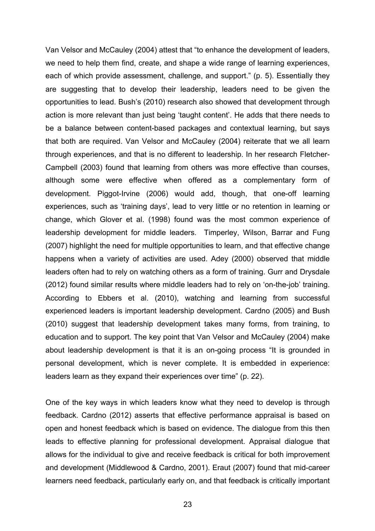Van Velsor and McCauley (2004) attest that "to enhance the development of leaders, we need to help them find, create, and shape a wide range of learning experiences, each of which provide assessment, challenge, and support." (p. 5). Essentially they are suggesting that to develop their leadership, leaders need to be given the opportunities to lead. Bush's (2010) research also showed that development through action is more relevant than just being 'taught content'. He adds that there needs to be a balance between content-based packages and contextual learning, but says that both are required. Van Velsor and McCauley (2004) reiterate that we all learn through experiences, and that is no different to leadership. In her research Fletcher-Campbell (2003) found that learning from others was more effective than courses, although some were effective when offered as a complementary form of development. Piggot-Irvine (2006) would add, though, that one-off learning experiences, such as 'training days', lead to very little or no retention in learning or change, which Glover et al. (1998) found was the most common experience of leadership development for middle leaders. Timperley, Wilson, Barrar and Fung (2007) highlight the need for multiple opportunities to learn, and that effective change happens when a variety of activities are used. Adey (2000) observed that middle leaders often had to rely on watching others as a form of training. Gurr and Drysdale (2012) found similar results where middle leaders had to rely on 'on-the-job' training. According to Ebbers et al. (2010), watching and learning from successful experienced leaders is important leadership development. Cardno (2005) and Bush (2010) suggest that leadership development takes many forms, from training, to education and to support. The key point that Van Velsor and McCauley (2004) make about leadership development is that it is an on-going process "It is grounded in personal development, which is never complete. It is embedded in experience: leaders learn as they expand their experiences over time" (p. 22).

One of the key ways in which leaders know what they need to develop is through feedback. Cardno (2012) asserts that effective performance appraisal is based on open and honest feedback which is based on evidence. The dialogue from this then leads to effective planning for professional development. Appraisal dialogue that allows for the individual to give and receive feedback is critical for both improvement and development (Middlewood & Cardno, 2001). Eraut (2007) found that mid-career learners need feedback, particularly early on, and that feedback is critically important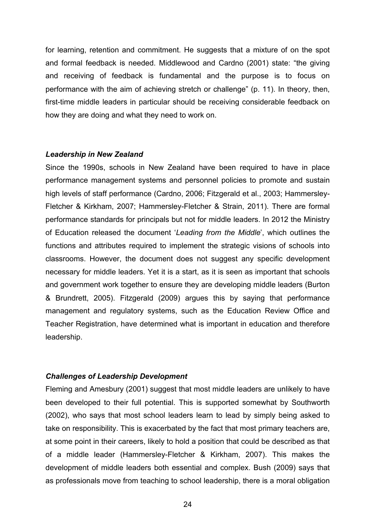for learning, retention and commitment. He suggests that a mixture of on the spot and formal feedback is needed. Middlewood and Cardno (2001) state: "the giving and receiving of feedback is fundamental and the purpose is to focus on performance with the aim of achieving stretch or challenge" (p. 11). In theory, then, first-time middle leaders in particular should be receiving considerable feedback on how they are doing and what they need to work on.

#### *Leadership in New Zealand*

Since the 1990s, schools in New Zealand have been required to have in place performance management systems and personnel policies to promote and sustain high levels of staff performance (Cardno, 2006; Fitzgerald et al., 2003; Hammersley-Fletcher & Kirkham, 2007; Hammersley-Fletcher & Strain, 2011). There are formal performance standards for principals but not for middle leaders. In 2012 the Ministry of Education released the document '*Leading from the Middle*', which outlines the functions and attributes required to implement the strategic visions of schools into classrooms. However, the document does not suggest any specific development necessary for middle leaders. Yet it is a start, as it is seen as important that schools and government work together to ensure they are developing middle leaders (Burton & Brundrett, 2005). Fitzgerald (2009) argues this by saying that performance management and regulatory systems, such as the Education Review Office and Teacher Registration, have determined what is important in education and therefore leadership.

#### *Challenges of Leadership Development*

Fleming and Amesbury (2001) suggest that most middle leaders are unlikely to have been developed to their full potential. This is supported somewhat by Southworth (2002), who says that most school leaders learn to lead by simply being asked to take on responsibility. This is exacerbated by the fact that most primary teachers are, at some point in their careers, likely to hold a position that could be described as that of a middle leader (Hammersley-Fletcher & Kirkham, 2007). This makes the development of middle leaders both essential and complex. Bush (2009) says that as professionals move from teaching to school leadership, there is a moral obligation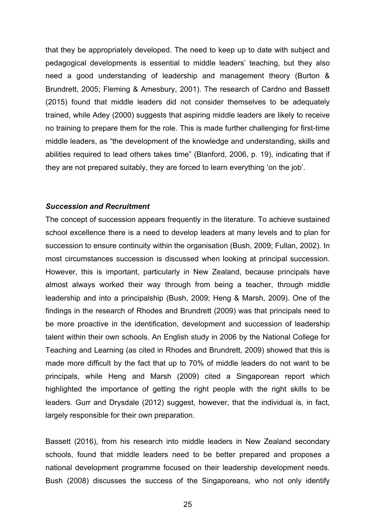that they be appropriately developed. The need to keep up to date with subject and pedagogical developments is essential to middle leaders' teaching, but they also need a good understanding of leadership and management theory (Burton & Brundrett, 2005; Fleming & Amesbury, 2001). The research of Cardno and Bassett (2015) found that middle leaders did not consider themselves to be adequately trained, while Adey (2000) suggests that aspiring middle leaders are likely to receive no training to prepare them for the role. This is made further challenging for first-time middle leaders, as "the development of the knowledge and understanding, skills and abilities required to lead others takes time" (Blanford, 2006, p. 19), indicating that if they are not prepared suitably, they are forced to learn everything 'on the job'.

#### *Succession and Recruitment*

The concept of succession appears frequently in the literature. To achieve sustained school excellence there is a need to develop leaders at many levels and to plan for succession to ensure continuity within the organisation (Bush, 2009; Fullan, 2002). In most circumstances succession is discussed when looking at principal succession. However, this is important, particularly in New Zealand, because principals have almost always worked their way through from being a teacher, through middle leadership and into a principalship (Bush, 2009; Heng & Marsh, 2009). One of the findings in the research of Rhodes and Brundrett (2009) was that principals need to be more proactive in the identification, development and succession of leadership talent within their own schools. An English study in 2006 by the National College for Teaching and Learning (as cited in Rhodes and Brundrett, 2009) showed that this is made more difficult by the fact that up to 70% of middle leaders do not want to be principals, while Heng and Marsh (2009) cited a Singaporean report which highlighted the importance of getting the right people with the right skills to be leaders. Gurr and Drysdale (2012) suggest, however, that the individual is, in fact, largely responsible for their own preparation.

Bassett (2016), from his research into middle leaders in New Zealand secondary schools, found that middle leaders need to be better prepared and proposes a national development programme focused on their leadership development needs. Bush (2008) discusses the success of the Singaporeans, who not only identify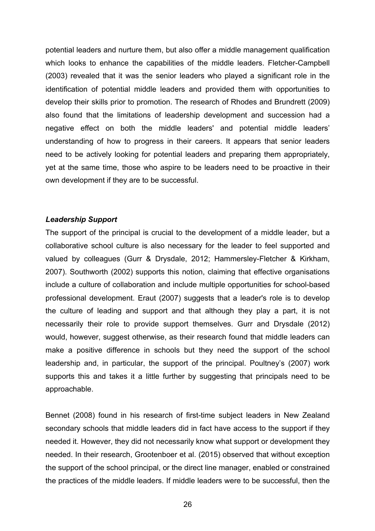potential leaders and nurture them, but also offer a middle management qualification which looks to enhance the capabilities of the middle leaders. Fletcher-Campbell (2003) revealed that it was the senior leaders who played a significant role in the identification of potential middle leaders and provided them with opportunities to develop their skills prior to promotion. The research of Rhodes and Brundrett (2009) also found that the limitations of leadership development and succession had a negative effect on both the middle leaders' and potential middle leaders' understanding of how to progress in their careers. It appears that senior leaders need to be actively looking for potential leaders and preparing them appropriately, yet at the same time, those who aspire to be leaders need to be proactive in their own development if they are to be successful.

#### *Leadership Support*

The support of the principal is crucial to the development of a middle leader, but a collaborative school culture is also necessary for the leader to feel supported and valued by colleagues (Gurr & Drysdale, 2012; Hammersley-Fletcher & Kirkham, 2007). Southworth (2002) supports this notion, claiming that effective organisations include a culture of collaboration and include multiple opportunities for school-based professional development. Eraut (2007) suggests that a leader's role is to develop the culture of leading and support and that although they play a part, it is not necessarily their role to provide support themselves. Gurr and Drysdale (2012) would, however, suggest otherwise, as their research found that middle leaders can make a positive difference in schools but they need the support of the school leadership and, in particular, the support of the principal. Poultney's (2007) work supports this and takes it a little further by suggesting that principals need to be approachable.

Bennet (2008) found in his research of first-time subject leaders in New Zealand secondary schools that middle leaders did in fact have access to the support if they needed it. However, they did not necessarily know what support or development they needed. In their research, Grootenboer et al. (2015) observed that without exception the support of the school principal, or the direct line manager, enabled or constrained the practices of the middle leaders. If middle leaders were to be successful, then the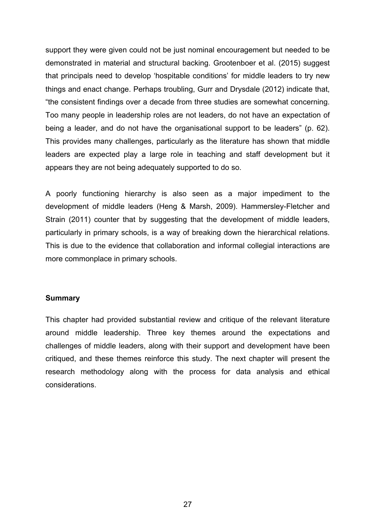support they were given could not be just nominal encouragement but needed to be demonstrated in material and structural backing. Grootenboer et al. (2015) suggest that principals need to develop 'hospitable conditions' for middle leaders to try new things and enact change. Perhaps troubling, Gurr and Drysdale (2012) indicate that, "the consistent findings over a decade from three studies are somewhat concerning. Too many people in leadership roles are not leaders, do not have an expectation of being a leader, and do not have the organisational support to be leaders" (p. 62). This provides many challenges, particularly as the literature has shown that middle leaders are expected play a large role in teaching and staff development but it appears they are not being adequately supported to do so.

A poorly functioning hierarchy is also seen as a major impediment to the development of middle leaders (Heng & Marsh, 2009). Hammersley-Fletcher and Strain (2011) counter that by suggesting that the development of middle leaders, particularly in primary schools, is a way of breaking down the hierarchical relations. This is due to the evidence that collaboration and informal collegial interactions are more commonplace in primary schools.

#### **Summary**

This chapter had provided substantial review and critique of the relevant literature around middle leadership. Three key themes around the expectations and challenges of middle leaders, along with their support and development have been critiqued, and these themes reinforce this study. The next chapter will present the research methodology along with the process for data analysis and ethical considerations.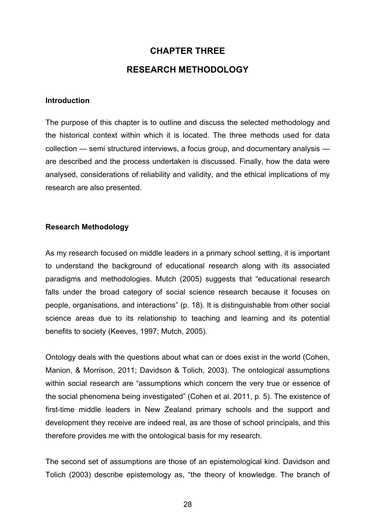# **CHAPTER THREE**

## **RESEARCH METHODOLOGY**

#### **Introduction**

The purpose of this chapter is to outline and discuss the selected methodology and the historical context within which it is located. The three methods used for data collection — semi structured interviews, a focus group, and documentary analysis are described and the process undertaken is discussed. Finally, how the data were analysed, considerations of reliability and validity, and the ethical implications of my research are also presented.

#### **Research Methodology**

As my research focused on middle leaders in a primary school setting, it is important to understand the background of educational research along with its associated paradigms and methodologies. Mutch (2005) suggests that "educational research falls under the broad category of social science research because it focuses on people, organisations, and interactions" (p. 18). It is distinguishable from other social science areas due to its relationship to teaching and learning and its potential benefits to society (Keeves, 1997; Mutch, 2005).

Ontology deals with the questions about what can or does exist in the world (Cohen, Manion, & Morrison, 2011; Davidson & Tolich, 2003). The ontological assumptions within social research are "assumptions which concern the very true or essence of the social phenomena being investigated" (Cohen et al. 2011, p. 5). The existence of first-time middle leaders in New Zealand primary schools and the support and development they receive are indeed real, as are those of school principals, and this therefore provides me with the ontological basis for my research.

The second set of assumptions are those of an epistemological kind. Davidson and Tolich (2003) describe epistemology as, "the theory of knowledge. The branch of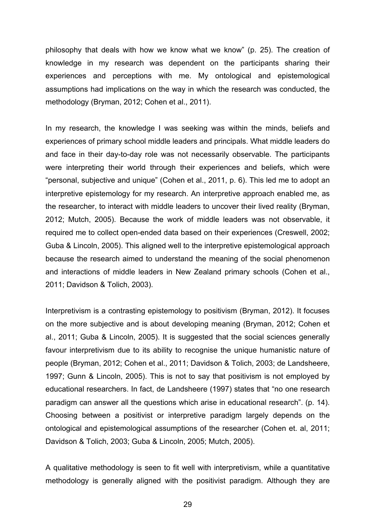philosophy that deals with how we know what we know" (p. 25). The creation of knowledge in my research was dependent on the participants sharing their experiences and perceptions with me. My ontological and epistemological assumptions had implications on the way in which the research was conducted, the methodology (Bryman, 2012; Cohen et al., 2011).

In my research, the knowledge I was seeking was within the minds, beliefs and experiences of primary school middle leaders and principals. What middle leaders do and face in their day-to-day role was not necessarily observable. The participants were interpreting their world through their experiences and beliefs, which were "personal, subjective and unique" (Cohen et al., 2011, p. 6). This led me to adopt an interpretive epistemology for my research. An interpretive approach enabled me, as the researcher, to interact with middle leaders to uncover their lived reality (Bryman, 2012; Mutch, 2005). Because the work of middle leaders was not observable, it required me to collect open-ended data based on their experiences (Creswell, 2002; Guba & Lincoln, 2005). This aligned well to the interpretive epistemological approach because the research aimed to understand the meaning of the social phenomenon and interactions of middle leaders in New Zealand primary schools (Cohen et al., 2011; Davidson & Tolich, 2003).

Interpretivism is a contrasting epistemology to positivism (Bryman, 2012). It focuses on the more subjective and is about developing meaning (Bryman, 2012; Cohen et al., 2011; Guba & Lincoln, 2005). It is suggested that the social sciences generally favour interpretivism due to its ability to recognise the unique humanistic nature of people (Bryman, 2012; Cohen et al., 2011; Davidson & Tolich, 2003; de Landsheere, 1997; Gunn & Lincoln, 2005). This is not to say that positivism is not employed by educational researchers. In fact, de Landsheere (1997) states that "no one research paradigm can answer all the questions which arise in educational research". (p. 14). Choosing between a positivist or interpretive paradigm largely depends on the ontological and epistemological assumptions of the researcher (Cohen et. al, 2011; Davidson & Tolich, 2003; Guba & Lincoln, 2005; Mutch, 2005).

A qualitative methodology is seen to fit well with interpretivism, while a quantitative methodology is generally aligned with the positivist paradigm. Although they are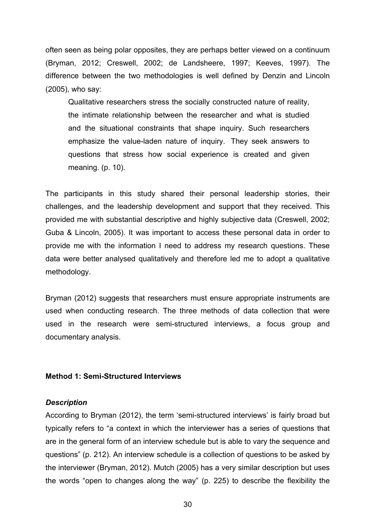often seen as being polar opposites, they are perhaps better viewed on a continuum (Bryman, 2012; Creswell, 2002; de Landsheere, 1997; Keeves, 1997). The difference between the two methodologies is well defined by Denzin and Lincoln (2005), who say:

Qualitative researchers stress the socially constructed nature of reality, the intimate relationship between the researcher and what is studied and the situational constraints that shape inquiry. Such researchers emphasize the value-laden nature of inquiry. They seek answers to questions that stress how social experience is created and given meaning. (p. 10).

The participants in this study shared their personal leadership stories, their challenges, and the leadership development and support that they received. This provided me with substantial descriptive and highly subjective data (Creswell, 2002; Guba & Lincoln, 2005). It was important to access these personal data in order to provide me with the information I need to address my research questions. These data were better analysed qualitatively and therefore led me to adopt a qualitative methodology.

Bryman (2012) suggests that researchers must ensure appropriate instruments are used when conducting research. The three methods of data collection that were used in the research were semi-structured interviews, a focus group and documentary analysis.

### **Method 1: Semi-Structured Interviews**

#### *Description*

According to Bryman (2012), the term 'semi-structured interviews' is fairly broad but typically refers to "a context in which the interviewer has a series of questions that are in the general form of an interview schedule but is able to vary the sequence and questions" (p. 212). An interview schedule is a collection of questions to be asked by the interviewer (Bryman, 2012). Mutch (2005) has a very similar description but uses the words "open to changes along the way" (p. 225) to describe the flexibility the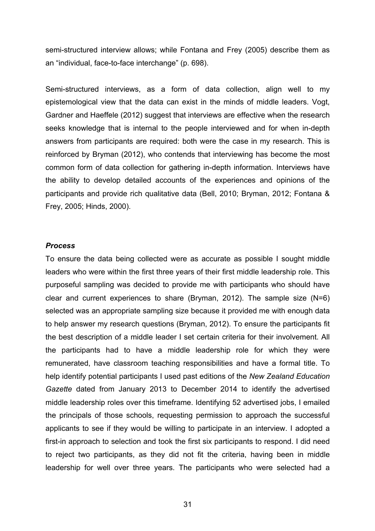semi-structured interview allows; while Fontana and Frey (2005) describe them as an "individual, face-to-face interchange" (p. 698).

Semi-structured interviews, as a form of data collection, align well to my epistemological view that the data can exist in the minds of middle leaders. Vogt, Gardner and Haeffele (2012) suggest that interviews are effective when the research seeks knowledge that is internal to the people interviewed and for when in-depth answers from participants are required: both were the case in my research. This is reinforced by Bryman (2012), who contends that interviewing has become the most common form of data collection for gathering in-depth information. Interviews have the ability to develop detailed accounts of the experiences and opinions of the participants and provide rich qualitative data (Bell, 2010; Bryman, 2012; Fontana & Frey, 2005; Hinds, 2000).

### *Process*

To ensure the data being collected were as accurate as possible I sought middle leaders who were within the first three years of their first middle leadership role. This purposeful sampling was decided to provide me with participants who should have clear and current experiences to share (Bryman, 2012). The sample size (N=6) selected was an appropriate sampling size because it provided me with enough data to help answer my research questions (Bryman, 2012). To ensure the participants fit the best description of a middle leader I set certain criteria for their involvement. All the participants had to have a middle leadership role for which they were remunerated, have classroom teaching responsibilities and have a formal title. To help identify potential participants I used past editions of the *New Zealand Education Gazette* dated from January 2013 to December 2014 to identify the advertised middle leadership roles over this timeframe. Identifying 52 advertised jobs, I emailed the principals of those schools, requesting permission to approach the successful applicants to see if they would be willing to participate in an interview. I adopted a first-in approach to selection and took the first six participants to respond. I did need to reject two participants, as they did not fit the criteria, having been in middle leadership for well over three years. The participants who were selected had a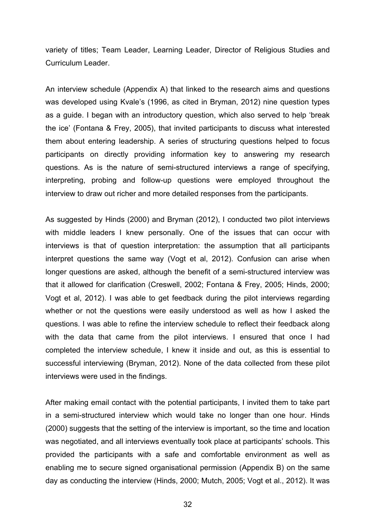variety of titles; Team Leader, Learning Leader, Director of Religious Studies and Curriculum Leader.

An interview schedule (Appendix A) that linked to the research aims and questions was developed using Kvale's (1996, as cited in Bryman, 2012) nine question types as a guide. I began with an introductory question, which also served to help 'break the ice' (Fontana & Frey, 2005), that invited participants to discuss what interested them about entering leadership. A series of structuring questions helped to focus participants on directly providing information key to answering my research questions. As is the nature of semi-structured interviews a range of specifying, interpreting, probing and follow-up questions were employed throughout the interview to draw out richer and more detailed responses from the participants.

As suggested by Hinds (2000) and Bryman (2012), I conducted two pilot interviews with middle leaders I knew personally. One of the issues that can occur with interviews is that of question interpretation: the assumption that all participants interpret questions the same way (Vogt et al, 2012). Confusion can arise when longer questions are asked, although the benefit of a semi-structured interview was that it allowed for clarification (Creswell, 2002; Fontana & Frey, 2005; Hinds, 2000; Vogt et al, 2012). I was able to get feedback during the pilot interviews regarding whether or not the questions were easily understood as well as how I asked the questions. I was able to refine the interview schedule to reflect their feedback along with the data that came from the pilot interviews. I ensured that once I had completed the interview schedule, I knew it inside and out, as this is essential to successful interviewing (Bryman, 2012). None of the data collected from these pilot interviews were used in the findings.

After making email contact with the potential participants, I invited them to take part in a semi-structured interview which would take no longer than one hour. Hinds (2000) suggests that the setting of the interview is important, so the time and location was negotiated, and all interviews eventually took place at participants' schools. This provided the participants with a safe and comfortable environment as well as enabling me to secure signed organisational permission (Appendix B) on the same day as conducting the interview (Hinds, 2000; Mutch, 2005; Vogt et al., 2012). It was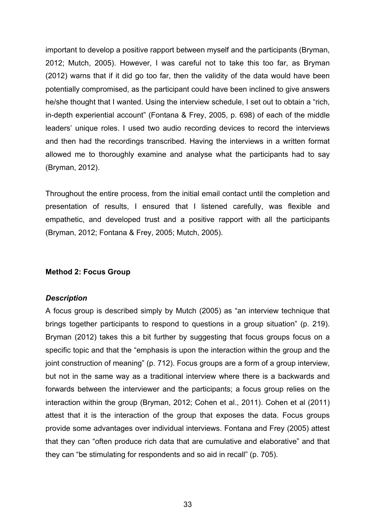important to develop a positive rapport between myself and the participants (Bryman, 2012; Mutch, 2005). However, I was careful not to take this too far, as Bryman (2012) warns that if it did go too far, then the validity of the data would have been potentially compromised, as the participant could have been inclined to give answers he/she thought that I wanted. Using the interview schedule, I set out to obtain a "rich, in-depth experiential account" (Fontana & Frey, 2005, p. 698) of each of the middle leaders' unique roles. I used two audio recording devices to record the interviews and then had the recordings transcribed. Having the interviews in a written format allowed me to thoroughly examine and analyse what the participants had to say (Bryman, 2012).

Throughout the entire process, from the initial email contact until the completion and presentation of results, I ensured that I listened carefully, was flexible and empathetic, and developed trust and a positive rapport with all the participants (Bryman, 2012; Fontana & Frey, 2005; Mutch, 2005).

#### **Method 2: Focus Group**

#### *Description*

A focus group is described simply by Mutch (2005) as "an interview technique that brings together participants to respond to questions in a group situation" (p. 219). Bryman (2012) takes this a bit further by suggesting that focus groups focus on a specific topic and that the "emphasis is upon the interaction within the group and the joint construction of meaning" (p. 712). Focus groups are a form of a group interview, but not in the same way as a traditional interview where there is a backwards and forwards between the interviewer and the participants; a focus group relies on the interaction within the group (Bryman, 2012; Cohen et al., 2011). Cohen et al (2011) attest that it is the interaction of the group that exposes the data. Focus groups provide some advantages over individual interviews. Fontana and Frey (2005) attest that they can "often produce rich data that are cumulative and elaborative" and that they can "be stimulating for respondents and so aid in recall" (p. 705).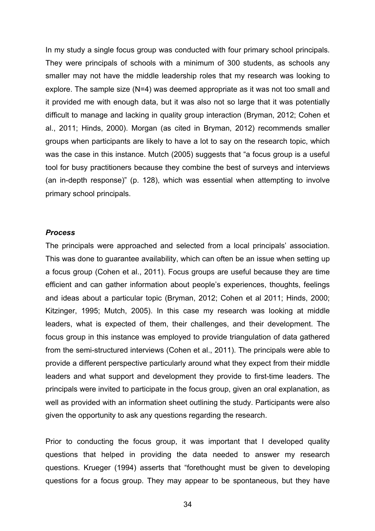In my study a single focus group was conducted with four primary school principals. They were principals of schools with a minimum of 300 students, as schools any smaller may not have the middle leadership roles that my research was looking to explore. The sample size (N=4) was deemed appropriate as it was not too small and it provided me with enough data, but it was also not so large that it was potentially difficult to manage and lacking in quality group interaction (Bryman, 2012; Cohen et al., 2011; Hinds, 2000). Morgan (as cited in Bryman, 2012) recommends smaller groups when participants are likely to have a lot to say on the research topic, which was the case in this instance. Mutch (2005) suggests that "a focus group is a useful tool for busy practitioners because they combine the best of surveys and interviews (an in-depth response)" (p. 128), which was essential when attempting to involve primary school principals.

#### *Process*

The principals were approached and selected from a local principals' association. This was done to guarantee availability, which can often be an issue when setting up a focus group (Cohen et al., 2011). Focus groups are useful because they are time efficient and can gather information about people's experiences, thoughts, feelings and ideas about a particular topic (Bryman, 2012; Cohen et al 2011; Hinds, 2000; Kitzinger, 1995; Mutch, 2005). In this case my research was looking at middle leaders, what is expected of them, their challenges, and their development. The focus group in this instance was employed to provide triangulation of data gathered from the semi-structured interviews (Cohen et al., 2011). The principals were able to provide a different perspective particularly around what they expect from their middle leaders and what support and development they provide to first-time leaders. The principals were invited to participate in the focus group, given an oral explanation, as well as provided with an information sheet outlining the study. Participants were also given the opportunity to ask any questions regarding the research.

Prior to conducting the focus group, it was important that I developed quality questions that helped in providing the data needed to answer my research questions. Krueger (1994) asserts that "forethought must be given to developing questions for a focus group. They may appear to be spontaneous, but they have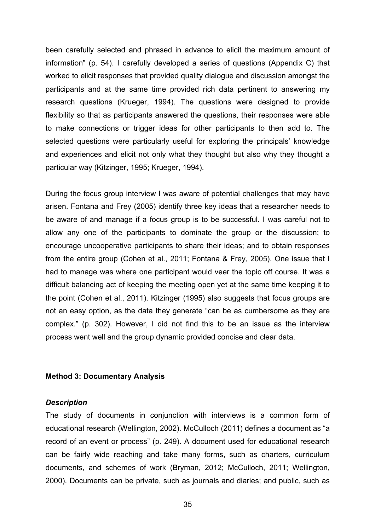been carefully selected and phrased in advance to elicit the maximum amount of information" (p. 54). I carefully developed a series of questions (Appendix C) that worked to elicit responses that provided quality dialogue and discussion amongst the participants and at the same time provided rich data pertinent to answering my research questions (Krueger, 1994). The questions were designed to provide flexibility so that as participants answered the questions, their responses were able to make connections or trigger ideas for other participants to then add to. The selected questions were particularly useful for exploring the principals' knowledge and experiences and elicit not only what they thought but also why they thought a particular way (Kitzinger, 1995; Krueger, 1994).

During the focus group interview I was aware of potential challenges that may have arisen. Fontana and Frey (2005) identify three key ideas that a researcher needs to be aware of and manage if a focus group is to be successful. I was careful not to allow any one of the participants to dominate the group or the discussion; to encourage uncooperative participants to share their ideas; and to obtain responses from the entire group (Cohen et al., 2011; Fontana & Frey, 2005). One issue that I had to manage was where one participant would veer the topic off course. It was a difficult balancing act of keeping the meeting open yet at the same time keeping it to the point (Cohen et al., 2011). Kitzinger (1995) also suggests that focus groups are not an easy option, as the data they generate "can be as cumbersome as they are complex." (p. 302). However, I did not find this to be an issue as the interview process went well and the group dynamic provided concise and clear data.

### **Method 3: Documentary Analysis**

#### *Description*

The study of documents in conjunction with interviews is a common form of educational research (Wellington, 2002). McCulloch (2011) defines a document as "a record of an event or process" (p. 249). A document used for educational research can be fairly wide reaching and take many forms, such as charters, curriculum documents, and schemes of work (Bryman, 2012; McCulloch, 2011; Wellington, 2000). Documents can be private, such as journals and diaries; and public, such as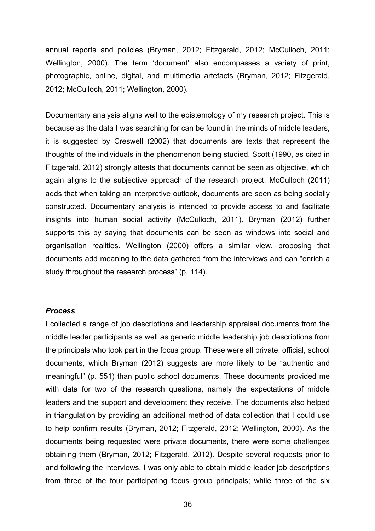annual reports and policies (Bryman, 2012; Fitzgerald, 2012; McCulloch, 2011; Wellington, 2000). The term 'document' also encompasses a variety of print, photographic, online, digital, and multimedia artefacts (Bryman, 2012; Fitzgerald, 2012; McCulloch, 2011; Wellington, 2000).

Documentary analysis aligns well to the epistemology of my research project. This is because as the data I was searching for can be found in the minds of middle leaders, it is suggested by Creswell (2002) that documents are texts that represent the thoughts of the individuals in the phenomenon being studied. Scott (1990, as cited in Fitzgerald, 2012) strongly attests that documents cannot be seen as objective, which again aligns to the subjective approach of the research project. McCulloch (2011) adds that when taking an interpretive outlook, documents are seen as being socially constructed. Documentary analysis is intended to provide access to and facilitate insights into human social activity (McCulloch, 2011). Bryman (2012) further supports this by saying that documents can be seen as windows into social and organisation realities. Wellington (2000) offers a similar view, proposing that documents add meaning to the data gathered from the interviews and can "enrich a study throughout the research process" (p. 114).

#### *Process*

I collected a range of job descriptions and leadership appraisal documents from the middle leader participants as well as generic middle leadership job descriptions from the principals who took part in the focus group. These were all private, official, school documents, which Bryman (2012) suggests are more likely to be "authentic and meaningful" (p. 551) than public school documents. These documents provided me with data for two of the research questions, namely the expectations of middle leaders and the support and development they receive. The documents also helped in triangulation by providing an additional method of data collection that I could use to help confirm results (Bryman, 2012; Fitzgerald, 2012; Wellington, 2000). As the documents being requested were private documents, there were some challenges obtaining them (Bryman, 2012; Fitzgerald, 2012). Despite several requests prior to and following the interviews, I was only able to obtain middle leader job descriptions from three of the four participating focus group principals; while three of the six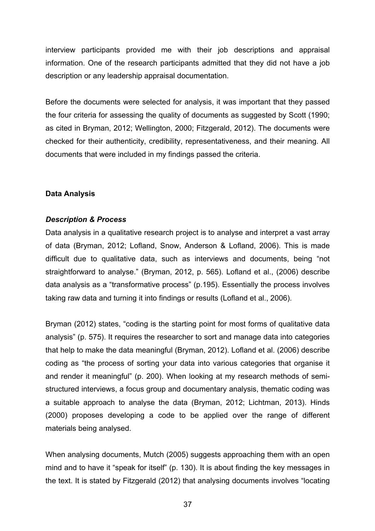interview participants provided me with their job descriptions and appraisal information. One of the research participants admitted that they did not have a job description or any leadership appraisal documentation.

Before the documents were selected for analysis, it was important that they passed the four criteria for assessing the quality of documents as suggested by Scott (1990; as cited in Bryman, 2012; Wellington, 2000; Fitzgerald, 2012). The documents were checked for their authenticity, credibility, representativeness, and their meaning. All documents that were included in my findings passed the criteria.

## **Data Analysis**

# *Description & Process*

Data analysis in a qualitative research project is to analyse and interpret a vast array of data (Bryman, 2012; Lofland, Snow, Anderson & Lofland, 2006). This is made difficult due to qualitative data, such as interviews and documents, being "not straightforward to analyse." (Bryman, 2012, p. 565). Lofland et al., (2006) describe data analysis as a "transformative process" (p.195). Essentially the process involves taking raw data and turning it into findings or results (Lofland et al., 2006).

Bryman (2012) states, "coding is the starting point for most forms of qualitative data analysis" (p. 575). It requires the researcher to sort and manage data into categories that help to make the data meaningful (Bryman, 2012). Lofland et al. (2006) describe coding as "the process of sorting your data into various categories that organise it and render it meaningful" (p. 200). When looking at my research methods of semistructured interviews, a focus group and documentary analysis, thematic coding was a suitable approach to analyse the data (Bryman, 2012; Lichtman, 2013). Hinds (2000) proposes developing a code to be applied over the range of different materials being analysed.

When analysing documents, Mutch (2005) suggests approaching them with an open mind and to have it "speak for itself" (p. 130). It is about finding the key messages in the text. It is stated by Fitzgerald (2012) that analysing documents involves "locating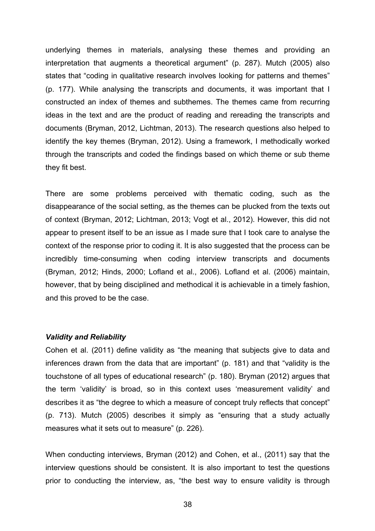underlying themes in materials, analysing these themes and providing an interpretation that augments a theoretical argument" (p. 287). Mutch (2005) also states that "coding in qualitative research involves looking for patterns and themes" (p. 177). While analysing the transcripts and documents, it was important that I constructed an index of themes and subthemes. The themes came from recurring ideas in the text and are the product of reading and rereading the transcripts and documents (Bryman, 2012, Lichtman, 2013). The research questions also helped to identify the key themes (Bryman, 2012). Using a framework, I methodically worked through the transcripts and coded the findings based on which theme or sub theme they fit best.

There are some problems perceived with thematic coding, such as the disappearance of the social setting, as the themes can be plucked from the texts out of context (Bryman, 2012; Lichtman, 2013; Vogt et al., 2012). However, this did not appear to present itself to be an issue as I made sure that I took care to analyse the context of the response prior to coding it. It is also suggested that the process can be incredibly time-consuming when coding interview transcripts and documents (Bryman, 2012; Hinds, 2000; Lofland et al., 2006). Lofland et al. (2006) maintain, however, that by being disciplined and methodical it is achievable in a timely fashion, and this proved to be the case.

#### *Validity and Reliability*

Cohen et al. (2011) define validity as "the meaning that subjects give to data and inferences drawn from the data that are important" (p. 181) and that "validity is the touchstone of all types of educational research" (p. 180). Bryman (2012) argues that the term 'validity' is broad, so in this context uses 'measurement validity' and describes it as "the degree to which a measure of concept truly reflects that concept" (p. 713). Mutch (2005) describes it simply as "ensuring that a study actually measures what it sets out to measure" (p. 226).

When conducting interviews, Bryman (2012) and Cohen, et al., (2011) say that the interview questions should be consistent. It is also important to test the questions prior to conducting the interview, as, "the best way to ensure validity is through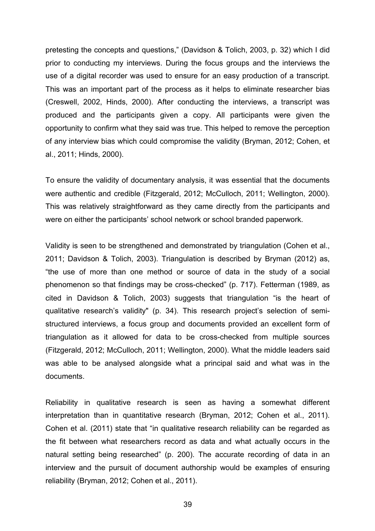pretesting the concepts and questions," (Davidson & Tolich, 2003, p. 32) which I did prior to conducting my interviews. During the focus groups and the interviews the use of a digital recorder was used to ensure for an easy production of a transcript. This was an important part of the process as it helps to eliminate researcher bias (Creswell, 2002, Hinds, 2000). After conducting the interviews, a transcript was produced and the participants given a copy. All participants were given the opportunity to confirm what they said was true. This helped to remove the perception of any interview bias which could compromise the validity (Bryman, 2012; Cohen, et al., 2011; Hinds, 2000).

To ensure the validity of documentary analysis, it was essential that the documents were authentic and credible (Fitzgerald, 2012; McCulloch, 2011; Wellington, 2000). This was relatively straightforward as they came directly from the participants and were on either the participants' school network or school branded paperwork.

Validity is seen to be strengthened and demonstrated by triangulation (Cohen et al., 2011; Davidson & Tolich, 2003). Triangulation is described by Bryman (2012) as, "the use of more than one method or source of data in the study of a social phenomenon so that findings may be cross-checked" (p. 717). Fetterman (1989, as cited in Davidson & Tolich, 2003) suggests that triangulation "is the heart of qualitative research's validity" (p. 34). This research project's selection of semistructured interviews, a focus group and documents provided an excellent form of triangulation as it allowed for data to be cross-checked from multiple sources (Fitzgerald, 2012; McCulloch, 2011; Wellington, 2000). What the middle leaders said was able to be analysed alongside what a principal said and what was in the documents.

Reliability in qualitative research is seen as having a somewhat different interpretation than in quantitative research (Bryman, 2012; Cohen et al., 2011). Cohen et al. (2011) state that "in qualitative research reliability can be regarded as the fit between what researchers record as data and what actually occurs in the natural setting being researched" (p. 200). The accurate recording of data in an interview and the pursuit of document authorship would be examples of ensuring reliability (Bryman, 2012; Cohen et al., 2011).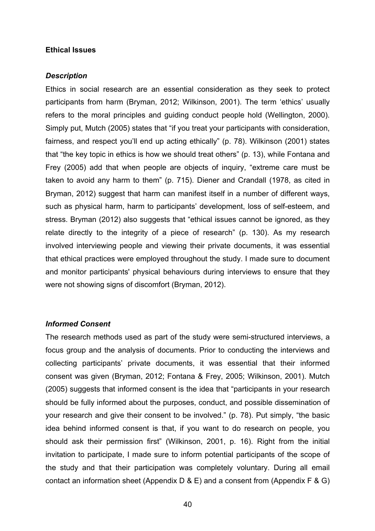#### **Ethical Issues**

#### *Description*

Ethics in social research are an essential consideration as they seek to protect participants from harm (Bryman, 2012; Wilkinson, 2001). The term 'ethics' usually refers to the moral principles and guiding conduct people hold (Wellington, 2000). Simply put, Mutch (2005) states that "if you treat your participants with consideration, fairness, and respect you'll end up acting ethically" (p. 78). Wilkinson (2001) states that "the key topic in ethics is how we should treat others" (p. 13), while Fontana and Frey (2005) add that when people are objects of inquiry, "extreme care must be taken to avoid any harm to them" (p. 715). Diener and Crandall (1978, as cited in Bryman, 2012) suggest that harm can manifest itself in a number of different ways, such as physical harm, harm to participants' development, loss of self-esteem, and stress. Bryman (2012) also suggests that "ethical issues cannot be ignored, as they relate directly to the integrity of a piece of research" (p. 130). As my research involved interviewing people and viewing their private documents, it was essential that ethical practices were employed throughout the study. I made sure to document and monitor participants' physical behaviours during interviews to ensure that they were not showing signs of discomfort (Bryman, 2012).

#### *Informed Consent*

The research methods used as part of the study were semi-structured interviews, a focus group and the analysis of documents. Prior to conducting the interviews and collecting participants' private documents, it was essential that their informed consent was given (Bryman, 2012; Fontana & Frey, 2005; Wilkinson, 2001). Mutch (2005) suggests that informed consent is the idea that "participants in your research should be fully informed about the purposes, conduct, and possible dissemination of your research and give their consent to be involved." (p. 78). Put simply, "the basic idea behind informed consent is that, if you want to do research on people, you should ask their permission first" (Wilkinson, 2001, p. 16). Right from the initial invitation to participate, I made sure to inform potential participants of the scope of the study and that their participation was completely voluntary. During all email contact an information sheet (Appendix D & E) and a consent from (Appendix F & G)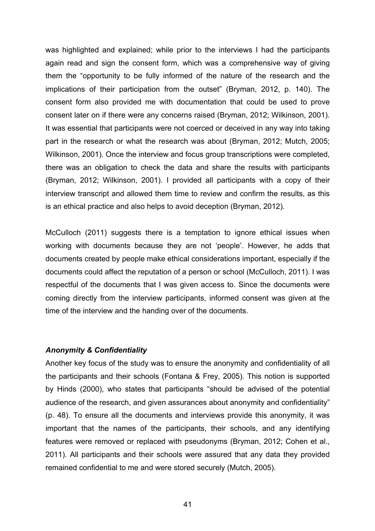was highlighted and explained; while prior to the interviews I had the participants again read and sign the consent form, which was a comprehensive way of giving them the "opportunity to be fully informed of the nature of the research and the implications of their participation from the outset" (Bryman, 2012, p. 140). The consent form also provided me with documentation that could be used to prove consent later on if there were any concerns raised (Bryman, 2012; Wilkinson, 2001). It was essential that participants were not coerced or deceived in any way into taking part in the research or what the research was about (Bryman, 2012; Mutch, 2005; Wilkinson, 2001). Once the interview and focus group transcriptions were completed, there was an obligation to check the data and share the results with participants (Bryman, 2012; Wilkinson, 2001). I provided all participants with a copy of their interview transcript and allowed them time to review and confirm the results, as this is an ethical practice and also helps to avoid deception (Bryman, 2012).

McCulloch (2011) suggests there is a temptation to ignore ethical issues when working with documents because they are not 'people'. However, he adds that documents created by people make ethical considerations important, especially if the documents could affect the reputation of a person or school (McCulloch, 2011). I was respectful of the documents that I was given access to. Since the documents were coming directly from the interview participants, informed consent was given at the time of the interview and the handing over of the documents.

#### *Anonymity & Confidentiality*

Another key focus of the study was to ensure the anonymity and confidentiality of all the participants and their schools (Fontana & Frey, 2005). This notion is supported by Hinds (2000), who states that participants "should be advised of the potential audience of the research, and given assurances about anonymity and confidentiality" (p. 48). To ensure all the documents and interviews provide this anonymity, it was important that the names of the participants, their schools, and any identifying features were removed or replaced with pseudonyms (Bryman, 2012; Cohen et al., 2011). All participants and their schools were assured that any data they provided remained confidential to me and were stored securely (Mutch, 2005).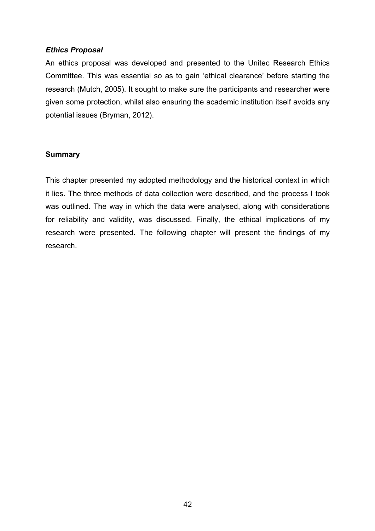## *Ethics Proposal*

An ethics proposal was developed and presented to the Unitec Research Ethics Committee. This was essential so as to gain 'ethical clearance' before starting the research (Mutch, 2005). It sought to make sure the participants and researcher were given some protection, whilst also ensuring the academic institution itself avoids any potential issues (Bryman, 2012).

## **Summary**

This chapter presented my adopted methodology and the historical context in which it lies. The three methods of data collection were described, and the process I took was outlined. The way in which the data were analysed, along with considerations for reliability and validity, was discussed. Finally, the ethical implications of my research were presented. The following chapter will present the findings of my research.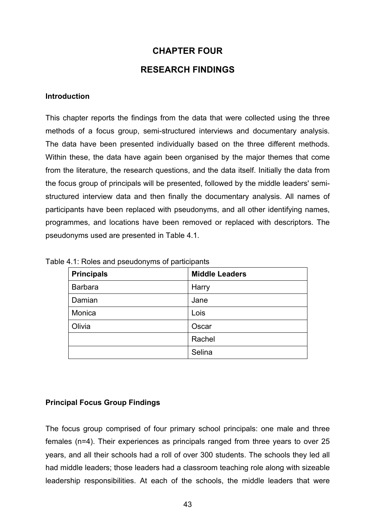# **CHAPTER FOUR**

# **RESEARCH FINDINGS**

### **Introduction**

This chapter reports the findings from the data that were collected using the three methods of a focus group, semi-structured interviews and documentary analysis. The data have been presented individually based on the three different methods. Within these, the data have again been organised by the major themes that come from the literature, the research questions, and the data itself. Initially the data from the focus group of principals will be presented, followed by the middle leaders' semistructured interview data and then finally the documentary analysis. All names of participants have been replaced with pseudonyms, and all other identifying names, programmes, and locations have been removed or replaced with descriptors. The pseudonyms used are presented in Table 4.1.

| <b>Principals</b> | <b>Middle Leaders</b> |
|-------------------|-----------------------|
| <b>Barbara</b>    | Harry                 |
| Damian            | Jane                  |
| Monica            | Lois                  |
| Olivia            | Oscar                 |
|                   | Rachel                |
|                   | Selina                |

Table 4.1: Roles and pseudonyms of participants

## **Principal Focus Group Findings**

The focus group comprised of four primary school principals: one male and three females (n=4). Their experiences as principals ranged from three years to over 25 years, and all their schools had a roll of over 300 students. The schools they led all had middle leaders; those leaders had a classroom teaching role along with sizeable leadership responsibilities. At each of the schools, the middle leaders that were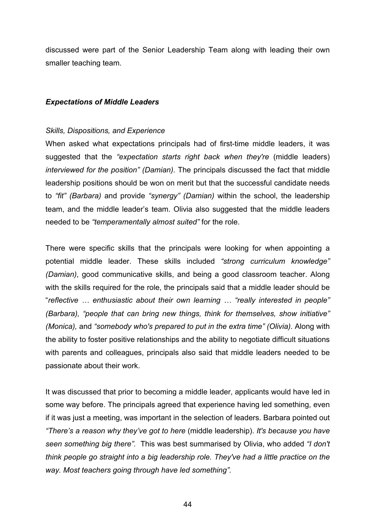discussed were part of the Senior Leadership Team along with leading their own smaller teaching team.

### *Expectations of Middle Leaders*

#### *Skills, Dispositions, and Experience*

When asked what expectations principals had of first-time middle leaders, it was suggested that the *"expectation starts right back when they're* (middle leaders) *interviewed for the position" (Damian)*. The principals discussed the fact that middle leadership positions should be won on merit but that the successful candidate needs to *"fit" (Barbara)* and provide *"synergy" (Damian)* within the school, the leadership team, and the middle leader's team. Olivia also suggested that the middle leaders needed to be *"temperamentally almost suited"* for the role.

There were specific skills that the principals were looking for when appointing a potential middle leader. These skills included *"strong curriculum knowledge" (Damian)*, good communicative skills, and being a good classroom teacher. Along with the skills required for the role, the principals said that a middle leader should be "*reflective … enthusiastic about their own learning … "really interested in people" (Barbara), "people that can bring new things, think for themselves, show initiative" (Monica),* and *"somebody who's prepared to put in the extra time" (Olivia).* Along with the ability to foster positive relationships and the ability to negotiate difficult situations with parents and colleagues, principals also said that middle leaders needed to be passionate about their work.

It was discussed that prior to becoming a middle leader, applicants would have led in some way before. The principals agreed that experience having led something, even if it was just a meeting, was important in the selection of leaders. Barbara pointed out *"There's a reason why they've got to here* (middle leadership). *It's because you have seen something big there".* This was best summarised by Olivia, who added *"I don't think people go straight into a big leadership role. They've had a little practice on the way. Most teachers going through have led something".*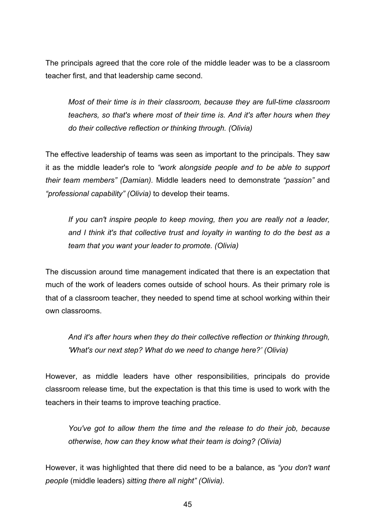The principals agreed that the core role of the middle leader was to be a classroom teacher first, and that leadership came second.

*Most of their time is in their classroom, because they are full-time classroom teachers, so that's where most of their time is. And it's after hours when they do their collective reflection or thinking through. (Olivia)*

The effective leadership of teams was seen as important to the principals. They saw it as the middle leader's role to *"work alongside people and to be able to support their team members" (Damian).* Middle leaders need to demonstrate *"passion"* and *"professional capability" (Olivia)* to develop their teams.

*If you can't inspire people to keep moving, then you are really not a leader, and I think it's that collective trust and loyalty in wanting to do the best as a team that you want your leader to promote. (Olivia)*

The discussion around time management indicated that there is an expectation that much of the work of leaders comes outside of school hours. As their primary role is that of a classroom teacher, they needed to spend time at school working within their own classrooms.

*And it's after hours when they do their collective reflection or thinking through, 'What's our next step? What do we need to change here?' (Olivia)*

However, as middle leaders have other responsibilities, principals do provide classroom release time, but the expectation is that this time is used to work with the teachers in their teams to improve teaching practice.

*You've got to allow them the time and the release to do their job, because otherwise, how can they know what their team is doing? (Olivia)*

However, it was highlighted that there did need to be a balance, as *"you don't want people* (middle leaders) *sitting there all night" (Olivia).*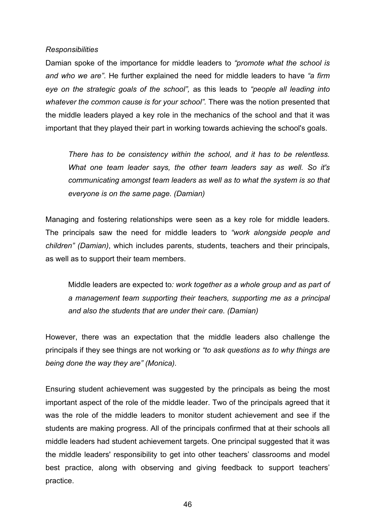### *Responsibilities*

Damian spoke of the importance for middle leaders to *"promote what the school is and who we are"*. He further explained the need for middle leaders to have *"a firm eye on the strategic goals of the school",* as this leads to *"people all leading into whatever the common cause is for your school".* There was the notion presented that the middle leaders played a key role in the mechanics of the school and that it was important that they played their part in working towards achieving the school's goals.

*There has to be consistency within the school, and it has to be relentless. What one team leader says, the other team leaders say as well. So it's communicating amongst team leaders as well as to what the system is so that everyone is on the same page. (Damian)*

Managing and fostering relationships were seen as a key role for middle leaders. The principals saw the need for middle leaders to *"work alongside people and children" (Damian)*, which includes parents, students, teachers and their principals, as well as to support their team members.

Middle leaders are expected to*: work together as a whole group and as part of a management team supporting their teachers, supporting me as a principal and also the students that are under their care. (Damian)*

However, there was an expectation that the middle leaders also challenge the principals if they see things are not working or *"to ask questions as to why things are being done the way they are" (Monica).*

Ensuring student achievement was suggested by the principals as being the most important aspect of the role of the middle leader. Two of the principals agreed that it was the role of the middle leaders to monitor student achievement and see if the students are making progress. All of the principals confirmed that at their schools all middle leaders had student achievement targets. One principal suggested that it was the middle leaders' responsibility to get into other teachers' classrooms and model best practice, along with observing and giving feedback to support teachers' practice.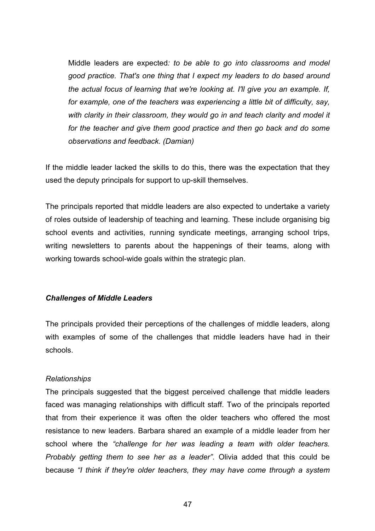Middle leaders are expected*: to be able to go into classrooms and model good practice. That's one thing that I expect my leaders to do based around the actual focus of learning that we're looking at. I'll give you an example. If, for example, one of the teachers was experiencing a little bit of difficulty, say, with clarity in their classroom, they would go in and teach clarity and model it for the teacher and give them good practice and then go back and do some observations and feedback. (Damian)*

If the middle leader lacked the skills to do this, there was the expectation that they used the deputy principals for support to up-skill themselves.

The principals reported that middle leaders are also expected to undertake a variety of roles outside of leadership of teaching and learning. These include organising big school events and activities, running syndicate meetings, arranging school trips, writing newsletters to parents about the happenings of their teams, along with working towards school-wide goals within the strategic plan.

## *Challenges of Middle Leaders*

The principals provided their perceptions of the challenges of middle leaders, along with examples of some of the challenges that middle leaders have had in their schools.

## *Relationships*

The principals suggested that the biggest perceived challenge that middle leaders faced was managing relationships with difficult staff. Two of the principals reported that from their experience it was often the older teachers who offered the most resistance to new leaders. Barbara shared an example of a middle leader from her school where the *"challenge for her was leading a team with older teachers. Probably getting them to see her as a leader"*. Olivia added that this could be because *"I think if they're older teachers, they may have come through a system*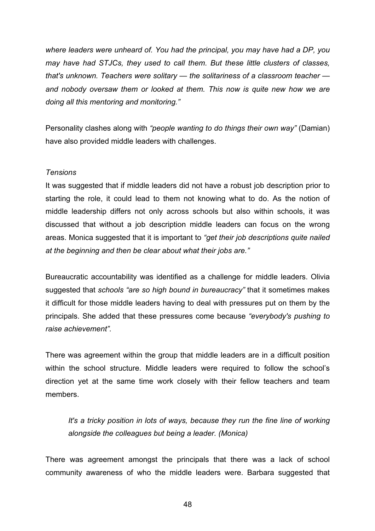*where leaders were unheard of. You had the principal, you may have had a DP, you may have had STJCs, they used to call them. But these little clusters of classes, that's unknown. Teachers were solitary — the solitariness of a classroom teacher and nobody oversaw them or looked at them. This now is quite new how we are doing all this mentoring and monitoring."* 

Personality clashes along with *"people wanting to do things their own way"* (Damian) have also provided middle leaders with challenges.

### *Tensions*

It was suggested that if middle leaders did not have a robust job description prior to starting the role, it could lead to them not knowing what to do. As the notion of middle leadership differs not only across schools but also within schools, it was discussed that without a job description middle leaders can focus on the wrong areas. Monica suggested that it is important to *"get their job descriptions quite nailed at the beginning and then be clear about what their jobs are."*

Bureaucratic accountability was identified as a challenge for middle leaders. Olivia suggested that *schools "are so high bound in bureaucracy"* that it sometimes makes it difficult for those middle leaders having to deal with pressures put on them by the principals. She added that these pressures come because *"everybody's pushing to raise achievement".*

There was agreement within the group that middle leaders are in a difficult position within the school structure. Middle leaders were required to follow the school's direction yet at the same time work closely with their fellow teachers and team members.

*It's a tricky position in lots of ways, because they run the fine line of working alongside the colleagues but being a leader. (Monica)*

There was agreement amongst the principals that there was a lack of school community awareness of who the middle leaders were. Barbara suggested that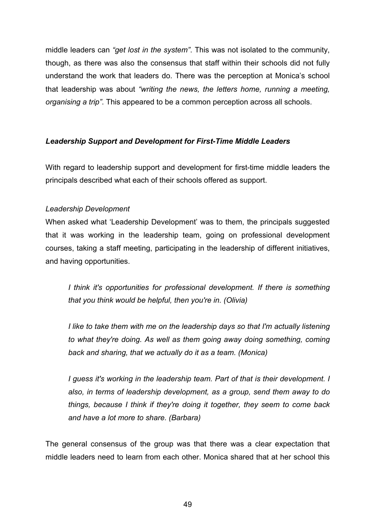middle leaders can *"get lost in the system"*. This was not isolated to the community, though, as there was also the consensus that staff within their schools did not fully understand the work that leaders do. There was the perception at Monica's school that leadership was about *"writing the news, the letters home, running a meeting, organising a trip"*. This appeared to be a common perception across all schools.

# *Leadership Support and Development for First-Time Middle Leaders*

With regard to leadership support and development for first-time middle leaders the principals described what each of their schools offered as support.

# *Leadership Development*

When asked what 'Leadership Development' was to them, the principals suggested that it was working in the leadership team, going on professional development courses, taking a staff meeting, participating in the leadership of different initiatives, and having opportunities.

*I think it's opportunities for professional development. If there is something that you think would be helpful, then you're in. (Olivia)*

*I* like to take them with me on the leadership days so that I'm actually listening *to what they're doing. As well as them going away doing something, coming back and sharing, that we actually do it as a team. (Monica)*

*I guess it's working in the leadership team. Part of that is their development. I also, in terms of leadership development, as a group, send them away to do things, because I think if they're doing it together, they seem to come back and have a lot more to share. (Barbara)*

The general consensus of the group was that there was a clear expectation that middle leaders need to learn from each other. Monica shared that at her school this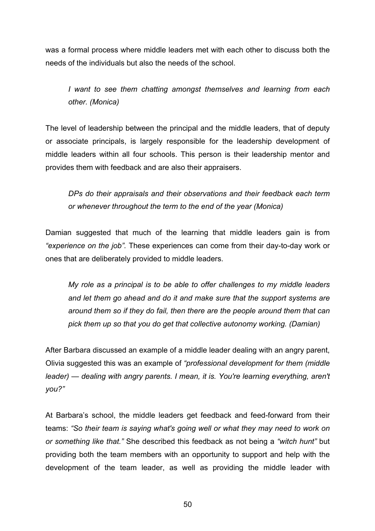was a formal process where middle leaders met with each other to discuss both the needs of the individuals but also the needs of the school.

*I want to see them chatting amongst themselves and learning from each other. (Monica)*

The level of leadership between the principal and the middle leaders, that of deputy or associate principals, is largely responsible for the leadership development of middle leaders within all four schools. This person is their leadership mentor and provides them with feedback and are also their appraisers.

*DPs do their appraisals and their observations and their feedback each term or whenever throughout the term to the end of the year (Monica)*

Damian suggested that much of the learning that middle leaders gain is from *"experience on the job".* These experiences can come from their day-to-day work or ones that are deliberately provided to middle leaders.

*My role as a principal is to be able to offer challenges to my middle leaders and let them go ahead and do it and make sure that the support systems are around them so if they do fail, then there are the people around them that can pick them up so that you do get that collective autonomy working. (Damian)*

After Barbara discussed an example of a middle leader dealing with an angry parent, Olivia suggested this was an example of *"professional development for them (middle leader) — dealing with angry parents. I mean, it is. You're learning everything, aren't you?"*

At Barbara's school, the middle leaders get feedback and feed-forward from their teams: *"So their team is saying what's going well or what they may need to work on or something like that."* She described this feedback as not being a *"witch hunt"* but providing both the team members with an opportunity to support and help with the development of the team leader, as well as providing the middle leader with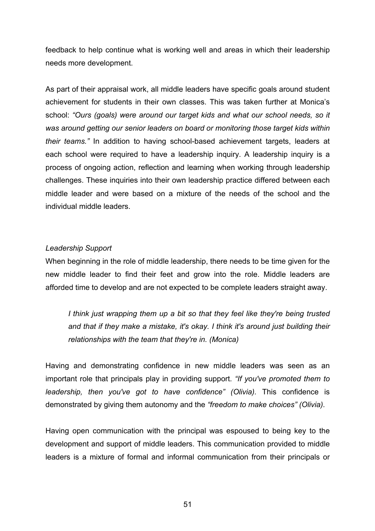feedback to help continue what is working well and areas in which their leadership needs more development.

As part of their appraisal work, all middle leaders have specific goals around student achievement for students in their own classes. This was taken further at Monica's school: *"Ours (goals) were around our target kids and what our school needs, so it was around getting our senior leaders on board or monitoring those target kids within their teams."* In addition to having school-based achievement targets, leaders at each school were required to have a leadership inquiry. A leadership inquiry is a process of ongoing action, reflection and learning when working through leadership challenges. These inquiries into their own leadership practice differed between each middle leader and were based on a mixture of the needs of the school and the individual middle leaders.

## *Leadership Support*

When beginning in the role of middle leadership, there needs to be time given for the new middle leader to find their feet and grow into the role. Middle leaders are afforded time to develop and are not expected to be complete leaders straight away.

*I think just wrapping them up a bit so that they feel like they're being trusted and that if they make a mistake, it's okay. I think it's around just building their relationships with the team that they're in. (Monica)*

Having and demonstrating confidence in new middle leaders was seen as an important role that principals play in providing support. *"If you've promoted them to leadership, then you've got to have confidence" (Olivia).* This confidence is demonstrated by giving them autonomy and the *"freedom to make choices" (Olivia).* 

Having open communication with the principal was espoused to being key to the development and support of middle leaders. This communication provided to middle leaders is a mixture of formal and informal communication from their principals or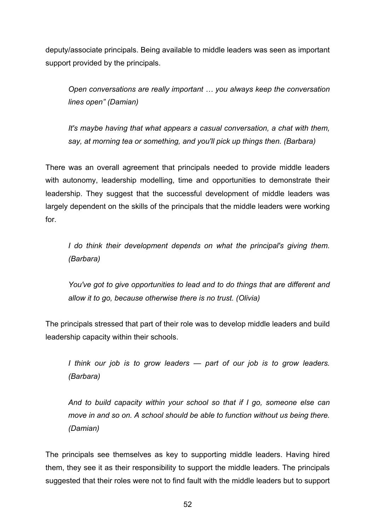deputy/associate principals. Being available to middle leaders was seen as important support provided by the principals.

*Open conversations are really important … you always keep the conversation lines open" (Damian)*

*It's maybe having that what appears a casual conversation, a chat with them, say, at morning tea or something, and you'll pick up things then. (Barbara)* 

There was an overall agreement that principals needed to provide middle leaders with autonomy, leadership modelling, time and opportunities to demonstrate their leadership. They suggest that the successful development of middle leaders was largely dependent on the skills of the principals that the middle leaders were working for.

*I do think their development depends on what the principal's giving them. (Barbara)*

*You've got to give opportunities to lead and to do things that are different and allow it to go, because otherwise there is no trust. (Olivia)* 

The principals stressed that part of their role was to develop middle leaders and build leadership capacity within their schools.

*I think our job is to grow leaders — part of our job is to grow leaders. (Barbara)*

*And to build capacity within your school so that if I go, someone else can move in and so on. A school should be able to function without us being there. (Damian)*

The principals see themselves as key to supporting middle leaders. Having hired them, they see it as their responsibility to support the middle leaders. The principals suggested that their roles were not to find fault with the middle leaders but to support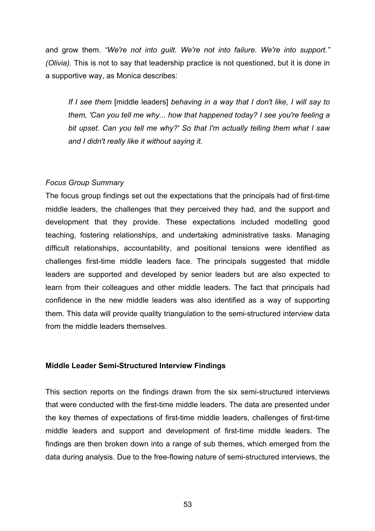and grow them. *"We're not into guilt. We're not into failure. We're into support." (Olivia).* This is not to say that leadership practice is not questioned, but it is done in a supportive way, as Monica describes:

*If I see them* [middle leaders] *behaving in a way that I don't like, I will say to them, 'Can you tell me why... how that happened today? I see you're feeling a bit upset. Can you tell me why?' So that I'm actually telling them what I saw and I didn't really like it without saying it.*

# *Focus Group Summary*

The focus group findings set out the expectations that the principals had of first-time middle leaders, the challenges that they perceived they had, and the support and development that they provide. These expectations included modelling good teaching, fostering relationships, and undertaking administrative tasks. Managing difficult relationships, accountability, and positional tensions were identified as challenges first-time middle leaders face. The principals suggested that middle leaders are supported and developed by senior leaders but are also expected to learn from their colleagues and other middle leaders. The fact that principals had confidence in the new middle leaders was also identified as a way of supporting them. This data will provide quality triangulation to the semi-structured interview data from the middle leaders themselves.

## **Middle Leader Semi-Structured Interview Findings**

This section reports on the findings drawn from the six semi-structured interviews that were conducted with the first-time middle leaders. The data are presented under the key themes of expectations of first-time middle leaders, challenges of first-time middle leaders and support and development of first-time middle leaders. The findings are then broken down into a range of sub themes, which emerged from the data during analysis. Due to the free-flowing nature of semi-structured interviews, the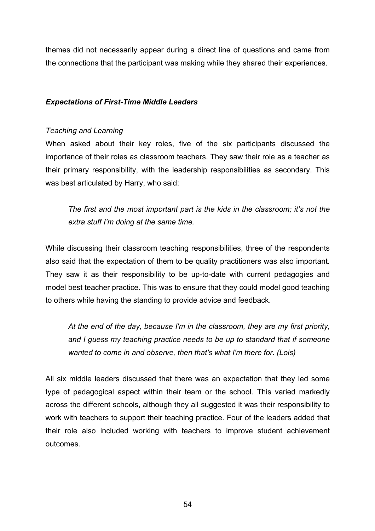themes did not necessarily appear during a direct line of questions and came from the connections that the participant was making while they shared their experiences.

# *Expectations of First-Time Middle Leaders*

## *Teaching and Learning*

When asked about their key roles, five of the six participants discussed the importance of their roles as classroom teachers. They saw their role as a teacher as their primary responsibility, with the leadership responsibilities as secondary. This was best articulated by Harry, who said:

*The first and the most important part is the kids in the classroom; it's not the extra stuff I'm doing at the same time.* 

While discussing their classroom teaching responsibilities, three of the respondents also said that the expectation of them to be quality practitioners was also important. They saw it as their responsibility to be up-to-date with current pedagogies and model best teacher practice. This was to ensure that they could model good teaching to others while having the standing to provide advice and feedback.

*At the end of the day, because I'm in the classroom, they are my first priority, and I guess my teaching practice needs to be up to standard that if someone wanted to come in and observe, then that's what I'm there for. (Lois)*

All six middle leaders discussed that there was an expectation that they led some type of pedagogical aspect within their team or the school. This varied markedly across the different schools, although they all suggested it was their responsibility to work with teachers to support their teaching practice. Four of the leaders added that their role also included working with teachers to improve student achievement outcomes.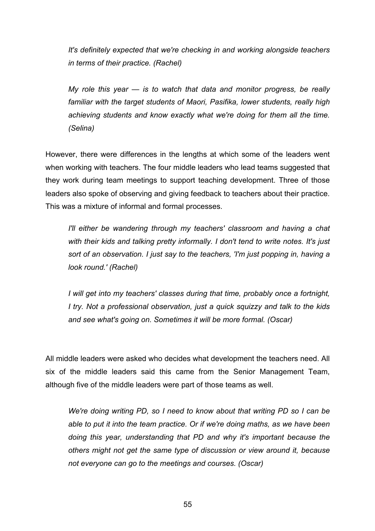*It's definitely expected that we're checking in and working alongside teachers in terms of their practice. (Rachel)*

*My role this year — is to watch that data and monitor progress, be really familiar with the target students of Maori, Pasifika, lower students, really high achieving students and know exactly what we're doing for them all the time. (Selina)*

However, there were differences in the lengths at which some of the leaders went when working with teachers. The four middle leaders who lead teams suggested that they work during team meetings to support teaching development. Three of those leaders also spoke of observing and giving feedback to teachers about their practice. This was a mixture of informal and formal processes.

*I'll either be wandering through my teachers' classroom and having a chat with their kids and talking pretty informally. I don't tend to write notes. It's just sort of an observation. I just say to the teachers, 'I'm just popping in, having a look round.' (Rachel)*

*I will get into my teachers' classes during that time, probably once a fortnight, I try. Not a professional observation, just a quick squizzy and talk to the kids and see what's going on. Sometimes it will be more formal. (Oscar)*

All middle leaders were asked who decides what development the teachers need. All six of the middle leaders said this came from the Senior Management Team, although five of the middle leaders were part of those teams as well.

*We're doing writing PD, so I need to know about that writing PD so I can be able to put it into the team practice. Or if we're doing maths, as we have been doing this year, understanding that PD and why it's important because the others might not get the same type of discussion or view around it, because not everyone can go to the meetings and courses. (Oscar)*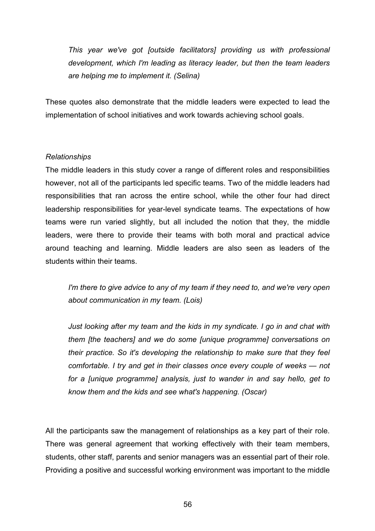*This year we've got [outside facilitators] providing us with professional development, which I'm leading as literacy leader, but then the team leaders are helping me to implement it. (Selina)*

These quotes also demonstrate that the middle leaders were expected to lead the implementation of school initiatives and work towards achieving school goals.

## *Relationships*

The middle leaders in this study cover a range of different roles and responsibilities however, not all of the participants led specific teams. Two of the middle leaders had responsibilities that ran across the entire school, while the other four had direct leadership responsibilities for year-level syndicate teams. The expectations of how teams were run varied slightly, but all included the notion that they, the middle leaders, were there to provide their teams with both moral and practical advice around teaching and learning. Middle leaders are also seen as leaders of the students within their teams.

*I'm there to give advice to any of my team if they need to, and we're very open about communication in my team. (Lois)*

*Just looking after my team and the kids in my syndicate. I go in and chat with them [the teachers] and we do some [unique programme] conversations on their practice. So it's developing the relationship to make sure that they feel comfortable. I try and get in their classes once every couple of weeks — not for a [unique programme] analysis, just to wander in and say hello, get to know them and the kids and see what's happening. (Oscar)* 

All the participants saw the management of relationships as a key part of their role. There was general agreement that working effectively with their team members, students, other staff, parents and senior managers was an essential part of their role. Providing a positive and successful working environment was important to the middle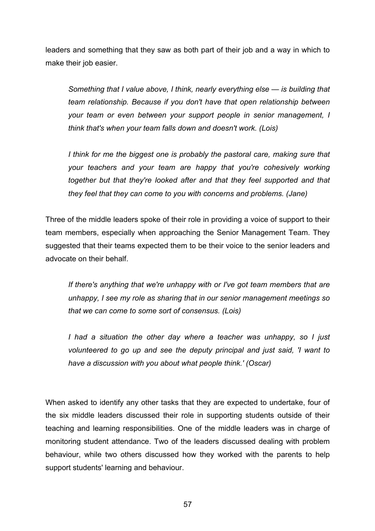leaders and something that they saw as both part of their job and a way in which to make their job easier.

*Something that I value above, I think, nearly everything else — is building that team relationship. Because if you don't have that open relationship between your team or even between your support people in senior management, I think that's when your team falls down and doesn't work. (Lois)*

*I think for me the biggest one is probably the pastoral care, making sure that your teachers and your team are happy that you're cohesively working together but that they're looked after and that they feel supported and that they feel that they can come to you with concerns and problems. (Jane)*

Three of the middle leaders spoke of their role in providing a voice of support to their team members, especially when approaching the Senior Management Team. They suggested that their teams expected them to be their voice to the senior leaders and advocate on their behalf.

*If there's anything that we're unhappy with or I've got team members that are unhappy, I see my role as sharing that in our senior management meetings so that we can come to some sort of consensus. (Lois)*

*I had a situation the other day where a teacher was unhappy, so I just volunteered to go up and see the deputy principal and just said, 'I want to have a discussion with you about what people think.' (Oscar)*

When asked to identify any other tasks that they are expected to undertake, four of the six middle leaders discussed their role in supporting students outside of their teaching and learning responsibilities. One of the middle leaders was in charge of monitoring student attendance. Two of the leaders discussed dealing with problem behaviour, while two others discussed how they worked with the parents to help support students' learning and behaviour.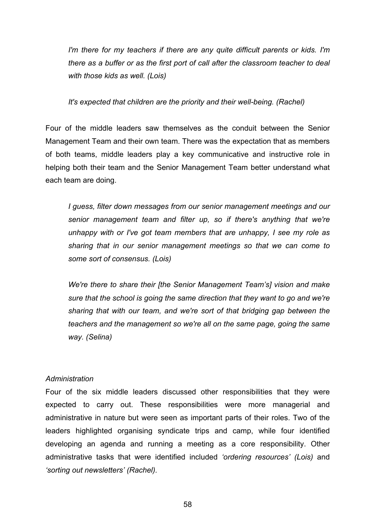*I'm there for my teachers if there are any quite difficult parents or kids. I'm there as a buffer or as the first port of call after the classroom teacher to deal with those kids as well. (Lois)*

*It's expected that children are the priority and their well-being. (Rachel)*

Four of the middle leaders saw themselves as the conduit between the Senior Management Team and their own team. There was the expectation that as members of both teams, middle leaders play a key communicative and instructive role in helping both their team and the Senior Management Team better understand what each team are doing.

*I guess, filter down messages from our senior management meetings and our senior management team and filter up, so if there's anything that we're unhappy with or I've got team members that are unhappy, I see my role as sharing that in our senior management meetings so that we can come to some sort of consensus. (Lois)*

*We're there to share their [the Senior Management Team's] vision and make sure that the school is going the same direction that they want to go and we're sharing that with our team, and we're sort of that bridging gap between the teachers and the management so we're all on the same page, going the same way. (Selina)*

#### *Administration*

Four of the six middle leaders discussed other responsibilities that they were expected to carry out. These responsibilities were more managerial and administrative in nature but were seen as important parts of their roles. Two of the leaders highlighted organising syndicate trips and camp, while four identified developing an agenda and running a meeting as a core responsibility. Other administrative tasks that were identified included *'ordering resources' (Lois)* and *'sorting out newsletters' (Rachel).*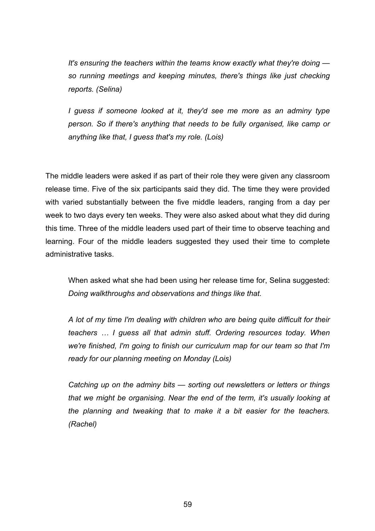*It's ensuring the teachers within the teams know exactly what they're doing so running meetings and keeping minutes, there's things like just checking reports. (Selina)*

*I guess if someone looked at it, they'd see me more as an adminy type person. So if there's anything that needs to be fully organised, like camp or anything like that, I guess that's my role. (Lois)*

The middle leaders were asked if as part of their role they were given any classroom release time. Five of the six participants said they did. The time they were provided with varied substantially between the five middle leaders, ranging from a day per week to two days every ten weeks. They were also asked about what they did during this time. Three of the middle leaders used part of their time to observe teaching and learning. Four of the middle leaders suggested they used their time to complete administrative tasks.

When asked what she had been using her release time for, Selina suggested: *Doing walkthroughs and observations and things like that.*

*A lot of my time I'm dealing with children who are being quite difficult for their teachers … I guess all that admin stuff. Ordering resources today. When we're finished, I'm going to finish our curriculum map for our team so that I'm ready for our planning meeting on Monday (Lois)*

*Catching up on the adminy bits — sorting out newsletters or letters or things that we might be organising. Near the end of the term, it's usually looking at the planning and tweaking that to make it a bit easier for the teachers. (Rachel)*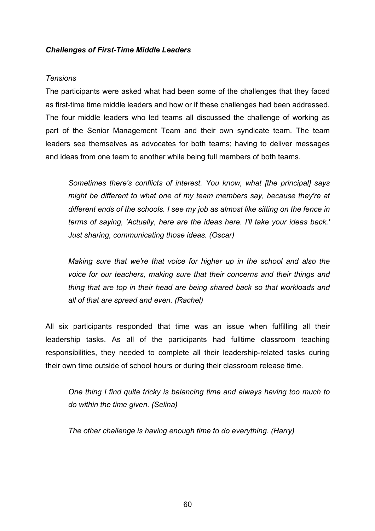## *Challenges of First-Time Middle Leaders*

#### *Tensions*

The participants were asked what had been some of the challenges that they faced as first-time time middle leaders and how or if these challenges had been addressed. The four middle leaders who led teams all discussed the challenge of working as part of the Senior Management Team and their own syndicate team. The team leaders see themselves as advocates for both teams; having to deliver messages and ideas from one team to another while being full members of both teams.

*Sometimes there's conflicts of interest. You know, what [the principal] says might be different to what one of my team members say, because they're at different ends of the schools. I see my job as almost like sitting on the fence in terms of saying, 'Actually, here are the ideas here. I'll take your ideas back.' Just sharing, communicating those ideas. (Oscar)*

*Making sure that we're that voice for higher up in the school and also the voice for our teachers, making sure that their concerns and their things and thing that are top in their head are being shared back so that workloads and all of that are spread and even. (Rachel)*

All six participants responded that time was an issue when fulfilling all their leadership tasks. As all of the participants had fulltime classroom teaching responsibilities, they needed to complete all their leadership-related tasks during their own time outside of school hours or during their classroom release time.

*One thing I find quite tricky is balancing time and always having too much to do within the time given. (Selina)*

*The other challenge is having enough time to do everything. (Harry)*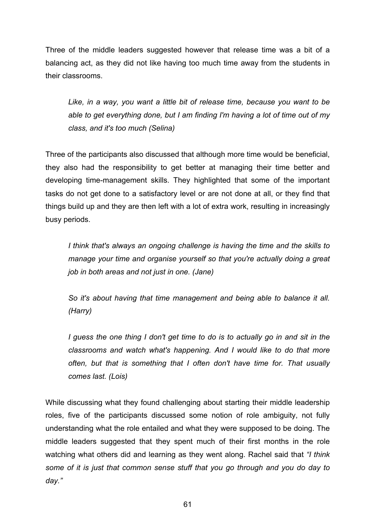Three of the middle leaders suggested however that release time was a bit of a balancing act, as they did not like having too much time away from the students in their classrooms.

*Like, in a way, you want a little bit of release time, because you want to be able to get everything done, but I am finding I'm having a lot of time out of my class, and it's too much (Selina)*

Three of the participants also discussed that although more time would be beneficial, they also had the responsibility to get better at managing their time better and developing time-management skills. They highlighted that some of the important tasks do not get done to a satisfactory level or are not done at all, or they find that things build up and they are then left with a lot of extra work, resulting in increasingly busy periods.

*I think that's always an ongoing challenge is having the time and the skills to manage your time and organise yourself so that you're actually doing a great job in both areas and not just in one. (Jane)*

*So it's about having that time management and being able to balance it all. (Harry)*

*I guess the one thing I don't get time to do is to actually go in and sit in the classrooms and watch what's happening. And I would like to do that more often, but that is something that I often don't have time for. That usually comes last. (Lois)* 

While discussing what they found challenging about starting their middle leadership roles, five of the participants discussed some notion of role ambiguity, not fully understanding what the role entailed and what they were supposed to be doing. The middle leaders suggested that they spent much of their first months in the role watching what others did and learning as they went along. Rachel said that *"I think some of it is just that common sense stuff that you go through and you do day to day."*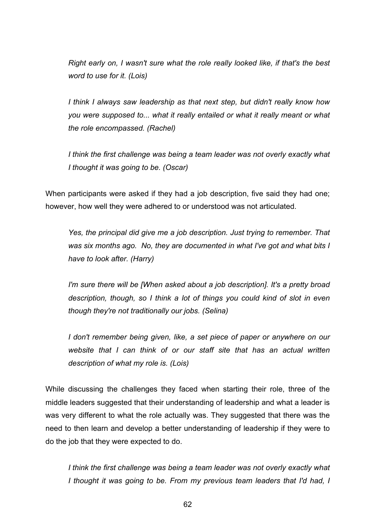*Right early on, I wasn't sure what the role really looked like, if that's the best word to use for it. (Lois)*

*I think I always saw leadership as that next step, but didn't really know how you were supposed to... what it really entailed or what it really meant or what the role encompassed. (Rachel)*

*I think the first challenge was being a team leader was not overly exactly what I thought it was going to be. (Oscar)*

When participants were asked if they had a job description, five said they had one; however, how well they were adhered to or understood was not articulated.

*Yes, the principal did give me a job description. Just trying to remember. That was six months ago. No, they are documented in what I've got and what bits I have to look after. (Harry)*

*I'm sure there will be [When asked about a job description]. It's a pretty broad description, though, so I think a lot of things you could kind of slot in even though they're not traditionally our jobs. (Selina)*

*I don't remember being given, like, a set piece of paper or anywhere on our website that I can think of or our staff site that has an actual written description of what my role is. (Lois)*

While discussing the challenges they faced when starting their role, three of the middle leaders suggested that their understanding of leadership and what a leader is was very different to what the role actually was. They suggested that there was the need to then learn and develop a better understanding of leadership if they were to do the job that they were expected to do.

*I think the first challenge was being a team leader was not overly exactly what I thought it was going to be. From my previous team leaders that I'd had, I*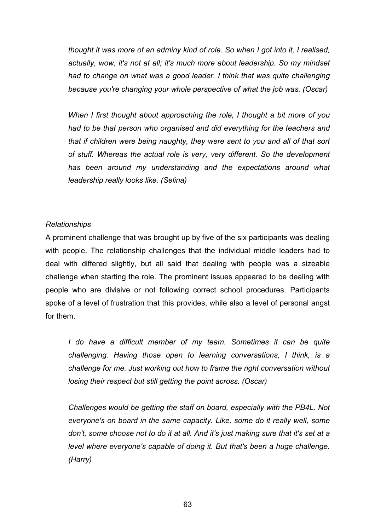*thought it was more of an adminy kind of role. So when I got into it, I realised, actually, wow, it's not at all; it's much more about leadership. So my mindset had to change on what was a good leader. I think that was quite challenging because you're changing your whole perspective of what the job was. (Oscar)*

*When I first thought about approaching the role, I thought a bit more of you had to be that person who organised and did everything for the teachers and that if children were being naughty, they were sent to you and all of that sort of stuff. Whereas the actual role is very, very different. So the development has been around my understanding and the expectations around what leadership really looks like. (Selina)* 

### *Relationships*

A prominent challenge that was brought up by five of the six participants was dealing with people. The relationship challenges that the individual middle leaders had to deal with differed slightly, but all said that dealing with people was a sizeable challenge when starting the role. The prominent issues appeared to be dealing with people who are divisive or not following correct school procedures. Participants spoke of a level of frustration that this provides, while also a level of personal angst for them.

*I do have a difficult member of my team. Sometimes it can be quite challenging. Having those open to learning conversations, I think, is a challenge for me. Just working out how to frame the right conversation without losing their respect but still getting the point across. (Oscar)*

*Challenges would be getting the staff on board, especially with the PB4L. Not everyone's on board in the same capacity. Like, some do it really well, some don't, some choose not to do it at all. And it's just making sure that it's set at a level where everyone's capable of doing it. But that's been a huge challenge. (Harry)*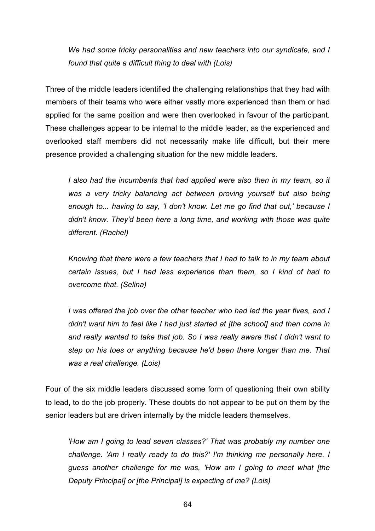*We had some tricky personalities and new teachers into our syndicate, and I found that quite a difficult thing to deal with (Lois)*

Three of the middle leaders identified the challenging relationships that they had with members of their teams who were either vastly more experienced than them or had applied for the same position and were then overlooked in favour of the participant. These challenges appear to be internal to the middle leader, as the experienced and overlooked staff members did not necessarily make life difficult, but their mere presence provided a challenging situation for the new middle leaders.

*I also had the incumbents that had applied were also then in my team, so it*  was a very tricky balancing act between proving yourself but also being *enough to... having to say, 'I don't know. Let me go find that out,' because I didn't know. They'd been here a long time, and working with those was quite different. (Rachel)*

*Knowing that there were a few teachers that I had to talk to in my team about certain issues, but I had less experience than them, so I kind of had to overcome that. (Selina)*

*I was offered the job over the other teacher who had led the year fives, and I didn't want him to feel like I had just started at [the school] and then come in and really wanted to take that job. So I was really aware that I didn't want to step on his toes or anything because he'd been there longer than me. That was a real challenge. (Lois)*

Four of the six middle leaders discussed some form of questioning their own ability to lead, to do the job properly. These doubts do not appear to be put on them by the senior leaders but are driven internally by the middle leaders themselves.

*'How am I going to lead seven classes?' That was probably my number one challenge. 'Am I really ready to do this?' I'm thinking me personally here. I guess another challenge for me was, 'How am I going to meet what [the Deputy Principal] or [the Principal] is expecting of me? (Lois)*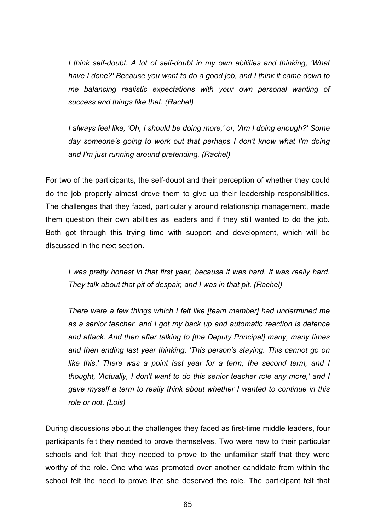*I think self-doubt. A lot of self-doubt in my own abilities and thinking, 'What have I done?' Because you want to do a good job, and I think it came down to me balancing realistic expectations with your own personal wanting of success and things like that. (Rachel)*

*I always feel like, 'Oh, I should be doing more,' or, 'Am I doing enough?' Some day someone's going to work out that perhaps I don't know what I'm doing and I'm just running around pretending. (Rachel)*

For two of the participants, the self-doubt and their perception of whether they could do the job properly almost drove them to give up their leadership responsibilities. The challenges that they faced, particularly around relationship management, made them question their own abilities as leaders and if they still wanted to do the job. Both got through this trying time with support and development, which will be discussed in the next section.

*I* was pretty honest in that first year, because it was hard. It was really hard. *They talk about that pit of despair, and I was in that pit. (Rachel)*

*There were a few things which I felt like [team member] had undermined me as a senior teacher, and I got my back up and automatic reaction is defence and attack. And then after talking to [the Deputy Principal] many, many times and then ending last year thinking, 'This person's staying. This cannot go on*  like this.' There was a point last year for a term, the second term, and I *thought, 'Actually, I don't want to do this senior teacher role any more,' and I gave myself a term to really think about whether I wanted to continue in this role or not. (Lois)*

During discussions about the challenges they faced as first-time middle leaders, four participants felt they needed to prove themselves. Two were new to their particular schools and felt that they needed to prove to the unfamiliar staff that they were worthy of the role. One who was promoted over another candidate from within the school felt the need to prove that she deserved the role. The participant felt that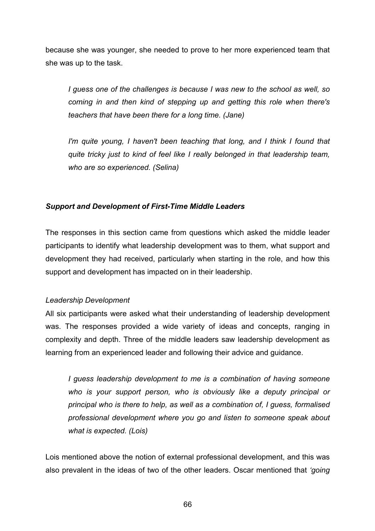because she was younger, she needed to prove to her more experienced team that she was up to the task.

*I guess one of the challenges is because I was new to the school as well, so coming in and then kind of stepping up and getting this role when there's teachers that have been there for a long time. (Jane)*

*I'm quite young, I haven't been teaching that long, and I think I found that quite tricky just to kind of feel like I really belonged in that leadership team, who are so experienced. (Selina)*

# *Support and Development of First-Time Middle Leaders*

The responses in this section came from questions which asked the middle leader participants to identify what leadership development was to them, what support and development they had received, particularly when starting in the role, and how this support and development has impacted on in their leadership.

# *Leadership Development*

All six participants were asked what their understanding of leadership development was. The responses provided a wide variety of ideas and concepts, ranging in complexity and depth. Three of the middle leaders saw leadership development as learning from an experienced leader and following their advice and guidance.

*I guess leadership development to me is a combination of having someone who is your support person, who is obviously like a deputy principal or principal who is there to help, as well as a combination of, I guess, formalised professional development where you go and listen to someone speak about what is expected. (Lois)*

Lois mentioned above the notion of external professional development, and this was also prevalent in the ideas of two of the other leaders. Oscar mentioned that *'going*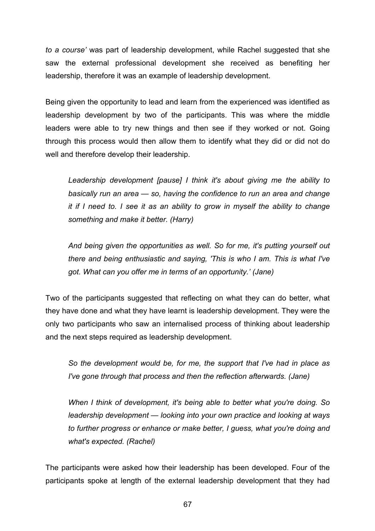*to a course'* was part of leadership development, while Rachel suggested that she saw the external professional development she received as benefiting her leadership, therefore it was an example of leadership development.

Being given the opportunity to lead and learn from the experienced was identified as leadership development by two of the participants. This was where the middle leaders were able to try new things and then see if they worked or not. Going through this process would then allow them to identify what they did or did not do well and therefore develop their leadership.

*Leadership development [pause] I think it's about giving me the ability to basically run an area — so, having the confidence to run an area and change it if I need to. I see it as an ability to grow in myself the ability to change something and make it better. (Harry)*

*And being given the opportunities as well. So for me, it's putting yourself out there and being enthusiastic and saying, 'This is who I am. This is what I've got. What can you offer me in terms of an opportunity.' (Jane)*

Two of the participants suggested that reflecting on what they can do better, what they have done and what they have learnt is leadership development. They were the only two participants who saw an internalised process of thinking about leadership and the next steps required as leadership development.

*So the development would be, for me, the support that I've had in place as I've gone through that process and then the reflection afterwards. (Jane)*

*When I think of development, it's being able to better what you're doing. So leadership development — looking into your own practice and looking at ways to further progress or enhance or make better, I guess, what you're doing and what's expected. (Rachel)*

The participants were asked how their leadership has been developed. Four of the participants spoke at length of the external leadership development that they had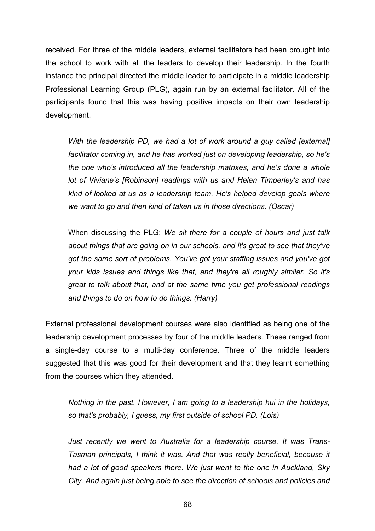received. For three of the middle leaders, external facilitators had been brought into the school to work with all the leaders to develop their leadership. In the fourth instance the principal directed the middle leader to participate in a middle leadership Professional Learning Group (PLG), again run by an external facilitator. All of the participants found that this was having positive impacts on their own leadership development.

*With the leadership PD, we had a lot of work around a guy called [external] facilitator coming in, and he has worked just on developing leadership, so he's the one who's introduced all the leadership matrixes, and he's done a whole lot of Viviane's [Robinson] readings with us and Helen Timperley's and has kind of looked at us as a leadership team. He's helped develop goals where we want to go and then kind of taken us in those directions. (Oscar)*

When discussing the PLG: *We sit there for a couple of hours and just talk about things that are going on in our schools, and it's great to see that they've got the same sort of problems. You've got your staffing issues and you've got your kids issues and things like that, and they're all roughly similar. So it's great to talk about that, and at the same time you get professional readings and things to do on how to do things. (Harry)*

External professional development courses were also identified as being one of the leadership development processes by four of the middle leaders. These ranged from a single-day course to a multi-day conference. Three of the middle leaders suggested that this was good for their development and that they learnt something from the courses which they attended.

*Nothing in the past. However, I am going to a leadership hui in the holidays, so that's probably, I guess, my first outside of school PD. (Lois)*

*Just recently we went to Australia for a leadership course. It was Trans-Tasman principals, I think it was. And that was really beneficial, because it had a lot of good speakers there. We just went to the one in Auckland, Sky City. And again just being able to see the direction of schools and policies and*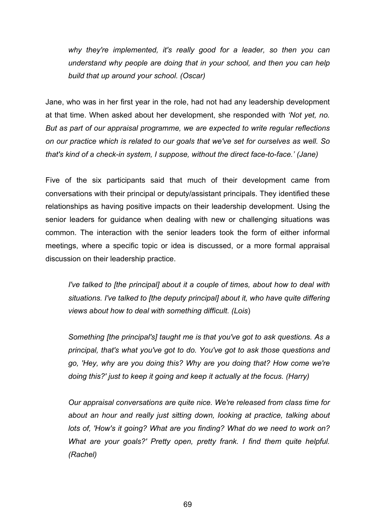*why they're implemented, it's really good for a leader, so then you can understand why people are doing that in your school, and then you can help build that up around your school. (Oscar)*

Jane, who was in her first year in the role, had not had any leadership development at that time. When asked about her development, she responded with *'Not yet, no. But as part of our appraisal programme, we are expected to write regular reflections on our practice which is related to our goals that we've set for ourselves as well. So that's kind of a check-in system, I suppose, without the direct face-to-face.' (Jane)*

Five of the six participants said that much of their development came from conversations with their principal or deputy/assistant principals. They identified these relationships as having positive impacts on their leadership development. Using the senior leaders for guidance when dealing with new or challenging situations was common. The interaction with the senior leaders took the form of either informal meetings, where a specific topic or idea is discussed, or a more formal appraisal discussion on their leadership practice.

*I've talked to [the principal] about it a couple of times, about how to deal with situations. I've talked to [the deputy principal] about it, who have quite differing views about how to deal with something difficult. (Lois*)

*Something [the principal's] taught me is that you've got to ask questions. As a principal, that's what you've got to do. You've got to ask those questions and go, 'Hey, why are you doing this? Why are you doing that? How come we're doing this?' just to keep it going and keep it actually at the focus. (Harry)*

*Our appraisal conversations are quite nice. We're released from class time for about an hour and really just sitting down, looking at practice, talking about lots of, 'How's it going? What are you finding? What do we need to work on? What are your goals?' Pretty open, pretty frank. I find them quite helpful. (Rachel)*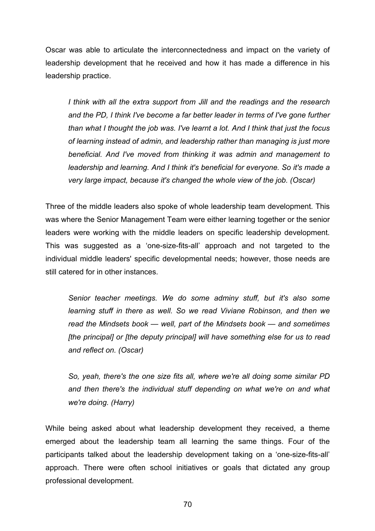Oscar was able to articulate the interconnectedness and impact on the variety of leadership development that he received and how it has made a difference in his leadership practice.

*I think with all the extra support from Jill and the readings and the research and the PD, I think I've become a far better leader in terms of I've gone further than what I thought the job was. I've learnt a lot. And I think that just the focus of learning instead of admin, and leadership rather than managing is just more beneficial. And I've moved from thinking it was admin and management to leadership and learning. And I think it's beneficial for everyone. So it's made a very large impact, because it's changed the whole view of the job. (Oscar)*

Three of the middle leaders also spoke of whole leadership team development. This was where the Senior Management Team were either learning together or the senior leaders were working with the middle leaders on specific leadership development. This was suggested as a 'one-size-fits-all' approach and not targeted to the individual middle leaders' specific developmental needs; however, those needs are still catered for in other instances.

*Senior teacher meetings. We do some adminy stuff, but it's also some learning stuff in there as well. So we read Viviane Robinson, and then we read the Mindsets book — well, part of the Mindsets book — and sometimes [the principal] or [the deputy principal] will have something else for us to read and reflect on. (Oscar)*

*So, yeah, there's the one size fits all, where we're all doing some similar PD and then there's the individual stuff depending on what we're on and what we're doing. (Harry)*

While being asked about what leadership development they received, a theme emerged about the leadership team all learning the same things. Four of the participants talked about the leadership development taking on a 'one-size-fits-all' approach. There were often school initiatives or goals that dictated any group professional development.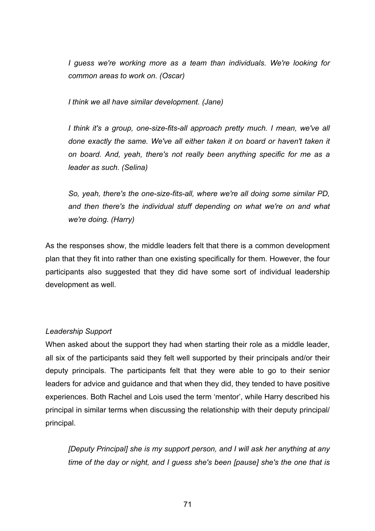*I guess we're working more as a team than individuals. We're looking for common areas to work on. (Oscar)*

*I think we all have similar development. (Jane)*

*I think it's a group, one-size-fits-all approach pretty much. I mean, we've all done exactly the same. We've all either taken it on board or haven't taken it on board. And, yeah, there's not really been anything specific for me as a leader as such. (Selina)* 

*So, yeah, there's the one-size-fits-all, where we're all doing some similar PD, and then there's the individual stuff depending on what we're on and what we're doing. (Harry)*

As the responses show, the middle leaders felt that there is a common development plan that they fit into rather than one existing specifically for them. However, the four participants also suggested that they did have some sort of individual leadership development as well.

# *Leadership Support*

When asked about the support they had when starting their role as a middle leader, all six of the participants said they felt well supported by their principals and/or their deputy principals. The participants felt that they were able to go to their senior leaders for advice and guidance and that when they did, they tended to have positive experiences. Both Rachel and Lois used the term 'mentor', while Harry described his principal in similar terms when discussing the relationship with their deputy principal/ principal.

*[Deputy Principal] she is my support person, and I will ask her anything at any time of the day or night, and I guess she's been [pause] she's the one that is*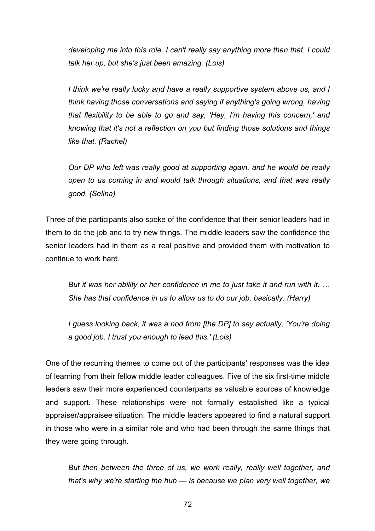*developing me into this role. I can't really say anything more than that. I could talk her up, but she's just been amazing. (Lois)*

*I think we're really lucky and have a really supportive system above us, and I think having those conversations and saying if anything's going wrong, having that flexibility to be able to go and say, 'Hey, I'm having this concern,' and knowing that it's not a reflection on you but finding those solutions and things like that. (Rachel)*

*Our DP who left was really good at supporting again, and he would be really open to us coming in and would talk through situations, and that was really good. (Selina)*

Three of the participants also spoke of the confidence that their senior leaders had in them to do the job and to try new things. The middle leaders saw the confidence the senior leaders had in them as a real positive and provided them with motivation to continue to work hard.

*But it was her ability or her confidence in me to just take it and run with it. … She has that confidence in us to allow us to do our job, basically. (Harry)*

*I guess looking back, it was a nod from [the DP] to say actually, 'You're doing a good job. I trust you enough to lead this.' (Lois)*

One of the recurring themes to come out of the participants' responses was the idea of learning from their fellow middle leader colleagues. Five of the six first-time middle leaders saw their more experienced counterparts as valuable sources of knowledge and support. These relationships were not formally established like a typical appraiser/appraisee situation. The middle leaders appeared to find a natural support in those who were in a similar role and who had been through the same things that they were going through.

*But then between the three of us, we work really, really well together, and that's why we're starting the hub — is because we plan very well together, we*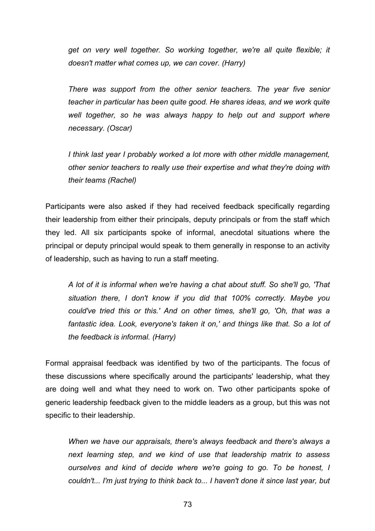*get on very well together. So working together, we're all quite flexible; it doesn't matter what comes up, we can cover. (Harry)*

*There was support from the other senior teachers. The year five senior teacher in particular has been quite good. He shares ideas, and we work quite well together, so he was always happy to help out and support where necessary. (Oscar)*

*I think last year I probably worked a lot more with other middle management, other senior teachers to really use their expertise and what they're doing with their teams (Rachel)*

Participants were also asked if they had received feedback specifically regarding their leadership from either their principals, deputy principals or from the staff which they led. All six participants spoke of informal, anecdotal situations where the principal or deputy principal would speak to them generally in response to an activity of leadership, such as having to run a staff meeting.

*A lot of it is informal when we're having a chat about stuff. So she'll go, 'That situation there, I don't know if you did that 100% correctly. Maybe you could've tried this or this.' And on other times, she'll go, 'Oh, that was a fantastic idea. Look, everyone's taken it on,' and things like that. So a lot of the feedback is informal. (Harry)*

Formal appraisal feedback was identified by two of the participants. The focus of these discussions where specifically around the participants' leadership, what they are doing well and what they need to work on. Two other participants spoke of generic leadership feedback given to the middle leaders as a group, but this was not specific to their leadership.

*When we have our appraisals, there's always feedback and there's always a next learning step, and we kind of use that leadership matrix to assess ourselves and kind of decide where we're going to go. To be honest, I couldn't... I'm just trying to think back to... I haven't done it since last year, but*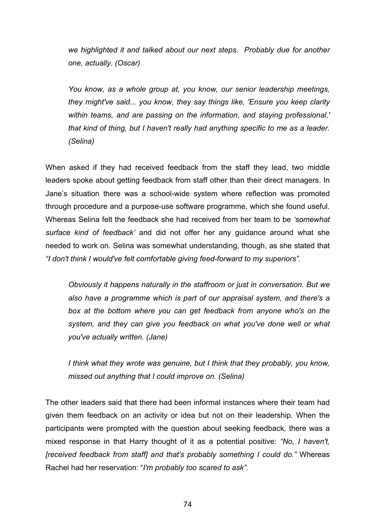*we highlighted it and talked about our next steps. Probably due for another one, actually. (Oscar)*

*You know, as a whole group at, you know, our senior leadership meetings, they might've said... you know, they say things like, 'Ensure you keep clarity within teams, and are passing on the information, and staying professional,' that kind of thing, but I haven't really had anything specific to me as a leader. (Selina)*

When asked if they had received feedback from the staff they lead, two middle leaders spoke about getting feedback from staff other than their direct managers. In Jane's situation there was a school-wide system where reflection was promoted through procedure and a purpose-use software programme, which she found useful. Whereas Selina felt the feedback she had received from her team to be *'somewhat surface kind of feedback'* and did not offer her any guidance around what she needed to work on. Selina was somewhat understanding, though, as she stated that *"I don't think I would've felt comfortable giving feed-forward to my superiors".*

*Obviously it happens naturally in the staffroom or just in conversation. But we also have a programme which is part of our appraisal system, and there's a box at the bottom where you can get feedback from anyone who's on the system, and they can give you feedback on what you've done well or what you've actually written. (Jane)*

*I think what they wrote was genuine, but I think that they probably, you know, missed out anything that I could improve on. (Selina)*

The other leaders said that there had been informal instances where their team had given them feedback on an activity or idea but not on their leadership. When the participants were prompted with the question about seeking feedback, there was a mixed response in that Harry thought of it as a potential positive: *"No, I haven't, [received feedback from staff] and that's probably something I could do."* Whereas Rachel had her reservation: "*I'm probably too scared to ask".*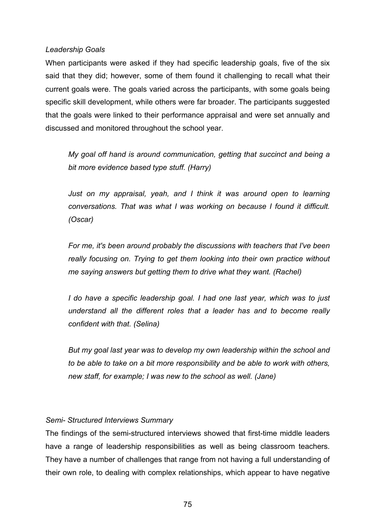### *Leadership Goals*

When participants were asked if they had specific leadership goals, five of the six said that they did; however, some of them found it challenging to recall what their current goals were. The goals varied across the participants, with some goals being specific skill development, while others were far broader. The participants suggested that the goals were linked to their performance appraisal and were set annually and discussed and monitored throughout the school year.

*My goal off hand is around communication, getting that succinct and being a bit more evidence based type stuff. (Harry)*

*Just on my appraisal, yeah, and I think it was around open to learning conversations. That was what I was working on because I found it difficult. (Oscar)*

*For me, it's been around probably the discussions with teachers that I've been really focusing on. Trying to get them looking into their own practice without me saying answers but getting them to drive what they want. (Rachel)*

*I do have a specific leadership goal. I had one last year, which was to just understand all the different roles that a leader has and to become really confident with that. (Selina)*

*But my goal last year was to develop my own leadership within the school and to be able to take on a bit more responsibility and be able to work with others, new staff, for example; I was new to the school as well. (Jane)*

# *Semi- Structured Interviews Summary*

The findings of the semi-structured interviews showed that first-time middle leaders have a range of leadership responsibilities as well as being classroom teachers. They have a number of challenges that range from not having a full understanding of their own role, to dealing with complex relationships, which appear to have negative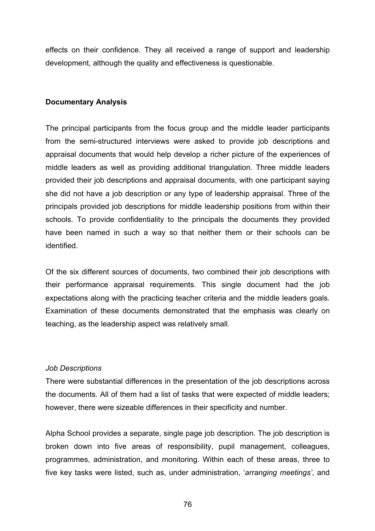effects on their confidence. They all received a range of support and leadership development, although the quality and effectiveness is questionable.

# **Documentary Analysis**

The principal participants from the focus group and the middle leader participants from the semi-structured interviews were asked to provide job descriptions and appraisal documents that would help develop a richer picture of the experiences of middle leaders as well as providing additional triangulation. Three middle leaders provided their job descriptions and appraisal documents, with one participant saying she did not have a job description or any type of leadership appraisal. Three of the principals provided job descriptions for middle leadership positions from within their schools. To provide confidentiality to the principals the documents they provided have been named in such a way so that neither them or their schools can be identified.

Of the six different sources of documents, two combined their job descriptions with their performance appraisal requirements. This single document had the job expectations along with the practicing teacher criteria and the middle leaders goals. Examination of these documents demonstrated that the emphasis was clearly on teaching, as the leadership aspect was relatively small.

# *Job Descriptions*

There were substantial differences in the presentation of the job descriptions across the documents. All of them had a list of tasks that were expected of middle leaders; however, there were sizeable differences in their specificity and number.

Alpha School provides a separate, single page job description. The job description is broken down into five areas of responsibility, pupil management, colleagues, programmes, administration, and monitoring. Within each of these areas, three to five key tasks were listed, such as, under administration, '*arranging meetings'*, and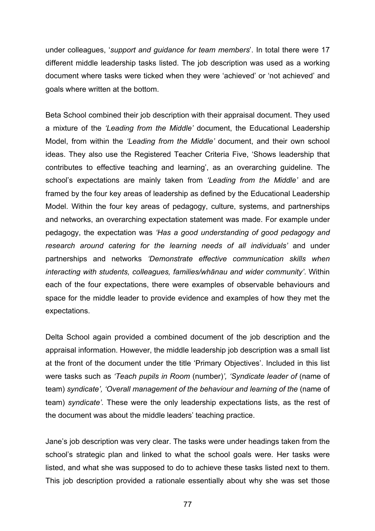under colleagues, '*support and guidance for team members*'. In total there were 17 different middle leadership tasks listed. The job description was used as a working document where tasks were ticked when they were 'achieved' or 'not achieved' and goals where written at the bottom.

Beta School combined their job description with their appraisal document. They used a mixture of the *'Leading from the Middle'* document, the Educational Leadership Model, from within the *'Leading from the Middle'* document, and their own school ideas. They also use the Registered Teacher Criteria Five, 'Shows leadership that contributes to effective teaching and learning', as an overarching guideline. The school's expectations are mainly taken from *'Leading from the Middle'* and are framed by the four key areas of leadership as defined by the Educational Leadership Model. Within the four key areas of pedagogy, culture, systems, and partnerships and networks, an overarching expectation statement was made. For example under pedagogy, the expectation was *'Has a good understanding of good pedagogy and research around catering for the learning needs of all individuals'* and under partnerships and networks *'Demonstrate effective communication skills when interacting with students, colleagues, families/whānau and wider community'*. Within each of the four expectations, there were examples of observable behaviours and space for the middle leader to provide evidence and examples of how they met the expectations.

Delta School again provided a combined document of the job description and the appraisal information. However, the middle leadership job description was a small list at the front of the document under the title 'Primary Objectives'. Included in this list were tasks such as *'Teach pupils in Room* (number)*', 'Syndicate leader of* (name of team) *syndicate', 'Overall management of the behaviour and learning of the* (name of team) *syndicate'.* These were the only leadership expectations lists, as the rest of the document was about the middle leaders' teaching practice.

Jane's job description was very clear. The tasks were under headings taken from the school's strategic plan and linked to what the school goals were. Her tasks were listed, and what she was supposed to do to achieve these tasks listed next to them. This job description provided a rationale essentially about why she was set those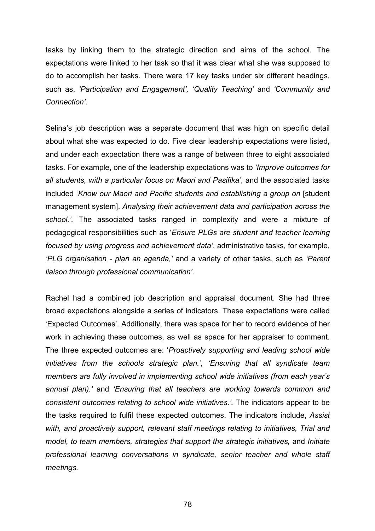tasks by linking them to the strategic direction and aims of the school. The expectations were linked to her task so that it was clear what she was supposed to do to accomplish her tasks. There were 17 key tasks under six different headings, such as, *'Participation and Engagement', 'Quality Teaching'* and *'Community and Connection'.*

Selina's job description was a separate document that was high on specific detail about what she was expected to do. Five clear leadership expectations were listed, and under each expectation there was a range of between three to eight associated tasks. For example, one of the leadership expectations was to *'Improve outcomes for all students, with a particular focus on Maori and Pasifika'*, and the associated tasks included '*Know our Maori and Pacific students and establishing a group on* [student management system]. *Analysing their achievement data and participation across the school.'.* The associated tasks ranged in complexity and were a mixture of pedagogical responsibilities such as '*Ensure PLGs are student and teacher learning focused by using progress and achievement data'*, administrative tasks, for example, *'PLG organisation - plan an agenda,'* and a variety of other tasks, such as *'Parent liaison through professional communication'.*

Rachel had a combined job description and appraisal document. She had three broad expectations alongside a series of indicators. These expectations were called 'Expected Outcomes'. Additionally, there was space for her to record evidence of her work in achieving these outcomes, as well as space for her appraiser to comment. The three expected outcomes are: '*Proactively supporting and leading school wide initiatives from the schools strategic plan.', 'Ensuring that all syndicate team members are fully involved in implementing school wide initiatives (from each year's annual plan).'* and *'Ensuring that all teachers are working towards common and consistent outcomes relating to school wide initiatives.'.* The indicators appear to be the tasks required to fulfil these expected outcomes. The indicators include, *Assist with, and proactively support, relevant staff meetings relating to initiatives, Trial and model, to team members, strategies that support the strategic initiatives,* and *Initiate professional learning conversations in syndicate, senior teacher and whole staff meetings.*

78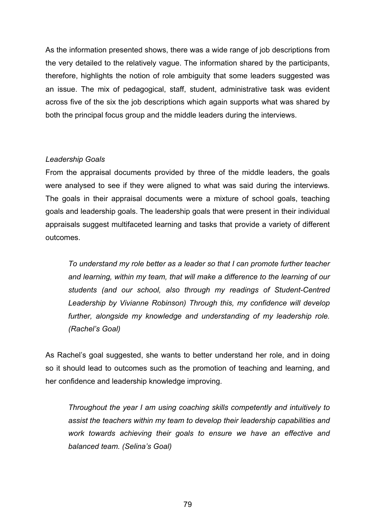As the information presented shows, there was a wide range of job descriptions from the very detailed to the relatively vague. The information shared by the participants, therefore, highlights the notion of role ambiguity that some leaders suggested was an issue. The mix of pedagogical, staff, student, administrative task was evident across five of the six the job descriptions which again supports what was shared by both the principal focus group and the middle leaders during the interviews.

# *Leadership Goals*

From the appraisal documents provided by three of the middle leaders, the goals were analysed to see if they were aligned to what was said during the interviews. The goals in their appraisal documents were a mixture of school goals, teaching goals and leadership goals. The leadership goals that were present in their individual appraisals suggest multifaceted learning and tasks that provide a variety of different outcomes.

*To understand my role better as a leader so that I can promote further teacher and learning, within my team, that will make a difference to the learning of our students (and our school, also through my readings of Student-Centred Leadership by Vivianne Robinson) Through this, my confidence will develop further, alongside my knowledge and understanding of my leadership role. (Rachel's Goal)*

As Rachel's goal suggested, she wants to better understand her role, and in doing so it should lead to outcomes such as the promotion of teaching and learning, and her confidence and leadership knowledge improving.

*Throughout the year I am using coaching skills competently and intuitively to assist the teachers within my team to develop their leadership capabilities and work towards achieving their goals to ensure we have an effective and balanced team. (Selina's Goal)*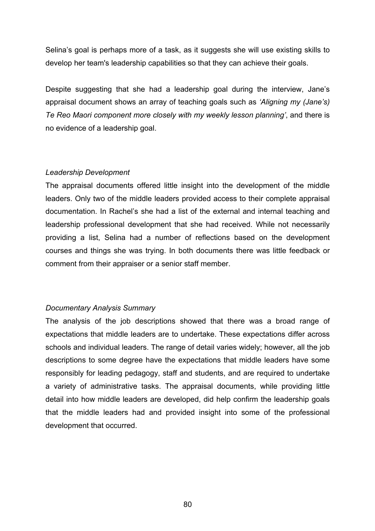Selina's goal is perhaps more of a task, as it suggests she will use existing skills to develop her team's leadership capabilities so that they can achieve their goals.

Despite suggesting that she had a leadership goal during the interview, Jane's appraisal document shows an array of teaching goals such as *'Aligning my (Jane's) Te Reo Maori component more closely with my weekly lesson planning'*, and there is no evidence of a leadership goal.

### *Leadership Development*

The appraisal documents offered little insight into the development of the middle leaders. Only two of the middle leaders provided access to their complete appraisal documentation. In Rachel's she had a list of the external and internal teaching and leadership professional development that she had received. While not necessarily providing a list, Selina had a number of reflections based on the development courses and things she was trying. In both documents there was little feedback or comment from their appraiser or a senior staff member.

# *Documentary Analysis Summary*

The analysis of the job descriptions showed that there was a broad range of expectations that middle leaders are to undertake. These expectations differ across schools and individual leaders. The range of detail varies widely; however, all the job descriptions to some degree have the expectations that middle leaders have some responsibly for leading pedagogy, staff and students, and are required to undertake a variety of administrative tasks. The appraisal documents, while providing little detail into how middle leaders are developed, did help confirm the leadership goals that the middle leaders had and provided insight into some of the professional development that occurred.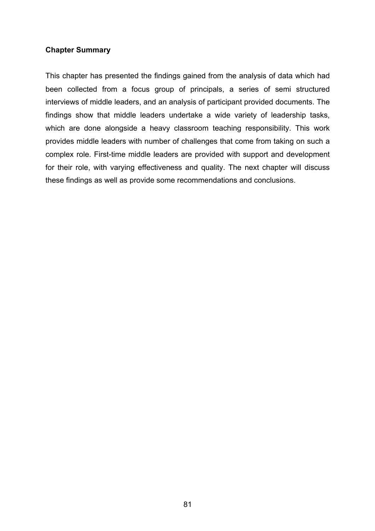# **Chapter Summary**

This chapter has presented the findings gained from the analysis of data which had been collected from a focus group of principals, a series of semi structured interviews of middle leaders, and an analysis of participant provided documents. The findings show that middle leaders undertake a wide variety of leadership tasks, which are done alongside a heavy classroom teaching responsibility. This work provides middle leaders with number of challenges that come from taking on such a complex role. First-time middle leaders are provided with support and development for their role, with varying effectiveness and quality. The next chapter will discuss these findings as well as provide some recommendations and conclusions.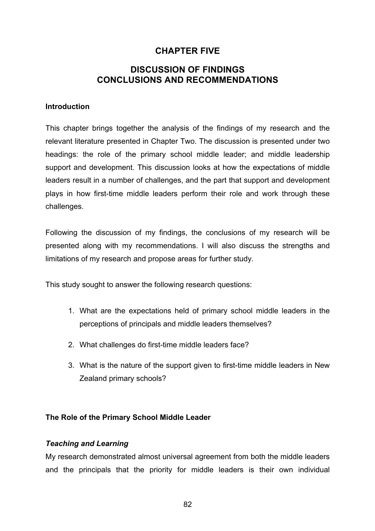# **CHAPTER FIVE**

# **DISCUSSION OF FINDINGS CONCLUSIONS AND RECOMMENDATIONS**

# **Introduction**

This chapter brings together the analysis of the findings of my research and the relevant literature presented in Chapter Two. The discussion is presented under two headings: the role of the primary school middle leader; and middle leadership support and development. This discussion looks at how the expectations of middle leaders result in a number of challenges, and the part that support and development plays in how first-time middle leaders perform their role and work through these challenges.

Following the discussion of my findings, the conclusions of my research will be presented along with my recommendations. I will also discuss the strengths and limitations of my research and propose areas for further study.

This study sought to answer the following research questions:

- 1. What are the expectations held of primary school middle leaders in the perceptions of principals and middle leaders themselves?
- 2. What challenges do first-time middle leaders face?
- 3. What is the nature of the support given to first-time middle leaders in New Zealand primary schools?

# **The Role of the Primary School Middle Leader**

# *Teaching and Learning*

My research demonstrated almost universal agreement from both the middle leaders and the principals that the priority for middle leaders is their own individual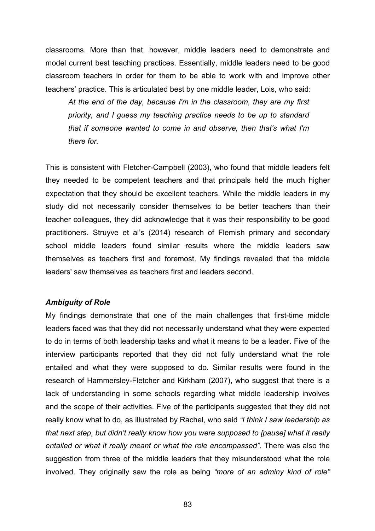classrooms. More than that, however, middle leaders need to demonstrate and model current best teaching practices. Essentially, middle leaders need to be good classroom teachers in order for them to be able to work with and improve other teachers' practice. This is articulated best by one middle leader, Lois, who said:

*At the end of the day, because I'm in the classroom, they are my first priority, and I guess my teaching practice needs to be up to standard that if someone wanted to come in and observe, then that's what I'm there for.* 

This is consistent with Fletcher-Campbell (2003), who found that middle leaders felt they needed to be competent teachers and that principals held the much higher expectation that they should be excellent teachers. While the middle leaders in my study did not necessarily consider themselves to be better teachers than their teacher colleagues, they did acknowledge that it was their responsibility to be good practitioners. Struyve et al's (2014) research of Flemish primary and secondary school middle leaders found similar results where the middle leaders saw themselves as teachers first and foremost. My findings revealed that the middle leaders' saw themselves as teachers first and leaders second.

### *Ambiguity of Role*

My findings demonstrate that one of the main challenges that first-time middle leaders faced was that they did not necessarily understand what they were expected to do in terms of both leadership tasks and what it means to be a leader. Five of the interview participants reported that they did not fully understand what the role entailed and what they were supposed to do. Similar results were found in the research of Hammersley-Fletcher and Kirkham (2007), who suggest that there is a lack of understanding in some schools regarding what middle leadership involves and the scope of their activities. Five of the participants suggested that they did not really know what to do, as illustrated by Rachel, who said *"I think I saw leadership as that next step, but didn't really know how you were supposed to [pause] what it really entailed or what it really meant or what the role encompassed".* There was also the suggestion from three of the middle leaders that they misunderstood what the role involved. They originally saw the role as being *"more of an adminy kind of role"*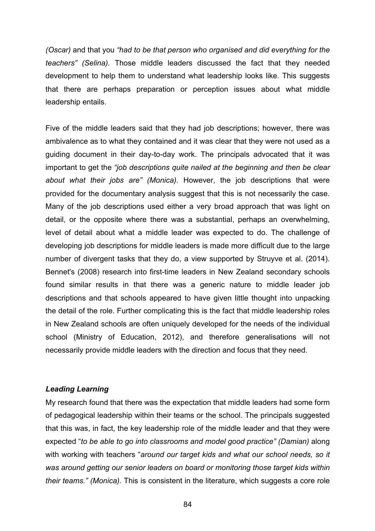*(Oscar)* and that you *"had to be that person who organised and did everything for the teachers" (Selina).* Those middle leaders discussed the fact that they needed development to help them to understand what leadership looks like. This suggests that there are perhaps preparation or perception issues about what middle leadership entails.

Five of the middle leaders said that they had job descriptions; however, there was ambivalence as to what they contained and it was clear that they were not used as a guiding document in their day-to-day work. The principals advocated that it was important to get the *"job descriptions quite nailed at the beginning and then be clear about what their jobs are" (Monica).* However, the job descriptions that were provided for the documentary analysis suggest that this is not necessarily the case. Many of the job descriptions used either a very broad approach that was light on detail, or the opposite where there was a substantial, perhaps an overwhelming, level of detail about what a middle leader was expected to do. The challenge of developing job descriptions for middle leaders is made more difficult due to the large number of divergent tasks that they do, a view supported by Struyve et al. (2014). Bennet's (2008) research into first-time leaders in New Zealand secondary schools found similar results in that there was a generic nature to middle leader job descriptions and that schools appeared to have given little thought into unpacking the detail of the role. Further complicating this is the fact that middle leadership roles in New Zealand schools are often uniquely developed for the needs of the individual school (Ministry of Education, 2012), and therefore generalisations will not necessarily provide middle leaders with the direction and focus that they need.

# *Leading Learning*

My research found that there was the expectation that middle leaders had some form of pedagogical leadership within their teams or the school. The principals suggested that this was, in fact, the key leadership role of the middle leader and that they were expected "*to be able to go into classrooms and model good practice" (Damian)* along with working with teachers "*around our target kids and what our school needs, so it was around getting our senior leaders on board or monitoring those target kids within their teams." (Monica).* This is consistent in the literature, which suggests a core role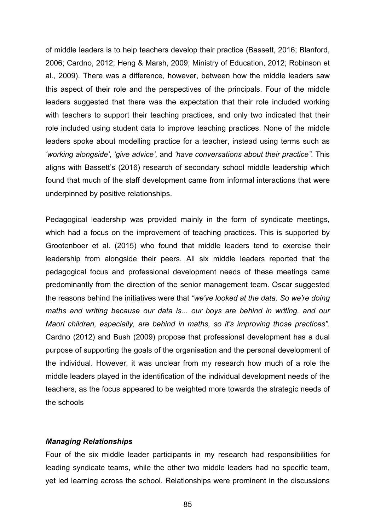of middle leaders is to help teachers develop their practice (Bassett, 2016; Blanford, 2006; Cardno, 2012; Heng & Marsh, 2009; Ministry of Education, 2012; Robinson et al., 2009). There was a difference, however, between how the middle leaders saw this aspect of their role and the perspectives of the principals. Four of the middle leaders suggested that there was the expectation that their role included working with teachers to support their teaching practices, and only two indicated that their role included using student data to improve teaching practices. None of the middle leaders spoke about modelling practice for a teacher, instead using terms such as *'working alongside'*, *'give advice',* and *'have conversations about their practice".* This aligns with Bassett's (2016) research of secondary school middle leadership which found that much of the staff development came from informal interactions that were underpinned by positive relationships.

Pedagogical leadership was provided mainly in the form of syndicate meetings, which had a focus on the improvement of teaching practices. This is supported by Grootenboer et al. (2015) who found that middle leaders tend to exercise their leadership from alongside their peers. All six middle leaders reported that the pedagogical focus and professional development needs of these meetings came predominantly from the direction of the senior management team. Oscar suggested the reasons behind the initiatives were that *"we've looked at the data. So we're doing maths and writing because our data is... our boys are behind in writing, and our Maori children, especially, are behind in maths, so it's improving those practices".*  Cardno (2012) and Bush (2009) propose that professional development has a dual purpose of supporting the goals of the organisation and the personal development of the individual. However, it was unclear from my research how much of a role the middle leaders played in the identification of the individual development needs of the teachers, as the focus appeared to be weighted more towards the strategic needs of the schools

### *Managing Relationships*

Four of the six middle leader participants in my research had responsibilities for leading syndicate teams, while the other two middle leaders had no specific team, yet led learning across the school. Relationships were prominent in the discussions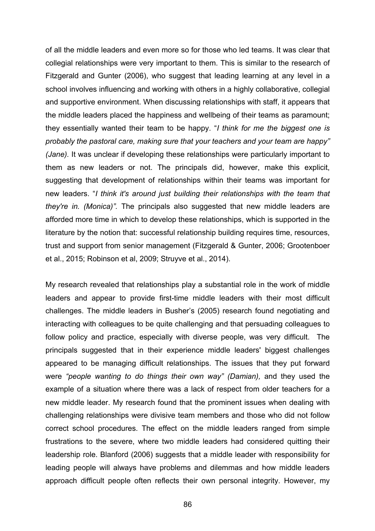of all the middle leaders and even more so for those who led teams. It was clear that collegial relationships were very important to them. This is similar to the research of Fitzgerald and Gunter (2006), who suggest that leading learning at any level in a school involves influencing and working with others in a highly collaborative, collegial and supportive environment. When discussing relationships with staff, it appears that the middle leaders placed the happiness and wellbeing of their teams as paramount; they essentially wanted their team to be happy. "*I think for me the biggest one is probably the pastoral care, making sure that your teachers and your team are happy" (Jane).* It was unclear if developing these relationships were particularly important to them as new leaders or not. The principals did, however, make this explicit, suggesting that development of relationships within their teams was important for new leaders. "*I think it's around just building their relationships with the team that they're in. (Monica)".* The principals also suggested that new middle leaders are afforded more time in which to develop these relationships, which is supported in the literature by the notion that: successful relationship building requires time, resources, trust and support from senior management (Fitzgerald & Gunter, 2006; Grootenboer et al., 2015; Robinson et al, 2009; Struyve et al., 2014).

My research revealed that relationships play a substantial role in the work of middle leaders and appear to provide first-time middle leaders with their most difficult challenges. The middle leaders in Busher's (2005) research found negotiating and interacting with colleagues to be quite challenging and that persuading colleagues to follow policy and practice, especially with diverse people, was very difficult. The principals suggested that in their experience middle leaders' biggest challenges appeared to be managing difficult relationships. The issues that they put forward were *"people wanting to do things their own way" (Damian),* and they used the example of a situation where there was a lack of respect from older teachers for a new middle leader. My research found that the prominent issues when dealing with challenging relationships were divisive team members and those who did not follow correct school procedures. The effect on the middle leaders ranged from simple frustrations to the severe, where two middle leaders had considered quitting their leadership role. Blanford (2006) suggests that a middle leader with responsibility for leading people will always have problems and dilemmas and how middle leaders approach difficult people often reflects their own personal integrity. However, my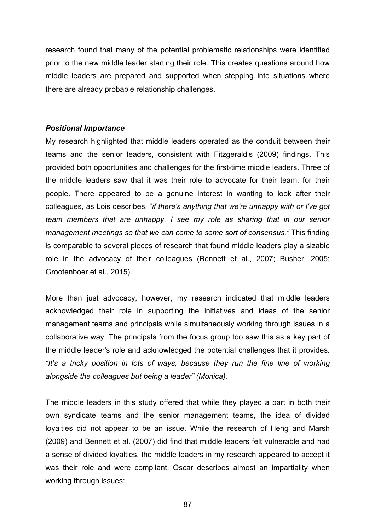research found that many of the potential problematic relationships were identified prior to the new middle leader starting their role. This creates questions around how middle leaders are prepared and supported when stepping into situations where there are already probable relationship challenges.

### *Positional Importance*

My research highlighted that middle leaders operated as the conduit between their teams and the senior leaders, consistent with Fitzgerald's (2009) findings. This provided both opportunities and challenges for the first-time middle leaders. Three of the middle leaders saw that it was their role to advocate for their team, for their people. There appeared to be a genuine interest in wanting to look after their colleagues, as Lois describes, "*if there's anything that we're unhappy with or I've got team members that are unhappy, I see my role as sharing that in our senior management meetings so that we can come to some sort of consensus."* This finding is comparable to several pieces of research that found middle leaders play a sizable role in the advocacy of their colleagues (Bennett et al., 2007; Busher, 2005; Grootenboer et al., 2015).

More than just advocacy, however, my research indicated that middle leaders acknowledged their role in supporting the initiatives and ideas of the senior management teams and principals while simultaneously working through issues in a collaborative way. The principals from the focus group too saw this as a key part of the middle leader's role and acknowledged the potential challenges that it provides. *"It's a tricky position in lots of ways, because they run the fine line of working alongside the colleagues but being a leader" (Monica).* 

The middle leaders in this study offered that while they played a part in both their own syndicate teams and the senior management teams, the idea of divided loyalties did not appear to be an issue. While the research of Heng and Marsh (2009) and Bennett et al. (2007) did find that middle leaders felt vulnerable and had a sense of divided loyalties, the middle leaders in my research appeared to accept it was their role and were compliant. Oscar describes almost an impartiality when working through issues:

87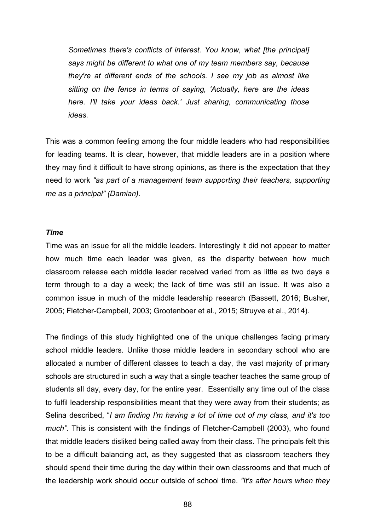*Sometimes there's conflicts of interest. You know, what [the principal] says might be different to what one of my team members say, because they're at different ends of the schools. I see my job as almost like sitting on the fence in terms of saying, 'Actually, here are the ideas here. I'll take your ideas back.' Just sharing, communicating those ideas.*

This was a common feeling among the four middle leaders who had responsibilities for leading teams. It is clear, however, that middle leaders are in a position where they may find it difficult to have strong opinions, as there is the expectation that the*y*  need to work *"as part of a management team supporting their teachers, supporting me as a principal" (Damian).* 

#### *Time*

Time was an issue for all the middle leaders. Interestingly it did not appear to matter how much time each leader was given, as the disparity between how much classroom release each middle leader received varied from as little as two days a term through to a day a week; the lack of time was still an issue. It was also a common issue in much of the middle leadership research (Bassett, 2016; Busher, 2005; Fletcher-Campbell, 2003; Grootenboer et al., 2015; Struyve et al., 2014).

The findings of this study highlighted one of the unique challenges facing primary school middle leaders. Unlike those middle leaders in secondary school who are allocated a number of different classes to teach a day, the vast majority of primary schools are structured in such a way that a single teacher teaches the same group of students all day, every day, for the entire year. Essentially any time out of the class to fulfil leadership responsibilities meant that they were away from their students; as Selina described, "*I am finding I'm having a lot of time out of my class, and it's too much".* This is consistent with the findings of Fletcher-Campbell (2003), who found that middle leaders disliked being called away from their class. The principals felt this to be a difficult balancing act, as they suggested that as classroom teachers they should spend their time during the day within their own classrooms and that much of the leadership work should occur outside of school time. *"It's after hours when they* 

88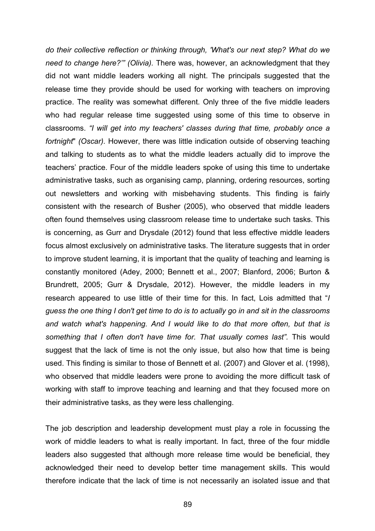*do their collective reflection or thinking through, 'What's our next step? What do we need to change here?'" (Olivia).* There was, however, an acknowledgment that they did not want middle leaders working all night. The principals suggested that the release time they provide should be used for working with teachers on improving practice. The reality was somewhat different. Only three of the five middle leaders who had regular release time suggested using some of this time to observe in classrooms. *"I will get into my teachers' classes during that time, probably once a fortnight*" *(Oscar).* However, there was little indication outside of observing teaching and talking to students as to what the middle leaders actually did to improve the teachers' practice. Four of the middle leaders spoke of using this time to undertake administrative tasks, such as organising camp, planning, ordering resources, sorting out newsletters and working with misbehaving students. This finding is fairly consistent with the research of Busher (2005), who observed that middle leaders often found themselves using classroom release time to undertake such tasks. This is concerning, as Gurr and Drysdale (2012) found that less effective middle leaders focus almost exclusively on administrative tasks. The literature suggests that in order to improve student learning, it is important that the quality of teaching and learning is constantly monitored (Adey, 2000; Bennett et al., 2007; Blanford, 2006; Burton & Brundrett, 2005; Gurr & Drysdale, 2012). However, the middle leaders in my research appeared to use little of their time for this. In fact, Lois admitted that "*I guess the one thing I don't get time to do is to actually go in and sit in the classrooms and watch what's happening. And I would like to do that more often, but that is something that I often don't have time for. That usually comes last".* This would suggest that the lack of time is not the only issue, but also how that time is being used. This finding is similar to those of Bennett et al. (2007) and Glover et al. (1998), who observed that middle leaders were prone to avoiding the more difficult task of working with staff to improve teaching and learning and that they focused more on their administrative tasks, as they were less challenging.

The job description and leadership development must play a role in focussing the work of middle leaders to what is really important. In fact, three of the four middle leaders also suggested that although more release time would be beneficial, they acknowledged their need to develop better time management skills. This would therefore indicate that the lack of time is not necessarily an isolated issue and that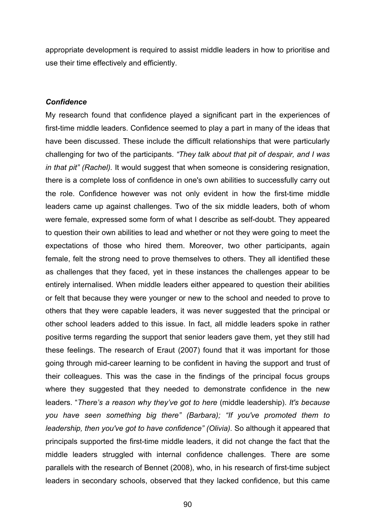appropriate development is required to assist middle leaders in how to prioritise and use their time effectively and efficiently.

### *Confidence*

My research found that confidence played a significant part in the experiences of first-time middle leaders. Confidence seemed to play a part in many of the ideas that have been discussed. These include the difficult relationships that were particularly challenging for two of the participants. *"They talk about that pit of despair, and I was in that pit" (Rachel).* It would suggest that when someone is considering resignation, there is a complete loss of confidence in one's own abilities to successfully carry out the role. Confidence however was not only evident in how the first-time middle leaders came up against challenges. Two of the six middle leaders, both of whom were female, expressed some form of what I describe as self-doubt. They appeared to question their own abilities to lead and whether or not they were going to meet the expectations of those who hired them. Moreover, two other participants, again female, felt the strong need to prove themselves to others. They all identified these as challenges that they faced, yet in these instances the challenges appear to be entirely internalised. When middle leaders either appeared to question their abilities or felt that because they were younger or new to the school and needed to prove to others that they were capable leaders, it was never suggested that the principal or other school leaders added to this issue. In fact, all middle leaders spoke in rather positive terms regarding the support that senior leaders gave them, yet they still had these feelings. The research of Eraut (2007) found that it was important for those going through mid-career learning to be confident in having the support and trust of their colleagues. This was the case in the findings of the principal focus groups where they suggested that they needed to demonstrate confidence in the new leaders. "*There's a reason why they've got to here* (middle leadership). *It's because you have seen something big there" (Barbara); "If you've promoted them to leadership, then you've got to have confidence" (Olivia).* So although it appeared that principals supported the first-time middle leaders, it did not change the fact that the middle leaders struggled with internal confidence challenges. There are some parallels with the research of Bennet (2008), who, in his research of first-time subject leaders in secondary schools, observed that they lacked confidence, but this came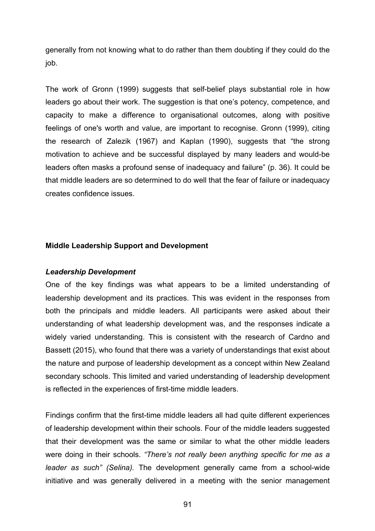generally from not knowing what to do rather than them doubting if they could do the job.

The work of Gronn (1999) suggests that self-belief plays substantial role in how leaders go about their work. The suggestion is that one's potency, competence, and capacity to make a difference to organisational outcomes, along with positive feelings of one's worth and value, are important to recognise. Gronn (1999), citing the research of Zalezik (1967) and Kaplan (1990), suggests that "the strong motivation to achieve and be successful displayed by many leaders and would-be leaders often masks a profound sense of inadequacy and failure" (p. 36). It could be that middle leaders are so determined to do well that the fear of failure or inadequacy creates confidence issues.

### **Middle Leadership Support and Development**

### *Leadership Development*

One of the key findings was what appears to be a limited understanding of leadership development and its practices. This was evident in the responses from both the principals and middle leaders. All participants were asked about their understanding of what leadership development was, and the responses indicate a widely varied understanding. This is consistent with the research of Cardno and Bassett (2015), who found that there was a variety of understandings that exist about the nature and purpose of leadership development as a concept within New Zealand secondary schools. This limited and varied understanding of leadership development is reflected in the experiences of first-time middle leaders.

Findings confirm that the first-time middle leaders all had quite different experiences of leadership development within their schools. Four of the middle leaders suggested that their development was the same or similar to what the other middle leaders were doing in their schools. *"There's not really been anything specific for me as a leader as such" (Selina).* The development generally came from a school-wide initiative and was generally delivered in a meeting with the senior management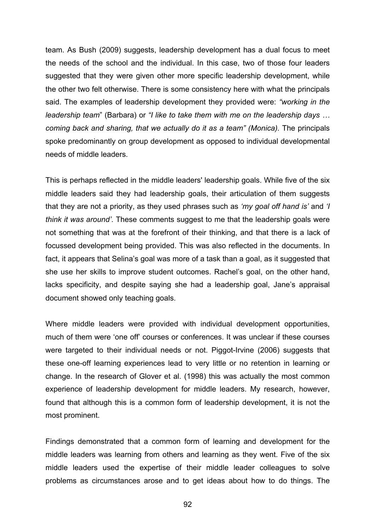team. As Bush (2009) suggests, leadership development has a dual focus to meet the needs of the school and the individual. In this case, two of those four leaders suggested that they were given other more specific leadership development, while the other two felt otherwise. There is some consistency here with what the principals said. The examples of leadership development they provided were: *"working in the leadership team*" (Barbara) or *"I like to take them with me on the leadership days … coming back and sharing, that we actually do it as a team" (Monica).* The principals spoke predominantly on group development as opposed to individual developmental needs of middle leaders.

This is perhaps reflected in the middle leaders' leadership goals. While five of the six middle leaders said they had leadership goals, their articulation of them suggests that they are not a priority, as they used phrases such as *'my goal off hand is'* and *'I think it was around'*. These comments suggest to me that the leadership goals were not something that was at the forefront of their thinking, and that there is a lack of focussed development being provided. This was also reflected in the documents. In fact, it appears that Selina's goal was more of a task than a goal, as it suggested that she use her skills to improve student outcomes. Rachel's goal, on the other hand, lacks specificity, and despite saying she had a leadership goal, Jane's appraisal document showed only teaching goals.

Where middle leaders were provided with individual development opportunities, much of them were 'one off' courses or conferences. It was unclear if these courses were targeted to their individual needs or not. Piggot-Irvine (2006) suggests that these one-off learning experiences lead to very little or no retention in learning or change. In the research of Glover et al. (1998) this was actually the most common experience of leadership development for middle leaders. My research, however, found that although this is a common form of leadership development, it is not the most prominent.

Findings demonstrated that a common form of learning and development for the middle leaders was learning from others and learning as they went. Five of the six middle leaders used the expertise of their middle leader colleagues to solve problems as circumstances arose and to get ideas about how to do things. The

92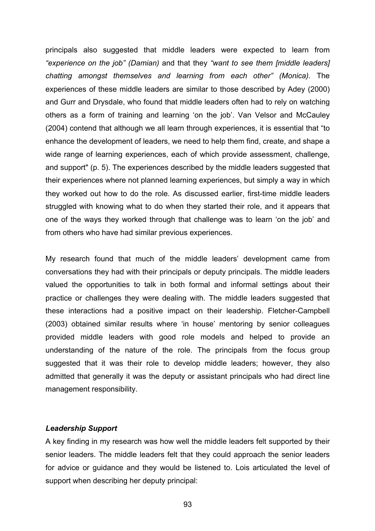principals also suggested that middle leaders were expected to learn from *"experience on the job" (Damian)* and that they *"want to see them [middle leaders] chatting amongst themselves and learning from each other" (Monica).* The experiences of these middle leaders are similar to those described by Adey (2000) and Gurr and Drysdale, who found that middle leaders often had to rely on watching others as a form of training and learning 'on the job'. Van Velsor and McCauley (2004) contend that although we all learn through experiences, it is essential that "to enhance the development of leaders, we need to help them find, create, and shape a wide range of learning experiences, each of which provide assessment, challenge, and support" (p. 5). The experiences described by the middle leaders suggested that their experiences where not planned learning experiences, but simply a way in which they worked out how to do the role. As discussed earlier, first-time middle leaders struggled with knowing what to do when they started their role, and it appears that one of the ways they worked through that challenge was to learn 'on the job' and from others who have had similar previous experiences.

My research found that much of the middle leaders' development came from conversations they had with their principals or deputy principals. The middle leaders valued the opportunities to talk in both formal and informal settings about their practice or challenges they were dealing with. The middle leaders suggested that these interactions had a positive impact on their leadership. Fletcher-Campbell (2003) obtained similar results where 'in house' mentoring by senior colleagues provided middle leaders with good role models and helped to provide an understanding of the nature of the role. The principals from the focus group suggested that it was their role to develop middle leaders; however, they also admitted that generally it was the deputy or assistant principals who had direct line management responsibility.

### *Leadership Support*

A key finding in my research was how well the middle leaders felt supported by their senior leaders. The middle leaders felt that they could approach the senior leaders for advice or guidance and they would be listened to. Lois articulated the level of support when describing her deputy principal: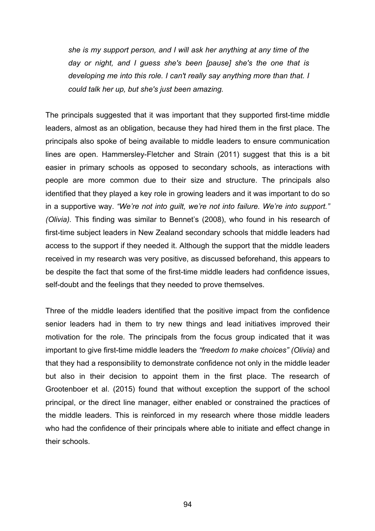*she is my support person, and I will ask her anything at any time of the day or night, and I guess she's been [pause] she's the one that is developing me into this role. I can't really say anything more than that. I could talk her up, but she's just been amazing.*

The principals suggested that it was important that they supported first-time middle leaders, almost as an obligation, because they had hired them in the first place. The principals also spoke of being available to middle leaders to ensure communication lines are open. Hammersley-Fletcher and Strain (2011) suggest that this is a bit easier in primary schools as opposed to secondary schools, as interactions with people are more common due to their size and structure. The principals also identified that they played a key role in growing leaders and it was important to do so in a supportive way. *"We're not into guilt, we're not into failure. We're into support." (Olivia).* This finding was similar to Bennet's (2008), who found in his research of first-time subject leaders in New Zealand secondary schools that middle leaders had access to the support if they needed it. Although the support that the middle leaders received in my research was very positive, as discussed beforehand, this appears to be despite the fact that some of the first-time middle leaders had confidence issues, self-doubt and the feelings that they needed to prove themselves.

Three of the middle leaders identified that the positive impact from the confidence senior leaders had in them to try new things and lead initiatives improved their motivation for the role. The principals from the focus group indicated that it was important to give first-time middle leaders the *"freedom to make choices" (Olivia)* and that they had a responsibility to demonstrate confidence not only in the middle leader but also in their decision to appoint them in the first place. The research of Grootenboer et al. (2015) found that without exception the support of the school principal, or the direct line manager, either enabled or constrained the practices of the middle leaders. This is reinforced in my research where those middle leaders who had the confidence of their principals where able to initiate and effect change in their schools.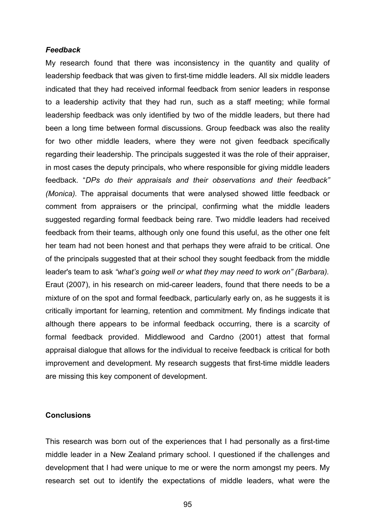#### *Feedback*

My research found that there was inconsistency in the quantity and quality of leadership feedback that was given to first-time middle leaders. All six middle leaders indicated that they had received informal feedback from senior leaders in response to a leadership activity that they had run, such as a staff meeting; while formal leadership feedback was only identified by two of the middle leaders, but there had been a long time between formal discussions. Group feedback was also the reality for two other middle leaders, where they were not given feedback specifically regarding their leadership. The principals suggested it was the role of their appraiser, in most cases the deputy principals, who where responsible for giving middle leaders feedback. "*DPs do their appraisals and their observations and their feedback" (Monica).* The appraisal documents that were analysed showed little feedback or comment from appraisers or the principal, confirming what the middle leaders suggested regarding formal feedback being rare. Two middle leaders had received feedback from their teams, although only one found this useful, as the other one felt her team had not been honest and that perhaps they were afraid to be critical. One of the principals suggested that at their school they sought feedback from the middle leader's team to ask *"what's going well or what they may need to work on" (Barbara).*  Eraut (2007), in his research on mid-career leaders, found that there needs to be a mixture of on the spot and formal feedback, particularly early on, as he suggests it is critically important for learning, retention and commitment. My findings indicate that although there appears to be informal feedback occurring, there is a scarcity of formal feedback provided. Middlewood and Cardno (2001) attest that formal appraisal dialogue that allows for the individual to receive feedback is critical for both improvement and development. My research suggests that first-time middle leaders are missing this key component of development.

### **Conclusions**

This research was born out of the experiences that I had personally as a first-time middle leader in a New Zealand primary school. I questioned if the challenges and development that I had were unique to me or were the norm amongst my peers. My research set out to identify the expectations of middle leaders, what were the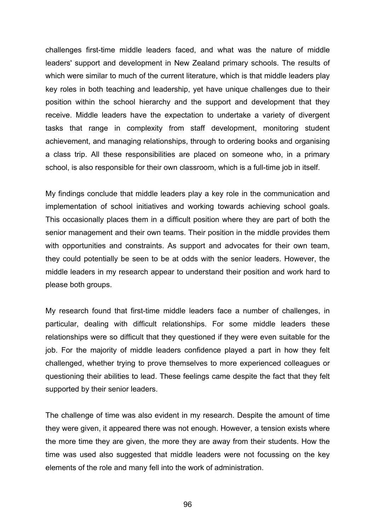challenges first-time middle leaders faced, and what was the nature of middle leaders' support and development in New Zealand primary schools. The results of which were similar to much of the current literature, which is that middle leaders play key roles in both teaching and leadership, yet have unique challenges due to their position within the school hierarchy and the support and development that they receive. Middle leaders have the expectation to undertake a variety of divergent tasks that range in complexity from staff development, monitoring student achievement, and managing relationships, through to ordering books and organising a class trip. All these responsibilities are placed on someone who, in a primary school, is also responsible for their own classroom, which is a full-time job in itself.

My findings conclude that middle leaders play a key role in the communication and implementation of school initiatives and working towards achieving school goals. This occasionally places them in a difficult position where they are part of both the senior management and their own teams. Their position in the middle provides them with opportunities and constraints. As support and advocates for their own team, they could potentially be seen to be at odds with the senior leaders. However, the middle leaders in my research appear to understand their position and work hard to please both groups.

My research found that first-time middle leaders face a number of challenges, in particular, dealing with difficult relationships. For some middle leaders these relationships were so difficult that they questioned if they were even suitable for the job. For the majority of middle leaders confidence played a part in how they felt challenged, whether trying to prove themselves to more experienced colleagues or questioning their abilities to lead. These feelings came despite the fact that they felt supported by their senior leaders.

The challenge of time was also evident in my research. Despite the amount of time they were given, it appeared there was not enough. However, a tension exists where the more time they are given, the more they are away from their students. How the time was used also suggested that middle leaders were not focussing on the key elements of the role and many fell into the work of administration.

96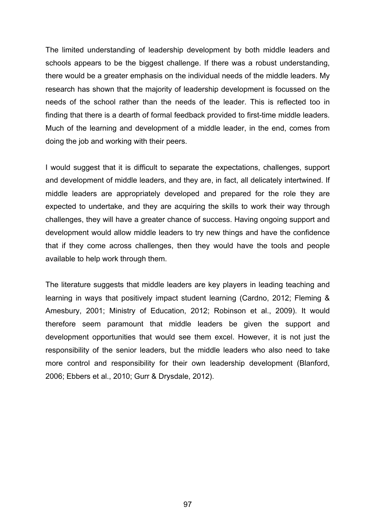The limited understanding of leadership development by both middle leaders and schools appears to be the biggest challenge. If there was a robust understanding, there would be a greater emphasis on the individual needs of the middle leaders. My research has shown that the majority of leadership development is focussed on the needs of the school rather than the needs of the leader. This is reflected too in finding that there is a dearth of formal feedback provided to first-time middle leaders. Much of the learning and development of a middle leader, in the end, comes from doing the job and working with their peers.

I would suggest that it is difficult to separate the expectations, challenges, support and development of middle leaders, and they are, in fact, all delicately intertwined. If middle leaders are appropriately developed and prepared for the role they are expected to undertake, and they are acquiring the skills to work their way through challenges, they will have a greater chance of success. Having ongoing support and development would allow middle leaders to try new things and have the confidence that if they come across challenges, then they would have the tools and people available to help work through them.

The literature suggests that middle leaders are key players in leading teaching and learning in ways that positively impact student learning (Cardno, 2012; Fleming & Amesbury, 2001; Ministry of Education, 2012; Robinson et al., 2009). It would therefore seem paramount that middle leaders be given the support and development opportunities that would see them excel. However, it is not just the responsibility of the senior leaders, but the middle leaders who also need to take more control and responsibility for their own leadership development (Blanford, 2006; Ebbers et al., 2010; Gurr & Drysdale, 2012).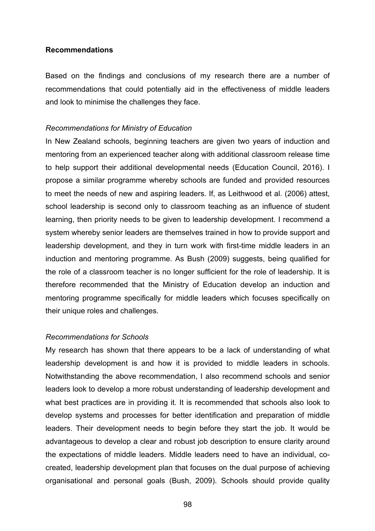### **Recommendations**

Based on the findings and conclusions of my research there are a number of recommendations that could potentially aid in the effectiveness of middle leaders and look to minimise the challenges they face.

### *Recommendations for Ministry of Education*

In New Zealand schools, beginning teachers are given two years of induction and mentoring from an experienced teacher along with additional classroom release time to help support their additional developmental needs (Education Council, 2016). I propose a similar programme whereby schools are funded and provided resources to meet the needs of new and aspiring leaders. If, as Leithwood et al. (2006) attest, school leadership is second only to classroom teaching as an influence of student learning, then priority needs to be given to leadership development. I recommend a system whereby senior leaders are themselves trained in how to provide support and leadership development, and they in turn work with first-time middle leaders in an induction and mentoring programme. As Bush (2009) suggests, being qualified for the role of a classroom teacher is no longer sufficient for the role of leadership. It is therefore recommended that the Ministry of Education develop an induction and mentoring programme specifically for middle leaders which focuses specifically on their unique roles and challenges.

### *Recommendations for Schools*

My research has shown that there appears to be a lack of understanding of what leadership development is and how it is provided to middle leaders in schools. Notwithstanding the above recommendation, I also recommend schools and senior leaders look to develop a more robust understanding of leadership development and what best practices are in providing it. It is recommended that schools also look to develop systems and processes for better identification and preparation of middle leaders. Their development needs to begin before they start the job. It would be advantageous to develop a clear and robust job description to ensure clarity around the expectations of middle leaders. Middle leaders need to have an individual, cocreated, leadership development plan that focuses on the dual purpose of achieving organisational and personal goals (Bush, 2009). Schools should provide quality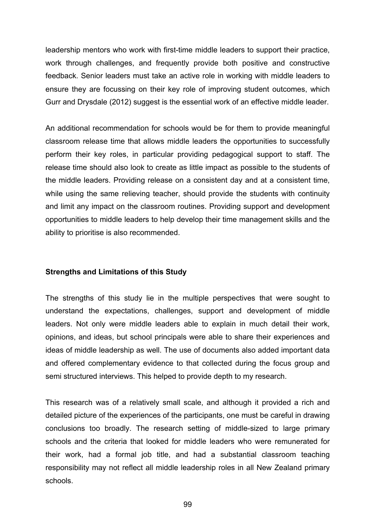leadership mentors who work with first-time middle leaders to support their practice, work through challenges, and frequently provide both positive and constructive feedback. Senior leaders must take an active role in working with middle leaders to ensure they are focussing on their key role of improving student outcomes, which Gurr and Drysdale (2012) suggest is the essential work of an effective middle leader.

An additional recommendation for schools would be for them to provide meaningful classroom release time that allows middle leaders the opportunities to successfully perform their key roles, in particular providing pedagogical support to staff. The release time should also look to create as little impact as possible to the students of the middle leaders. Providing release on a consistent day and at a consistent time, while using the same relieving teacher, should provide the students with continuity and limit any impact on the classroom routines. Providing support and development opportunities to middle leaders to help develop their time management skills and the ability to prioritise is also recommended.

# **Strengths and Limitations of this Study**

The strengths of this study lie in the multiple perspectives that were sought to understand the expectations, challenges, support and development of middle leaders. Not only were middle leaders able to explain in much detail their work, opinions, and ideas, but school principals were able to share their experiences and ideas of middle leadership as well. The use of documents also added important data and offered complementary evidence to that collected during the focus group and semi structured interviews. This helped to provide depth to my research.

This research was of a relatively small scale, and although it provided a rich and detailed picture of the experiences of the participants, one must be careful in drawing conclusions too broadly. The research setting of middle-sized to large primary schools and the criteria that looked for middle leaders who were remunerated for their work, had a formal job title, and had a substantial classroom teaching responsibility may not reflect all middle leadership roles in all New Zealand primary schools.

99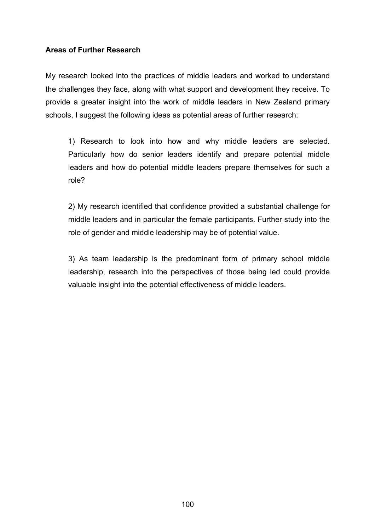# **Areas of Further Research**

My research looked into the practices of middle leaders and worked to understand the challenges they face, along with what support and development they receive. To provide a greater insight into the work of middle leaders in New Zealand primary schools, I suggest the following ideas as potential areas of further research:

1) Research to look into how and why middle leaders are selected. Particularly how do senior leaders identify and prepare potential middle leaders and how do potential middle leaders prepare themselves for such a role?

2) My research identified that confidence provided a substantial challenge for middle leaders and in particular the female participants. Further study into the role of gender and middle leadership may be of potential value.

3) As team leadership is the predominant form of primary school middle leadership, research into the perspectives of those being led could provide valuable insight into the potential effectiveness of middle leaders.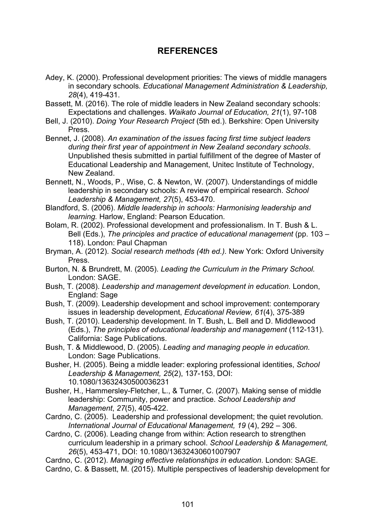### **REFERENCES**

- Adey, K. (2000). Professional development priorities: The views of middle managers in secondary schools*. Educational Management Administration & Leadership, 28*(4), 419-431.
- Bassett, M. (2016). The role of middle leaders in New Zealand secondary schools: Expectations and challenges. *Waikato Journal of Education, 21*(1), 97-108
- Bell, J. (2010). *Doing Your Research Project* (5th ed.). Berkshire: Open University Press.
- Bennet, J. (2008). *An examination of the issues facing first time subject leaders during their first year of appointment in New Zealand secondary schools*. Unpublished thesis submitted in partial fulfillment of the degree of Master of Educational Leadership and Management, Unitec Institute of Technology, New Zealand.

Bennett, N., Woods, P., Wise, C. & Newton, W. (2007). Understandings of middle leadership in secondary schools: A review of empirical research. *School Leadership & Management, 27*(5), 453-470.

- Blandford, S. (2006). *Middle leadership in schools: Harmonising leadership and learning.* Harlow, England: Pearson Education.
- Bolam, R. (2002). Professional development and professionalism. In T. Bush & L. Bell (Eds.), *The principles and practice of educational management* (pp. 103 – 118). London: Paul Chapman
- Bryman, A. (2012). *Social research methods (4th ed.).* New York: Oxford University Press.
- Burton, N. & Brundrett, M. (2005). *Leading the Curriculum in the Primary School.* London: SAGE.
- Bush, T. (2008). *Leadership and management development in education.* London, England: Sage
- Bush, T. (2009). Leadership development and school improvement: contemporary issues in leadership development, *Educational Review, 61*(4), 375-389
- Bush, T. (2010). Leadership development. In T. Bush, L. Bell and D. Middlewood (Eds.), *The principles of educational leadership and management* (112-131). California: Sage Publications.
- Bush, T. & Middlewood, D. (2005). *Leading and managing people in education.*  London: Sage Publications.
- Busher, H. (2005). Being a middle leader: exploring professional identities, *School Leadership & Management, 25*(2), 137-153, DOI: 10.1080/13632430500036231
- Busher, H., Hammersley-Fletcher, L., & Turner, C. (2007). Making sense of middle leadership: Community, power and practice. *School Leadership and Management*, *27*(5), 405-422.
- Cardno, C. (2005). Leadership and professional development; the quiet revolution. *International Journal of Educational Management, 19* (4), 292 – 306.
- Cardno, C. (2006). Leading change from within: Action research to strengthen curriculum leadership in a primary school. *School Leadership & Management, 26*(5), 453-471, DOI: 10.1080/13632430601007907

Cardno, C. (2012). *Managing effective relationships in education*. London: SAGE. Cardno, C. & Bassett, M. (2015). Multiple perspectives of leadership development for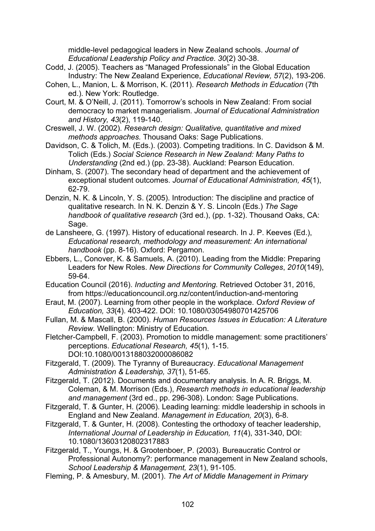middle-level pedagogical leaders in New Zealand schools. *Journal of Educational Leadership Policy and Practice. 30*(2) 30-38.

- Codd, J. (2005). Teachers as "Managed Professionals" in the Global Education Industry: The New Zealand Experience, *Educational Review, 57*(2), 193-206.
- Cohen, L., Manion, L. & Morrison, K. (2011). *Research Methods in Education* (7th ed.). New York: Routledge.
- Court, M. & O'Neill, J. (2011). Tomorrow's schools in New Zealand: From social democracy to market managerialism. *Journal of Educational Administration and History, 43*(2), 119-140.
- Creswell, J. W. (2002). *Research design: Qualitative, quantitative and mixed methods approaches.* Thousand Oaks: Sage Publications.
- Davidson, C. & Tolich, M. (Eds.). (2003). Competing traditions. In C. Davidson & M. Tolich (Eds.) *Social Science Research in New Zealand: Many Paths to Understanding* (2nd ed.) (pp. 23-38). Auckland: Pearson Education.
- Dinham, S. (2007). The secondary head of department and the achievement of exceptional student outcomes. *Journal of Educational Administration, 45*(1), 62-79.
- Denzin, N. K. & Lincoln, Y. S. (2005). Introduction: The discipline and practice of qualitative research. In N. K. Denzin & Y. S. Lincoln (Eds.) *The Sage handbook of qualitative research* (3rd ed.), (pp. 1-32). Thousand Oaks, CA: Sage.
- de Lansheere, G. (1997). History of educational research. In J. P. Keeves (Ed.), *Educational research, methodology and measurement: An international handbook* (pp. 8-16). Oxford: Pergamon.
- Ebbers, L., Conover, K. & Samuels, A. (2010). Leading from the Middle: Preparing Leaders for New Roles. *New Directions for Community Colleges*, *2010*(149), 59-64.
- Education Council (2016). *Inducting and Mentoring.* Retrieved October 31, 2016, from https://educationcouncil.org.nz/content/induction-and-mentoring
- Eraut, M. (2007). Learning from other people in the workplace. *Oxford Review of Education, 33*(4). 403-422. DOI: 10.1080/03054980701425706
- Fullan, M. & Mascall, B. (2000). *Human Resources Issues in Education: A Literature Review.* Wellington: Ministry of Education.
- Fletcher-Campbell, F. (2003). Promotion to middle management: some practitioners' perceptions. *Educational Research, 45*(1), 1-15. DOI:10.1080/0013188032000086082
- Fitzgerald, T. (2009). The Tyranny of Bureaucracy. *Educational Management Administration & Leadership, 37*(1), 51-65.
- Fitzgerald, T. (2012). Documents and documentary analysis. In A. R. Briggs, M. Coleman, & M. Morrison (Eds.), *Research methods in educational leadership and management* (3rd ed., pp. 296-308). London: Sage Publications.
- Fitzgerald, T. & Gunter, H. (2006). Leading learning: middle leadership in schools in England and New Zealand. *Management in Education, 20*(3), 6-8.
- Fitzgerald, T. & Gunter, H. (2008). Contesting the orthodoxy of teacher leadership, *International Journal of Leadership in Education, 11*(4), 331-340, DOI: 10.1080/13603120802317883
- Fitzgerald, T., Youngs, H. & Grootenboer, P. (2003). Bureaucratic Control or Professional Autonomy?: performance management in New Zealand schools, *School Leadership & Management, 23*(1), 91-105.
- Fleming, P. & Amesbury, M. (2001). *The Art of Middle Management in Primary*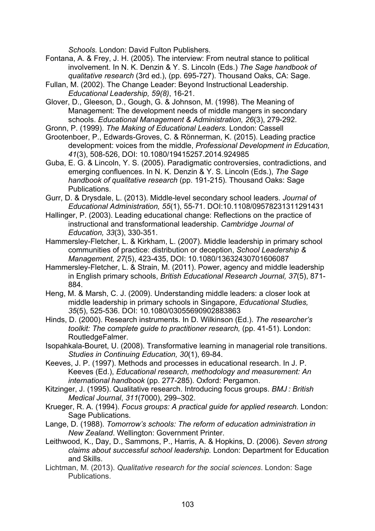*Schools.* London: David Fulton Publishers.

- Fontana, A. & Frey, J. H. (2005). The interview: From neutral stance to political involvement. In N. K. Denzin & Y. S. Lincoln (Eds.) *The Sage handbook of qualitative research* (3rd ed.), (pp. 695-727). Thousand Oaks, CA: Sage.
- Fullan, M. (2002). The Change Leader: Beyond Instructional Leadership. *Educational Leadership, 59(8)*, 16-21.
- Glover, D., Gleeson, D., Gough, G. & Johnson, M. (1998). The Meaning of Management: The development needs of middle mangers in secondary schools. *Educational Management & Administration, 26*(3), 279-292.
- Gronn, P. (1999). *The Making of Educational Leaders.* London: Cassell
- Grootenboer, P., Edwards-Groves, C. & Rönnerman, K. (2015). Leading practice development: voices from the middle, *Professional Development in Education, 41*(3), 508-526, DOI: 10.1080/19415257.2014.924985
- Guba, E. G. & Lincoln, Y. S. (2005). Paradigmatic controversies, contradictions, and emerging confluences. In N. K. Denzin & Y. S. Lincoln (Eds.), *The Sage handbook of qualitative research* (pp. 191-215)*.* Thousand Oaks: Sage Publications.
- Gurr, D. & Drysdale, L. (2013). Middle-level secondary school leaders. *Journal of Educational Administration, 55*(1), 55-71. DOI:10.1108/09578231311291431
- Hallinger, P. (2003). Leading educational change: Reflections on the practice of instructional and transformational leadership. *Cambridge Journal of Education, 33*(3), 330-351.
- Hammersley-Fletcher, L. & Kirkham, L. (2007). Middle leadership in primary school communities of practice: distribution or deception, *School Leadership & Management, 27*(5), 423-435, DOI: 10.1080/13632430701606087
- Hammersley-Fletcher, L. & Strain, M. (2011). Power, agency and middle leadership in English primary schools, *British Educational Research Journal, 37*(5), 871- 884.
- Heng, M. & Marsh, C. J. (2009). Understanding middle leaders: a closer look at middle leadership in primary schools in Singapore, *Educational Studies, 35*(5), 525-536. DOI: 10.1080/03055690902883863
- Hinds, D. (2000). Research instruments. In D. Wilkinson (Ed.). *The researcher's toolkit: The complete guide to practitioner research, (pp. 41-51). London:* RoutledgeFalmer.
- Isopahkala-Bouret, U. (2008). Transformative learning in managerial role transitions. *Studies in Continuing Education, 30*(1), 69-84.
- Keeves, J. P. (1997). Methods and processes in educational research. In J. P. Keeves (Ed.), *Educational research, methodology and measurement: An international handbook* (pp. 277-285). Oxford: Pergamon.
- Kitzinger, J. (1995). Qualitative research. Introducing focus groups. *BMJ : British Medical Journal*, *311*(7000), 299–302.
- Krueger, R. A. (1994). *Focus groups: A practical guide for applied research.* London: Sage Publications.
- Lange, D. (1988). *Tomorrow's schools: The reform of education administration in New Zealand*. Wellington: Government Printer.
- Leithwood, K., Day, D., Sammons, P., Harris, A. & Hopkins, D. (2006). *Seven strong claims about successful school leadership.* London: Department for Education and Skills.
- Lichtman, M. (2013). *Qualitative research for the social sciences*. London: Sage **Publications**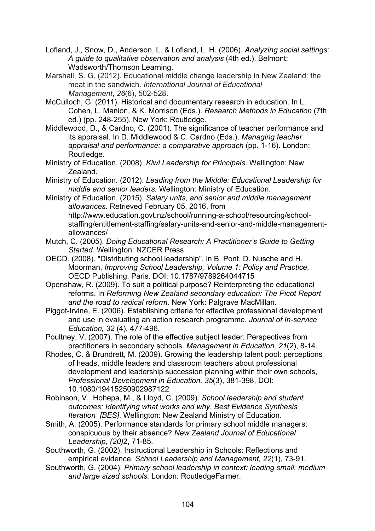Lofland, J., Snow, D., Anderson, L. & Lofland, L. H. (2006). *Analyzing social settings: A guide to qualitative observation and analysis* (4th ed.). Belmont: Wadsworth/Thomson Learning.

Marshall, S. G. (2012). Educational middle change leadership in New Zealand: the meat in the sandwich. *International Journal of Educational Management*, *26*(6), 502-528.

McCulloch, G. (2011). Historical and documentary research in education. In L. Cohen, L. Manion, & K. Morrison (Eds.). *Research Methods in Education* (7th ed.) (pp. 248-255). New York: Routledge.

Middlewood, D., & Cardno, C. (2001). The significance of teacher performance and its appraisal. In D. Middlewood & C. Cardno (Eds.), *Managing teacher appraisal and performance: a comparative approach* (pp. 1-16). London: Routledge.

Ministry of Education. (2008). *Kiwi Leadership for Principals*. Wellington: New Zealand.

Ministry of Education. (2012). *Leading from the Middle: Educational Leadership for middle and senior leaders.* Wellington: Ministry of Education.

Ministry of Education. (2015). *Salary units, and senior and middle management allowances.* Retrieved February 05, 2016, from http://www.education.govt.nz/school/running-a-school/resourcing/schoolstaffing/entitlement-staffing/salary-units-and-senior-and-middle-managementallowances/

Mutch, C. (2005). *Doing Educational Research: A Practitioner's Guide to Getting Started*. Wellington: NZCER Press

OECD. (2008). "Distributing school leadership", in B. Pont, D. Nusche and H. Moorman, *Improving School Leadership, Volume 1: Policy and Practice*, OECD Publishing, Paris. DOI: 10.1787/9789264044715

Openshaw, R. (2009). To suit a political purpose? Reinterpreting the educational reforms. In *Reforming New Zealand secondary education: The Picot Report and the road to radical reform.* New York: Palgrave MacMillan.

Piggot-Irvine, E. (2006). Establishing criteria for effective professional development and use in evaluating an action research programme. *Journal of In-service Education, 32* (4), 477-496.

Poultney, V. (2007). The role of the effective subject leader: Perspectives from practitioners in secondary schools. *Management in Education, 21*(2), 8-14.

Rhodes, C. & Brundrett, M. (2009). Growing the leadership talent pool: perceptions of heads, middle leaders and classroom teachers about professional development and leadership succession planning within their own schools, *Professional Development in Education, 35*(3), 381-398, DOI: 10.1080/19415250902987122

Robinson, V., Hohepa, M., & Lloyd, C. (2009). *School leadership and student outcomes: Identifying what works and why. Best Evidence Synthesis Iteration [BES]*. Wellington: New Zealand Ministry of Education.

Smith, A. (2005). Performance standards for primary school middle managers: conspicuous by their absence? *New Zealand Journal of Educational Leadership, (20)*2, 71-85.

Southworth, G. (2002). Instructional Leadership in Schools: Reflections and empirical evidence, *School Leadership and Management, 22*(1), 73-91.

Southworth, G. (2004). *Primary school leadership in context: leading small, medium and large sized schools.* London: RoutledgeFalmer.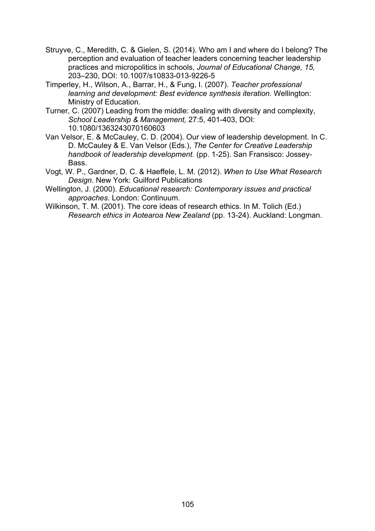- Struyve, C., Meredith, C. & Gielen, S. (2014). Who am I and where do I belong? The perception and evaluation of teacher leaders concerning teacher leadership practices and micropolitics in schools, *Journal of Educational Change, 15,* 203–230, DOI: 10.1007/s10833-013-9226-5
- Timperley, H., Wilson, A., Barrar, H., & Fung, I. (2007). *Teacher professional learning and development: Best evidence synthesis iteration.* Wellington: Ministry of Education.
- Turner, C. (2007) Leading from the middle: dealing with diversity and complexity, *School Leadership & Management,* 27:5, 401-403, DOI: 10.1080/1363243070160603
- Van Velsor, E. & McCauley, C. D. (2004). Our view of leadership development. In C. D. McCauley & E. Van Velsor (Eds.), *The Center for Creative Leadership handbook of leadership development.* (pp. 1-25). San Fransisco: Jossey-Bass.
- Vogt, W. P., Gardner, D. C. & Haeffele, L. M. (2012). *When to Use What Research Design*. New York: Guilford Publications
- Wellington, J. (2000). *Educational research: Contemporary issues and practical approaches.* London: Continuum.
- Wilkinson, T. M. (2001). The core ideas of research ethics. In M. Tolich (Ed.) *Research ethics in Aotearoa New Zealand* (pp. 13-24). Auckland: Longman.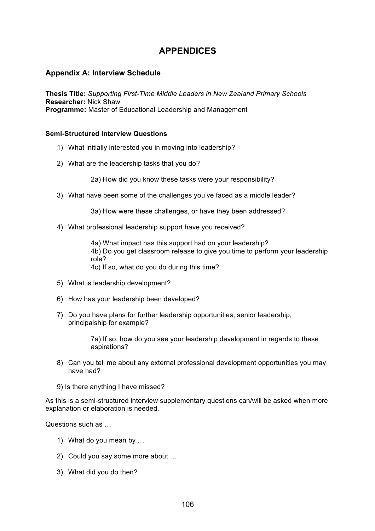## **APPENDICES**

#### **Appendix A: Interview Schedule**

**Thesis Title:** *Supporting First-Time Middle Leaders in New Zealand Primary Schools* **Researcher:** Nick Shaw **Programme:** Master of Educational Leadership and Management

#### **Semi-Structured Interview Questions**

- 1) What initially interested you in moving into leadership?
- 2) What are the leadership tasks that you do?

2a) How did you know these tasks were your responsibility?

3) What have been some of the challenges you've faced as a middle leader?

3a) How were these challenges, or have they been addressed?

4) What professional leadership support have you received?

4a) What impact has this support had on your leadership? 4b) Do you get classroom release to give you time to perform your leadership role? 4c) If so, what do you do during this time?

- 5) What is leadership development?
- 6) How has your leadership been developed?
- 7) Do you have plans for further leadership opportunities, senior leadership, principalship for example?

7a) If so, how do you see your leadership development in regards to these aspirations?

- 8) Can you tell me about any external professional development opportunities you may have had?
- 9) Is there anything I have missed?

As this is a semi-structured interview supplementary questions can/will be asked when more explanation or elaboration is needed.

Questions such as …

- 1) What do you mean by …
- 2) Could you say some more about …
- 3) What did you do then?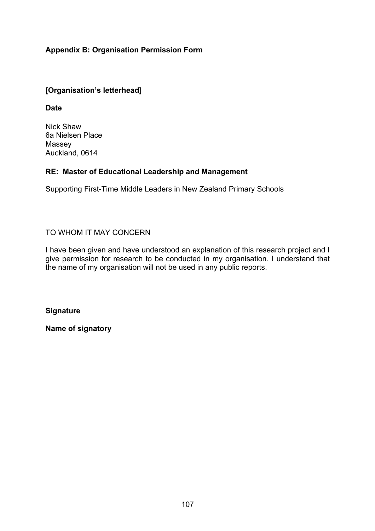### **Appendix B: Organisation Permission Form**

### **[Organisation's letterhead]**

**Date**

Nick Shaw 6a Nielsen Place Massey Auckland, 0614

### **RE: Master of Educational Leadership and Management**

Supporting First-Time Middle Leaders in New Zealand Primary Schools

### TO WHOM IT MAY CONCERN

I have been given and have understood an explanation of this research project and I give permission for research to be conducted in my organisation. I understand that the name of my organisation will not be used in any public reports.

**Signature**

**Name of signatory**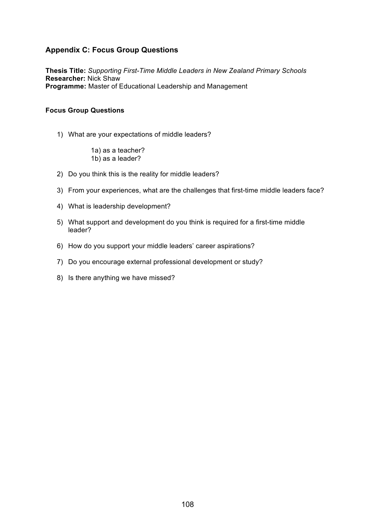### **Appendix C: Focus Group Questions**

**Thesis Title:** *Supporting First-Time Middle Leaders in New Zealand Primary Schools* **Researcher:** Nick Shaw **Programme:** Master of Educational Leadership and Management

#### **Focus Group Questions**

1) What are your expectations of middle leaders?

1a) as a teacher? 1b) as a leader?

- 2) Do you think this is the reality for middle leaders?
- 3) From your experiences, what are the challenges that first-time middle leaders face?
- 4) What is leadership development?
- 5) What support and development do you think is required for a first-time middle leader?
- 6) How do you support your middle leaders' career aspirations?
- 7) Do you encourage external professional development or study?
- 8) Is there anything we have missed?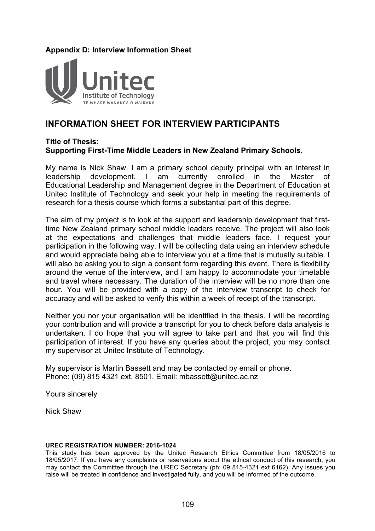### **Appendix D: Interview Information Sheet**



## **INFORMATION SHEET FOR INTERVIEW PARTICIPANTS**

#### **Title of Thesis: Supporting First-Time Middle Leaders in New Zealand Primary Schools.**

My name is Nick Shaw. I am a primary school deputy principal with an interest in leadership development. I am currently enrolled in the Master of Educational Leadership and Management degree in the Department of Education at Unitec Institute of Technology and seek your help in meeting the requirements of research for a thesis course which forms a substantial part of this degree.

The aim of my project is to look at the support and leadership development that firsttime New Zealand primary school middle leaders receive. The project will also look at the expectations and challenges that middle leaders face. I request your participation in the following way. I will be collecting data using an interview schedule and would appreciate being able to interview you at a time that is mutually suitable. I will also be asking you to sign a consent form regarding this event. There is flexibility around the venue of the interview, and I am happy to accommodate your timetable and travel where necessary. The duration of the interview will be no more than one hour. You will be provided with a copy of the interview transcript to check for accuracy and will be asked to verify this within a week of receipt of the transcript.

Neither you nor your organisation will be identified in the thesis. I will be recording your contribution and will provide a transcript for you to check before data analysis is undertaken. I do hope that you will agree to take part and that you will find this participation of interest. If you have any queries about the project, you may contact my supervisor at Unitec Institute of Technology.

My supervisor is Martin Bassett and may be contacted by email or phone. Phone: (09) 815 4321 ext. 8501. Email: mbassett@unitec.ac.nz

Yours sincerely

Nick Shaw

#### **UREC REGISTRATION NUMBER: 2016-1024**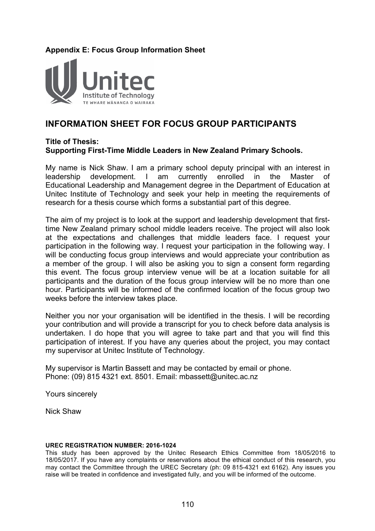### **Appendix E: Focus Group Information Sheet**



# **INFORMATION SHEET FOR FOCUS GROUP PARTICIPANTS**

### **Title of Thesis: Supporting First-Time Middle Leaders in New Zealand Primary Schools.**

My name is Nick Shaw. I am a primary school deputy principal with an interest in leadership development. I am currently enrolled in the Master of Educational Leadership and Management degree in the Department of Education at Unitec Institute of Technology and seek your help in meeting the requirements of research for a thesis course which forms a substantial part of this degree.

The aim of my project is to look at the support and leadership development that firsttime New Zealand primary school middle leaders receive. The project will also look at the expectations and challenges that middle leaders face. I request your participation in the following way. I request your participation in the following way. I will be conducting focus group interviews and would appreciate your contribution as a member of the group. I will also be asking you to sign a consent form regarding this event. The focus group interview venue will be at a location suitable for all participants and the duration of the focus group interview will be no more than one hour. Participants will be informed of the confirmed location of the focus group two weeks before the interview takes place.

Neither you nor your organisation will be identified in the thesis. I will be recording your contribution and will provide a transcript for you to check before data analysis is undertaken. I do hope that you will agree to take part and that you will find this participation of interest. If you have any queries about the project, you may contact my supervisor at Unitec Institute of Technology.

My supervisor is Martin Bassett and may be contacted by email or phone. Phone: (09) 815 4321 ext. 8501. Email: mbassett@unitec.ac.nz

Yours sincerely

Nick Shaw

#### **UREC REGISTRATION NUMBER: 2016-1024**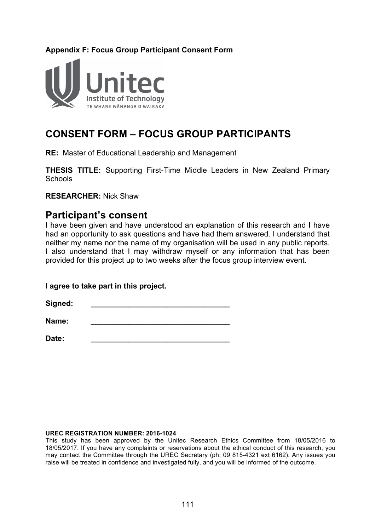## **Appendix F: Focus Group Participant Consent Form**



# **CONSENT FORM – FOCUS GROUP PARTICIPANTS**

**RE:** Master of Educational Leadership and Management

**THESIS TITLE:** Supporting First-Time Middle Leaders in New Zealand Primary Schools

**RESEARCHER:** Nick Shaw

# **Participant's consent**

I have been given and have understood an explanation of this research and I have had an opportunity to ask questions and have had them answered. I understand that neither my name nor the name of my organisation will be used in any public reports. I also understand that I may withdraw myself or any information that has been provided for this project up to two weeks after the focus group interview event.

**I agree to take part in this project.**

 $Signed:$ 

**Name: \_\_\_\_\_\_\_\_\_\_\_\_\_\_\_\_\_\_\_\_\_\_\_\_\_\_\_\_\_\_\_\_\_**

**Date: \_\_\_\_\_\_\_\_\_\_\_\_\_\_\_\_\_\_\_\_\_\_\_\_\_\_\_\_\_\_\_\_\_**

#### **UREC REGISTRATION NUMBER: 2016-1024**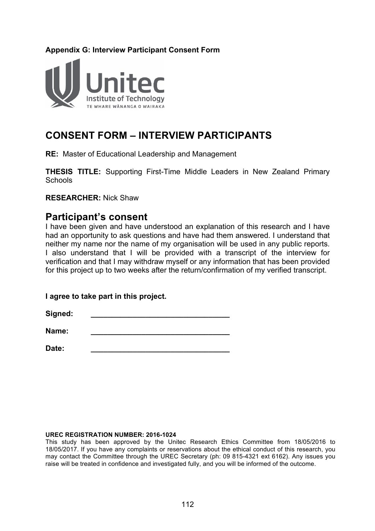### **Appendix G: Interview Participant Consent Form**



# **CONSENT FORM – INTERVIEW PARTICIPANTS**

**RE:** Master of Educational Leadership and Management

**THESIS TITLE:** Supporting First-Time Middle Leaders in New Zealand Primary **Schools** 

**RESEARCHER:** Nick Shaw

# **Participant's consent**

I have been given and have understood an explanation of this research and I have had an opportunity to ask questions and have had them answered. I understand that neither my name nor the name of my organisation will be used in any public reports. I also understand that I will be provided with a transcript of the interview for verification and that I may withdraw myself or any information that has been provided for this project up to two weeks after the return/confirmation of my verified transcript.

### **I agree to take part in this project.**

 $Sigma:$ 

**Name:** <u>\_\_\_\_\_\_\_\_\_\_\_\_\_\_\_\_\_\_\_\_\_\_\_\_\_\_\_\_\_\_\_\_\_\_\_</u>

**Date: \_\_\_\_\_\_\_\_\_\_\_\_\_\_\_\_\_\_\_\_\_\_\_\_\_\_\_\_\_\_\_\_\_**

#### **UREC REGISTRATION NUMBER: 2016-1024**